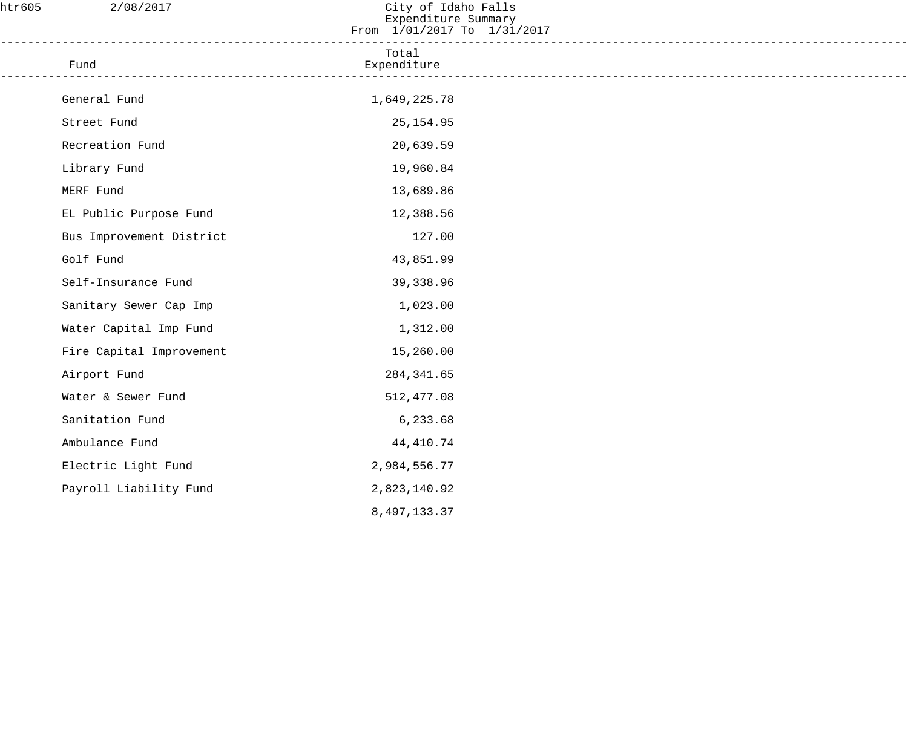| htr605 | 2/08/2017                                                                           | City of Idaho Falls<br>Expenditure Summary<br>From 1/01/2017 To 1/31/2017 |  |
|--------|-------------------------------------------------------------------------------------|---------------------------------------------------------------------------|--|
|        | ____________________________________<br>Fund<br>----------------------------------- | Total<br>Expenditure                                                      |  |
|        | General Fund                                                                        | 1,649,225.78                                                              |  |
|        | Street Fund                                                                         | 25, 154.95                                                                |  |
|        | Recreation Fund                                                                     | 20,639.59                                                                 |  |
|        | Library Fund                                                                        | 19,960.84                                                                 |  |
|        | MERF Fund                                                                           | 13,689.86                                                                 |  |
|        | EL Public Purpose Fund                                                              | 12,388.56                                                                 |  |
|        | Bus Improvement District                                                            | 127.00                                                                    |  |
|        | Golf Fund                                                                           | 43,851.99                                                                 |  |
|        | Self-Insurance Fund                                                                 | 39,338.96                                                                 |  |
|        | Sanitary Sewer Cap Imp                                                              | 1,023.00                                                                  |  |
|        | Water Capital Imp Fund                                                              | 1,312.00                                                                  |  |
|        | Fire Capital Improvement                                                            | 15,260.00                                                                 |  |
|        | Airport Fund                                                                        | 284, 341.65                                                               |  |
|        | Water & Sewer Fund                                                                  | 512, 477.08                                                               |  |
|        | Sanitation Fund                                                                     | 6,233.68                                                                  |  |
|        | Ambulance Fund                                                                      | 44, 410.74                                                                |  |
|        | Electric Light Fund                                                                 | 2,984,556.77                                                              |  |
|        | Payroll Liability Fund                                                              | 2,823,140.92                                                              |  |
|        |                                                                                     | 8, 497, 133.37                                                            |  |
|        |                                                                                     |                                                                           |  |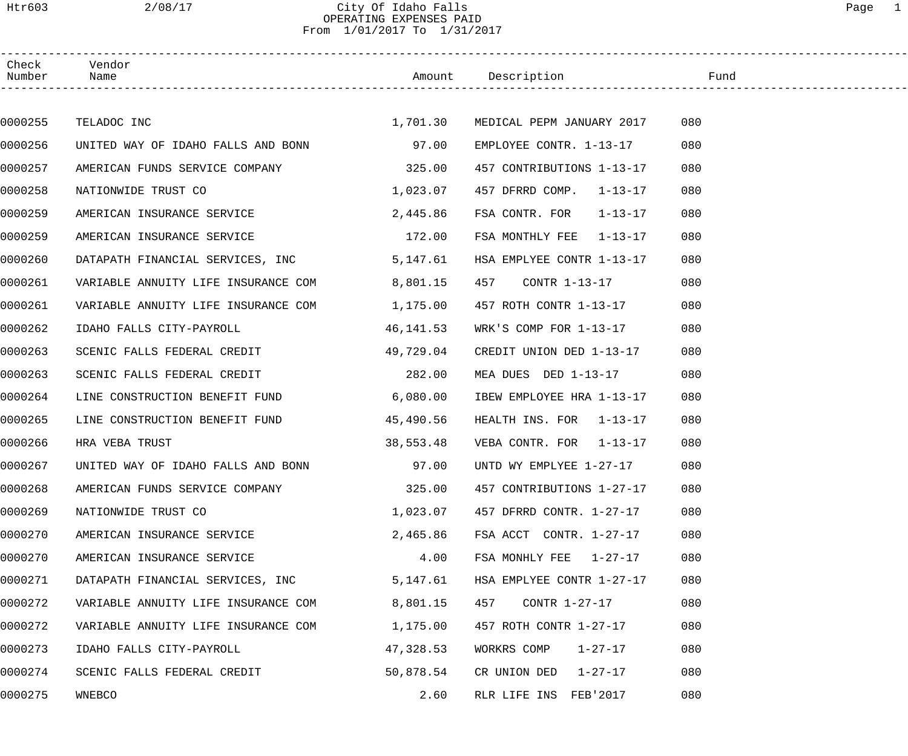## Htr603 2/08/17 City Of Idaho Falls Page 1 OPERATING EXPENSES PAID From 1/01/2017 To 1/31/2017

| Check<br>Number | Vendor<br>Name                           |           |                                    |     |
|-----------------|------------------------------------------|-----------|------------------------------------|-----|
|                 |                                          |           |                                    |     |
| 0000255         | TELADOC INC                              |           | 1,701.30 MEDICAL PEPM JANUARY 2017 | 080 |
| 0000256         | UNITED WAY OF IDAHO FALLS AND BONN 97.00 |           | EMPLOYEE CONTR. 1-13-17            | 080 |
| 0000257         | AMERICAN FUNDS SERVICE COMPANY 325.00    |           | 457 CONTRIBUTIONS 1-13-17          | 080 |
| 0000258         | NATIONWIDE TRUST CO                      | 1,023.07  | 457 DFRRD COMP. 1-13-17            | 080 |
| 0000259         | AMERICAN INSURANCE SERVICE               | 2,445.86  | FSA CONTR. FOR 1-13-17             | 080 |
| 0000259         | AMERICAN INSURANCE SERVICE               | 172.00    | FSA MONTHLY FEE 1-13-17            | 080 |
| 0000260         | DATAPATH FINANCIAL SERVICES, INC         | 5,147.61  | HSA EMPLYEE CONTR 1-13-17          | 080 |
| 0000261         | VARIABLE ANNUITY LIFE INSURANCE COM      | 8,801.15  | 457<br>CONTR 1-13-17               | 080 |
| 0000261         | VARIABLE ANNUITY LIFE INSURANCE COM      | 1,175.00  | 457 ROTH CONTR 1-13-17             | 080 |
| 0000262         | IDAHO FALLS CITY-PAYROLL                 | 46,141.53 | WRK'S COMP FOR 1-13-17             | 080 |
| 0000263         | SCENIC FALLS FEDERAL CREDIT              | 49,729.04 | CREDIT UNION DED 1-13-17           | 080 |
| 0000263         | SCENIC FALLS FEDERAL CREDIT              | 282.00    | MEA DUES DED 1-13-17               | 080 |
| 0000264         | LINE CONSTRUCTION BENEFIT FUND           | 6,080.00  | IBEW EMPLOYEE HRA 1-13-17          | 080 |
| 0000265         | LINE CONSTRUCTION BENEFIT FUND           | 45,490.56 | HEALTH INS. FOR 1-13-17            | 080 |
| 0000266         | HRA VEBA TRUST                           | 38,553.48 | VEBA CONTR. FOR 1-13-17            | 080 |
| 0000267         | UNITED WAY OF IDAHO FALLS AND BONN       | 97.00     | UNTD WY EMPLYEE 1-27-17            | 080 |
| 0000268         | AMERICAN FUNDS SERVICE COMPANY           | 325.00    | 457 CONTRIBUTIONS 1-27-17          | 080 |
| 0000269         | NATIONWIDE TRUST CO                      | 1,023.07  | 457 DFRRD CONTR. 1-27-17           | 080 |
| 0000270         | AMERICAN INSURANCE SERVICE               | 2,465.86  | FSA ACCT CONTR. 1-27-17            | 080 |
| 0000270         | AMERICAN INSURANCE SERVICE               | 4.00      | FSA MONHLY FEE 1-27-17             | 080 |
| 0000271         | DATAPATH FINANCIAL SERVICES, INC         | 5,147.61  | HSA EMPLYEE CONTR 1-27-17          | 080 |
| 0000272         | VARIABLE ANNUITY LIFE INSURANCE COM      | 8,801.15  | 457<br>CONTR 1-27-17               | 080 |
| 0000272         | VARIABLE ANNUITY LIFE INSURANCE COM      | 1,175.00  | 457 ROTH CONTR 1-27-17             | 080 |
| 0000273         | IDAHO FALLS CITY-PAYROLL                 | 47,328.53 | WORKRS COMP<br>$1 - 27 - 17$       | 080 |
| 0000274         | SCENIC FALLS FEDERAL CREDIT              | 50,878.54 | CR UNION DED $1-27-17$             | 080 |
| 0000275         | WNEBCO                                   | 2.60      | RLR LIFE INS FEB'2017              | 080 |
|                 |                                          |           |                                    |     |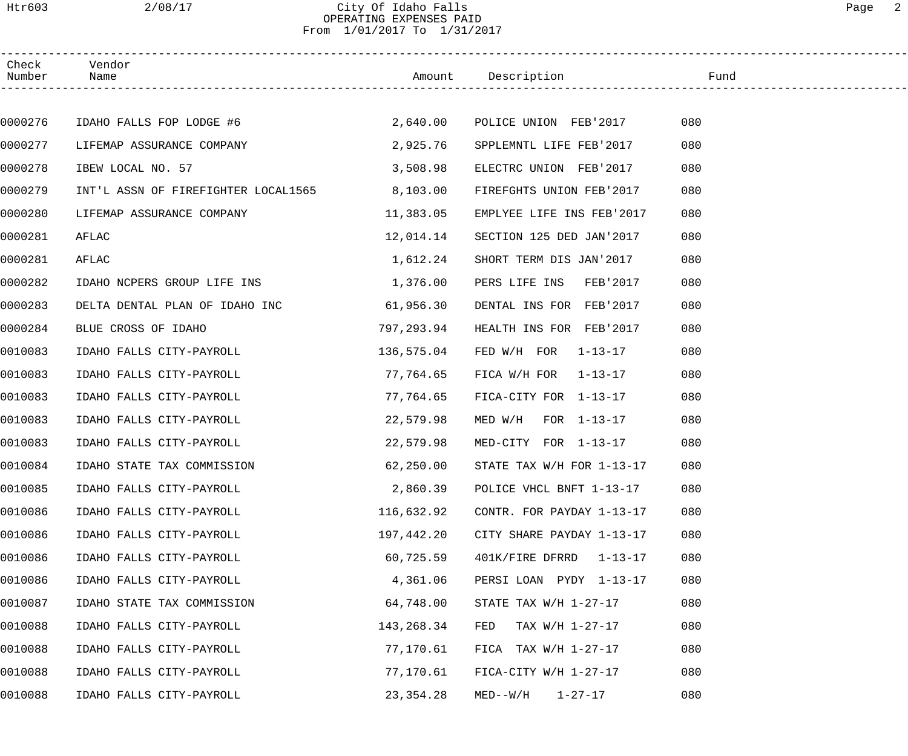### Htr603 2/08/17 City Of Idaho Falls Page 2 OPERATING EXPENSES PAID From 1/01/2017 To 1/31/2017

| Check<br>Number | Vendor<br>Name                      |             | Amount Description            | Fund |  |
|-----------------|-------------------------------------|-------------|-------------------------------|------|--|
|                 |                                     |             |                               |      |  |
| 0000276         | IDAHO FALLS FOP LODGE #6            | 2,640.00    | POLICE UNION FEB'2017         | 080  |  |
| 0000277         | LIFEMAP ASSURANCE COMPANY           | 2,925.76    | SPPLEMNTL LIFE FEB'2017       | 080  |  |
| 0000278         | IBEW LOCAL NO. 57                   | 3,508.98    | ELECTRC UNION FEB'2017        | 080  |  |
| 0000279         | INT'L ASSN OF FIREFIGHTER LOCAL1565 | 8,103.00    | FIREFGHTS UNION FEB'2017      | 080  |  |
| 0000280         | LIFEMAP ASSURANCE COMPANY           | 11,383.05   | EMPLYEE LIFE INS FEB'2017     | 080  |  |
| 0000281         | AFLAC                               | 12,014.14   | SECTION 125 DED JAN'2017      | 080  |  |
| 0000281         | AFLAC                               | 1,612.24    | SHORT TERM DIS JAN'2017       | 080  |  |
| 0000282         | IDAHO NCPERS GROUP LIFE INS         | 1,376.00    | PERS LIFE INS FEB'2017        | 080  |  |
| 0000283         | DELTA DENTAL PLAN OF IDAHO INC      | 61,956.30   | DENTAL INS FOR FEB'2017       | 080  |  |
| 0000284         | BLUE CROSS OF IDAHO                 | 797,293.94  | HEALTH INS FOR FEB'2017       | 080  |  |
| 0010083         | IDAHO FALLS CITY-PAYROLL            | 136,575.04  | FED $W/H$ FOR $1-13-17$       | 080  |  |
| 0010083         | IDAHO FALLS CITY-PAYROLL            | 77,764.65   | FICA W/H FOR $1-13-17$        | 080  |  |
| 0010083         | IDAHO FALLS CITY-PAYROLL            | 77,764.65   | FICA-CITY FOR 1-13-17         | 080  |  |
| 0010083         | IDAHO FALLS CITY-PAYROLL            | 22,579.98   | MED $W/H$ FOR $1-13-17$       | 080  |  |
| 0010083         | IDAHO FALLS CITY-PAYROLL            | 22,579.98   | MED-CITY FOR 1-13-17          | 080  |  |
| 0010084         | IDAHO STATE TAX COMMISSION          | 62,250.00   | STATE TAX $W/H$ FOR $1-13-17$ | 080  |  |
| 0010085         | IDAHO FALLS CITY-PAYROLL            | 2,860.39    | POLICE VHCL BNFT 1-13-17      | 080  |  |
| 0010086         | IDAHO FALLS CITY-PAYROLL            | 116,632.92  | CONTR. FOR PAYDAY 1-13-17     | 080  |  |
| 0010086         | IDAHO FALLS CITY-PAYROLL            | 197,442.20  | CITY SHARE PAYDAY 1-13-17     | 080  |  |
| 0010086         | IDAHO FALLS CITY-PAYROLL            | 60,725.59   | 401K/FIRE DFRRD 1-13-17       | 080  |  |
| 0010086         | IDAHO FALLS CITY-PAYROLL            | 4,361.06    | PERSI LOAN PYDY 1-13-17       | 080  |  |
| 0010087         | IDAHO STATE TAX COMMISSION          | 64,748.00   | STATE TAX $W/H$ 1-27-17       | 080  |  |
| 0010088         | IDAHO FALLS CITY-PAYROLL            | 143,268.34  | TAX W/H 1-27-17<br>FED        | 080  |  |
| 0010088         | IDAHO FALLS CITY-PAYROLL            | 77,170.61   | FICA TAX $W/H$ 1-27-17        | 080  |  |
| 0010088         | IDAHO FALLS CITY-PAYROLL            | 77,170.61   | $FIGA-CITY$ W/H $1-27-17$     | 080  |  |
| 0010088         | IDAHO FALLS CITY-PAYROLL            | 23, 354. 28 | $1 - 27 - 17$<br>MED--W/H     | 080  |  |
|                 |                                     |             |                               |      |  |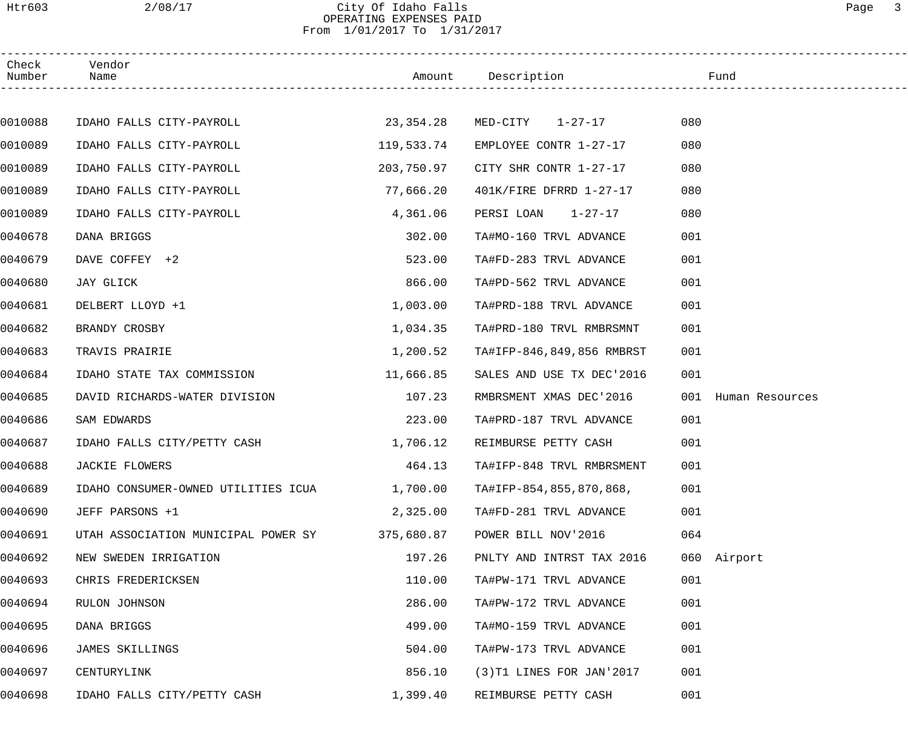### Htr603 2/08/17 City Of Idaho Falls Page 3 OPERATING EXPENSES PAID From 1/01/2017 To 1/31/2017

| Check<br>Number | Vendor<br>Name                      |            | Amount Description          | Fund                   |
|-----------------|-------------------------------------|------------|-----------------------------|------------------------|
|                 |                                     |            |                             |                        |
| 0010088         | IDAHO FALLS CITY-PAYROLL            |            | 23,354.28 MED-CITY 1-27-17  | 080                    |
| 0010089         | IDAHO FALLS CITY-PAYROLL            | 119,533.74 | EMPLOYEE CONTR 1-27-17      | 080                    |
| 0010089         | IDAHO FALLS CITY-PAYROLL            | 203,750.97 | CITY SHR CONTR 1-27-17      | 080                    |
| 0010089         | IDAHO FALLS CITY-PAYROLL            | 77,666.20  | 401K/FIRE DFRRD 1-27-17     | 080                    |
| 0010089         | IDAHO FALLS CITY-PAYROLL            | 4,361.06   | PERSI LOAN 1-27-17          | 080                    |
| 0040678         | DANA BRIGGS                         | 302.00     | TA#MO-160 TRVL ADVANCE      | 001                    |
| 0040679         | DAVE COFFEY +2                      | 523.00     | TA#FD-283 TRVL ADVANCE      | 001                    |
| 0040680         | JAY GLICK                           | 866.00     | TA#PD-562 TRVL ADVANCE      | 001                    |
| 0040681         | DELBERT LLOYD +1                    | 1,003.00   | TA#PRD-188 TRVL ADVANCE     | 001                    |
| 0040682         | BRANDY CROSBY                       | 1,034.35   | TA#PRD-180 TRVL RMBRSMNT    | 001                    |
| 0040683         | TRAVIS PRAIRIE                      | 1,200.52   | TA#IFP-846,849,856 RMBRST   | 001                    |
| 0040684         | IDAHO STATE TAX COMMISSION          | 11,666.85  | SALES AND USE TX DEC'2016   | 001                    |
| 0040685         | DAVID RICHARDS-WATER DIVISION       | 107.23     | RMBRSMENT XMAS DEC'2016     | 001<br>Human Resources |
| 0040686         | SAM EDWARDS                         | 223.00     | TA#PRD-187 TRVL ADVANCE     | 001                    |
| 0040687         | IDAHO FALLS CITY/PETTY CASH         | 1,706.12   | REIMBURSE PETTY CASH        | 001                    |
| 0040688         | JACKIE FLOWERS                      | 464.13     | TA#IFP-848 TRVL RMBRSMENT   | 001                    |
| 0040689         | IDAHO CONSUMER-OWNED UTILITIES ICUA | 1,700.00   | TA#IFP-854,855,870,868,     | 001                    |
| 0040690         | JEFF PARSONS +1                     | 2,325.00   | TA#FD-281 TRVL ADVANCE      | 001                    |
| 0040691         | UTAH ASSOCIATION MUNICIPAL POWER SY | 375,680.87 | POWER BILL NOV'2016         | 064                    |
| 0040692         | NEW SWEDEN IRRIGATION               | 197.26     | PNLTY AND INTRST TAX 2016   | 060 Airport            |
| 0040693         | CHRIS FREDERICKSEN                  | 110.00     | TA#PW-171 TRVL ADVANCE      | 001                    |
| 0040694         | RULON JOHNSON                       | 286.00     | TA#PW-172 TRVL ADVANCE      | 001                    |
| 0040695         | DANA BRIGGS                         | 499.00     | TA#MO-159 TRVL ADVANCE      | 001                    |
| 0040696         | JAMES SKILLINGS                     | 504.00     | TA#PW-173 TRVL ADVANCE      | 001                    |
| 0040697         | CENTURYLINK                         | 856.10     | $(3)$ T1 LINES FOR JAN'2017 | 001                    |
| 0040698         | IDAHO FALLS CITY/PETTY CASH         | 1,399.40   | REIMBURSE PETTY CASH        | 001                    |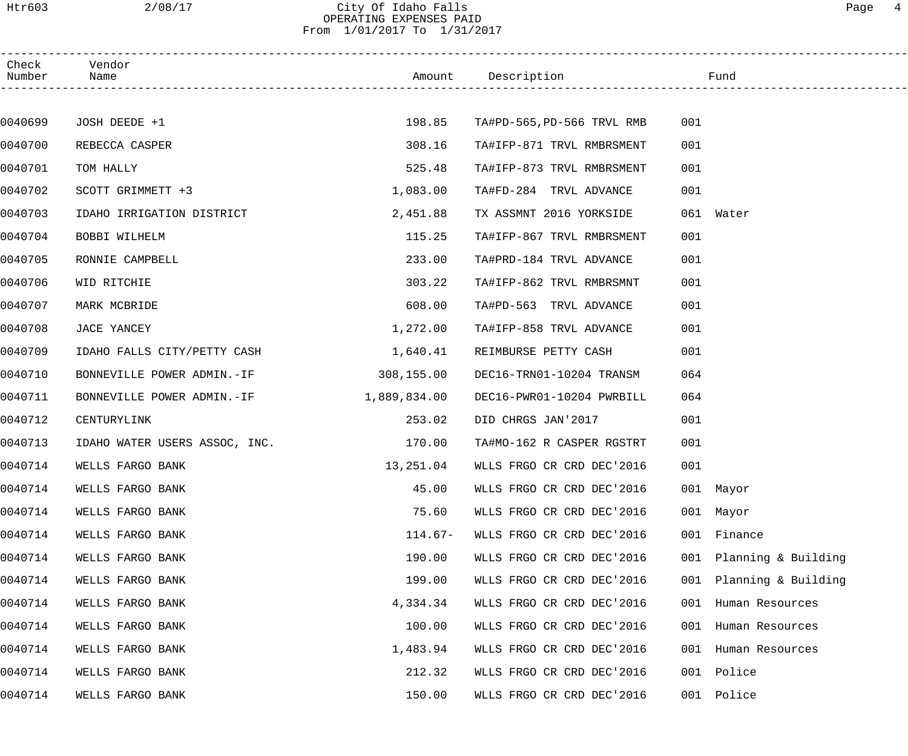### Htr603 2/08/17 City Of Idaho Falls Page 4 OPERATING EXPENSES PAID From 1/01/2017 To 1/31/2017

| Check<br>Number | Vendor<br>Name                |              | Amount Description        |     | Fund                |  |
|-----------------|-------------------------------|--------------|---------------------------|-----|---------------------|--|
|                 |                               |              |                           |     |                     |  |
| 0040699         | JOSH DEEDE +1                 | 198.85       | TA#PD-565,PD-566 TRVL RMB | 001 |                     |  |
| 0040700         | REBECCA CASPER                | 308.16       | TA#IFP-871 TRVL RMBRSMENT | 001 |                     |  |
| 0040701         | TOM HALLY                     | 525.48       | TA#IFP-873 TRVL RMBRSMENT | 001 |                     |  |
| 0040702         | SCOTT GRIMMETT +3             | 1,083.00     | TA#FD-284 TRVL ADVANCE    | 001 |                     |  |
| 0040703         | IDAHO IRRIGATION DISTRICT     | 2,451.88     | TX ASSMNT 2016 YORKSIDE   |     | 061 Water           |  |
| 0040704         | BOBBI WILHELM                 | 115.25       | TA#IFP-867 TRVL RMBRSMENT | 001 |                     |  |
| 0040705         | RONNIE CAMPBELL               | 233.00       | TA#PRD-184 TRVL ADVANCE   | 001 |                     |  |
| 0040706         | WID RITCHIE                   | 303.22       | TA#IFP-862 TRVL RMBRSMNT  | 001 |                     |  |
| 0040707         | MARK MCBRIDE                  | 608.00       | TA#PD-563 TRVL ADVANCE    | 001 |                     |  |
| 0040708         | JACE YANCEY                   | 1,272.00     | TA#IFP-858 TRVL ADVANCE   | 001 |                     |  |
| 0040709         | IDAHO FALLS CITY/PETTY CASH   | 1,640.41     | REIMBURSE PETTY CASH      | 001 |                     |  |
| 0040710         | BONNEVILLE POWER ADMIN.-IF    | 308,155.00   | DEC16-TRN01-10204 TRANSM  | 064 |                     |  |
| 0040711         | BONNEVILLE POWER ADMIN.-IF    | 1,889,834.00 | DEC16-PWR01-10204 PWRBILL | 064 |                     |  |
| 0040712         | CENTURYLINK                   | 253.02       | DID CHRGS JAN'2017        | 001 |                     |  |
| 0040713         | IDAHO WATER USERS ASSOC, INC. | 170.00       | TA#MO-162 R CASPER RGSTRT | 001 |                     |  |
| 0040714         | WELLS FARGO BANK              | 13,251.04    | WLLS FRGO CR CRD DEC'2016 | 001 |                     |  |
| 0040714         | WELLS FARGO BANK              | 45.00        | WLLS FRGO CR CRD DEC'2016 |     | 001 Mayor           |  |
| 0040714         | WELLS FARGO BANK              | 75.60        | WLLS FRGO CR CRD DEC'2016 |     | 001 Mayor           |  |
| 0040714         | WELLS FARGO BANK              | $114.67-$    | WLLS FRGO CR CRD DEC'2016 | 001 | Finance             |  |
| 0040714         | WELLS FARGO BANK              | 190.00       | WLLS FRGO CR CRD DEC'2016 | 001 | Planning & Building |  |
| 0040714         | WELLS FARGO BANK              | 199.00       | WLLS FRGO CR CRD DEC'2016 | 001 | Planning & Building |  |
| 0040714         | WELLS FARGO BANK              | 4,334.34     | WLLS FRGO CR CRD DEC'2016 | 001 | Human Resources     |  |
| 0040714         | WELLS FARGO BANK              | 100.00       | WLLS FRGO CR CRD DEC'2016 | 001 | Human Resources     |  |
| 0040714         | WELLS FARGO BANK              | 1,483.94     | WLLS FRGO CR CRD DEC'2016 | 001 | Human Resources     |  |
| 0040714         | WELLS FARGO BANK              | 212.32       | WLLS FRGO CR CRD DEC'2016 | 001 | Police              |  |
| 0040714         | WELLS FARGO BANK              | 150.00       | WLLS FRGO CR CRD DEC'2016 | 001 | Police              |  |
|                 |                               |              |                           |     |                     |  |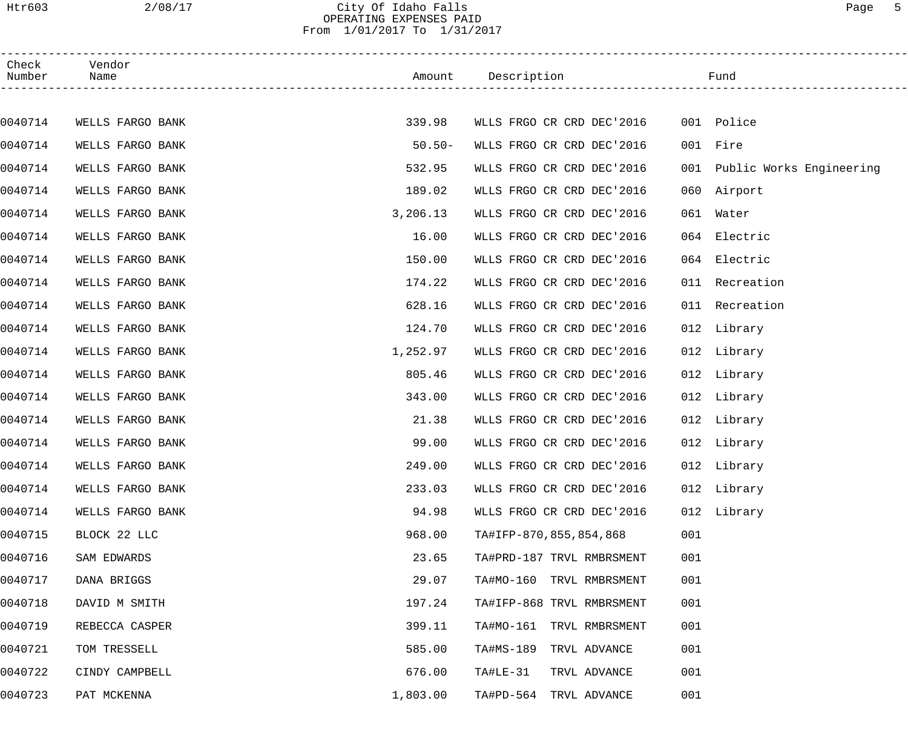### Htr603 2/08/17 City Of Idaho Falls Page 5 OPERATING EXPENSES PAID From 1/01/2017 To 1/31/2017

| Check<br>Number | Vendor<br>Name   |           | Amount Description        | Fund                         |  |
|-----------------|------------------|-----------|---------------------------|------------------------------|--|
|                 |                  |           |                           |                              |  |
| 0040714         | WELLS FARGO BANK | 339.98    | WLLS FRGO CR CRD DEC'2016 | 001 Police                   |  |
| 0040714         | WELLS FARGO BANK | $50.50 -$ | WLLS FRGO CR CRD DEC'2016 | 001 Fire                     |  |
| 0040714         | WELLS FARGO BANK | 532.95    | WLLS FRGO CR CRD DEC'2016 | 001 Public Works Engineering |  |
| 0040714         | WELLS FARGO BANK | 189.02    | WLLS FRGO CR CRD DEC'2016 | 060 Airport                  |  |
| 0040714         | WELLS FARGO BANK | 3,206.13  | WLLS FRGO CR CRD DEC'2016 | 061<br>Water                 |  |
| 0040714         | WELLS FARGO BANK | 16.00     | WLLS FRGO CR CRD DEC'2016 | Electric<br>064              |  |
| 0040714         | WELLS FARGO BANK | 150.00    | WLLS FRGO CR CRD DEC'2016 | Electric<br>064              |  |
| 0040714         | WELLS FARGO BANK | 174.22    | WLLS FRGO CR CRD DEC'2016 | 011 Recreation               |  |
| 0040714         | WELLS FARGO BANK | 628.16    | WLLS FRGO CR CRD DEC'2016 | 011 Recreation               |  |
| 0040714         | WELLS FARGO BANK | 124.70    | WLLS FRGO CR CRD DEC'2016 | 012 Library                  |  |
| 0040714         | WELLS FARGO BANK | 1,252.97  | WLLS FRGO CR CRD DEC'2016 | 012 Library                  |  |
| 0040714         | WELLS FARGO BANK | 805.46    | WLLS FRGO CR CRD DEC'2016 | 012 Library                  |  |
| 0040714         | WELLS FARGO BANK | 343.00    | WLLS FRGO CR CRD DEC'2016 | 012 Library                  |  |
| 0040714         | WELLS FARGO BANK | 21.38     | WLLS FRGO CR CRD DEC'2016 | 012 Library                  |  |
| 0040714         | WELLS FARGO BANK | 99.00     | WLLS FRGO CR CRD DEC'2016 | 012 Library                  |  |
| 0040714         | WELLS FARGO BANK | 249.00    | WLLS FRGO CR CRD DEC'2016 | 012 Library                  |  |
| 0040714         | WELLS FARGO BANK | 233.03    | WLLS FRGO CR CRD DEC'2016 | 012 Library                  |  |
| 0040714         | WELLS FARGO BANK | 94.98     | WLLS FRGO CR CRD DEC'2016 | 012 Library                  |  |
| 0040715         | BLOCK 22 LLC     | 968.00    | TA#IFP-870,855,854,868    | 001                          |  |
| 0040716         | SAM EDWARDS      | 23.65     | TA#PRD-187 TRVL RMBRSMENT | 001                          |  |
| 0040717         | DANA BRIGGS      | 29.07     | TA#MO-160 TRVL RMBRSMENT  | 001                          |  |
| 0040718         | DAVID M SMITH    | 197.24    | TA#IFP-868 TRVL RMBRSMENT | 001                          |  |
| 0040719         | REBECCA CASPER   | 399.11    | TA#MO-161 TRVL RMBRSMENT  | 001                          |  |
| 0040721         | TOM TRESSELL     | 585.00    | TA#MS-189 TRVL ADVANCE    | 001                          |  |
| 0040722         | CINDY CAMPBELL   | 676.00    | TA#LE-31<br>TRVL ADVANCE  | 001                          |  |
| 0040723         | PAT MCKENNA      | 1,803.00  | TA#PD-564 TRVL ADVANCE    | 001                          |  |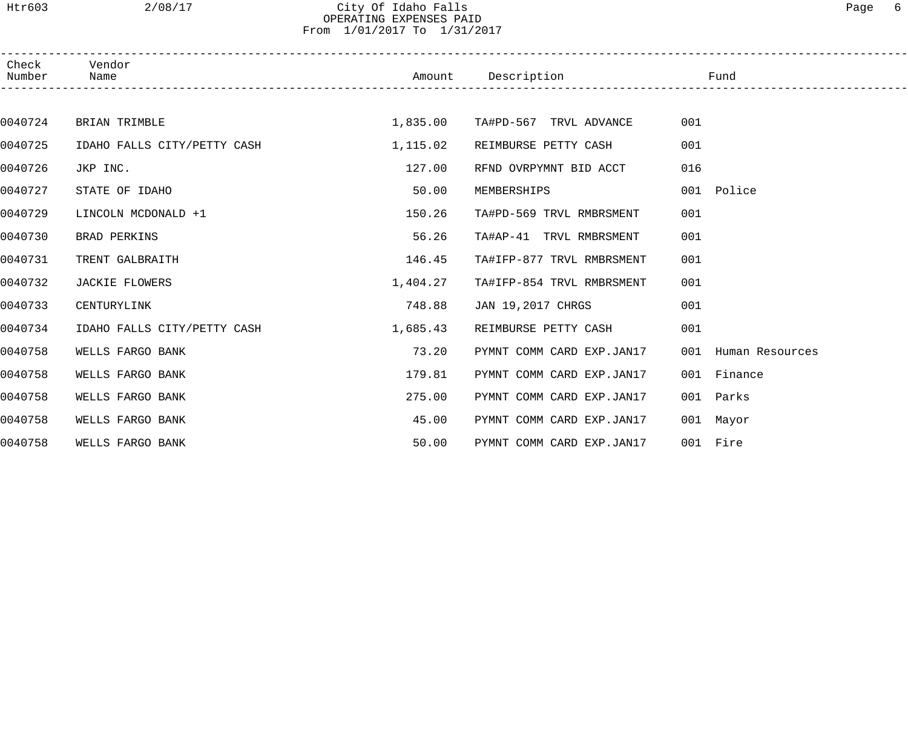### Htr603 2/08/17 City Of Idaho Falls Page 6 OPERATING EXPENSES PAID From 1/01/2017 To 1/31/2017

| Check<br>Number Name | Vendor                      |          | Amount Description and the Fund |                     |  |
|----------------------|-----------------------------|----------|---------------------------------|---------------------|--|
|                      |                             |          |                                 |                     |  |
| 0040724              | BRIAN TRIMBLE               | 1,835.00 | TA#PD-567 TRVL ADVANCE          | 001                 |  |
| 0040725              | IDAHO FALLS CITY/PETTY CASH | 1,115.02 | REIMBURSE PETTY CASH            | 001                 |  |
| 0040726              | JKP INC.                    | 127.00   | RFND OVRPYMNT BID ACCT          | 016                 |  |
| 0040727              | STATE OF IDAHO              | 50.00    | MEMBERSHIPS                     | 001 Police          |  |
| 0040729              | LINCOLN MCDONALD +1         | 150.26   | TA#PD-569 TRVL RMBRSMENT        | 001                 |  |
| 0040730              | BRAD PERKINS                | 56.26    | TA#AP-41 TRVL RMBRSMENT         | 001                 |  |
| 0040731              | TRENT GALBRAITH             | 146.45   | TA#IFP-877 TRVL RMBRSMENT       | 001                 |  |
| 0040732              | JACKIE FLOWERS              | 1,404.27 | TA#IFP-854 TRVL RMBRSMENT       | 001                 |  |
| 0040733              | CENTURYLINK                 | 748.88   | JAN 19,2017 CHRGS               | 001                 |  |
| 0040734              | IDAHO FALLS CITY/PETTY CASH | 1,685.43 | REIMBURSE PETTY CASH            | 001                 |  |
| 0040758              | WELLS FARGO BANK            | 73.20    | PYMNT COMM CARD EXP.JAN17       | 001 Human Resources |  |
| 0040758              | WELLS FARGO BANK            | 179.81   | PYMNT COMM CARD EXP.JAN17       | 001 Finance         |  |
| 0040758              | WELLS FARGO BANK            | 275.00   | PYMNT COMM CARD EXP.JAN17       | 001 Parks           |  |
| 0040758              | WELLS FARGO BANK            | 45.00    | PYMNT COMM CARD EXP.JAN17       | 001 Mayor           |  |
| 0040758              | WELLS FARGO BANK            | 50.00    | PYMNT COMM CARD EXP.JAN17       | 001 Fire            |  |
|                      |                             |          |                                 |                     |  |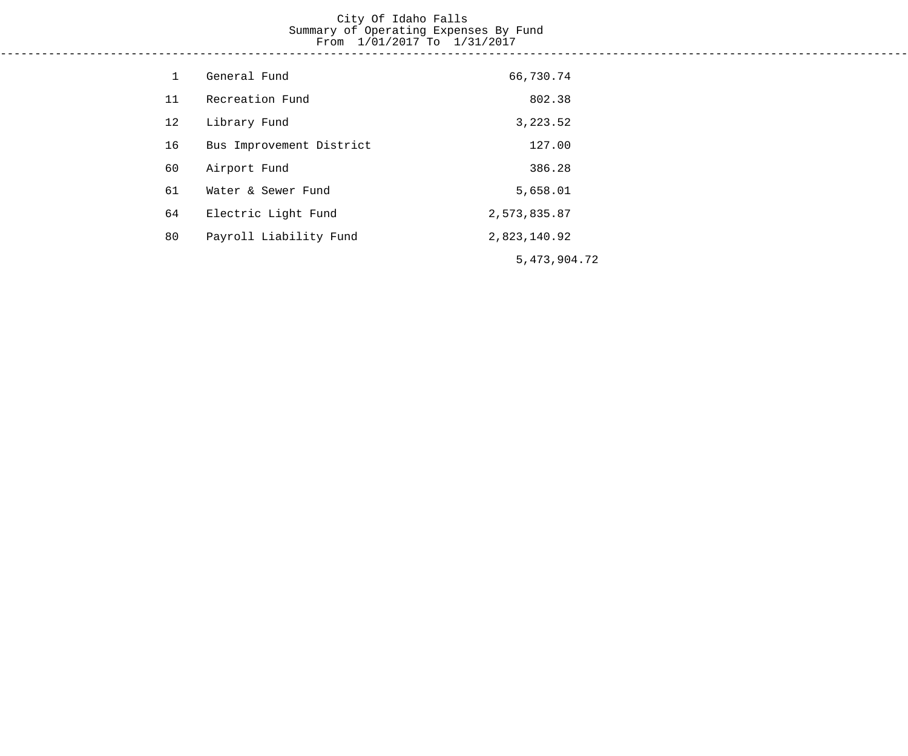#### City Of Idaho Falls Summary of Operating Expenses By Fund From 1/01/2017 To 1/31/2017 ------------------------------------------------------------------------------------------------------------------------------------

| $\mathbf 1$ | General Fund             | 66,730.74       |
|-------------|--------------------------|-----------------|
| 11          | Recreation Fund          | 802.38          |
| 12          | Library Fund             | 3,223.52        |
| 16          | Bus Improvement District | 127.00          |
| 60          | Airport Fund             | 386.28          |
| 61          | Water & Sewer Fund       | 5,658.01        |
| 64          | Electric Light Fund      | 2,573,835.87    |
| 80          | Payroll Liability Fund   | 2,823,140.92    |
|             |                          | 5, 473, 904. 72 |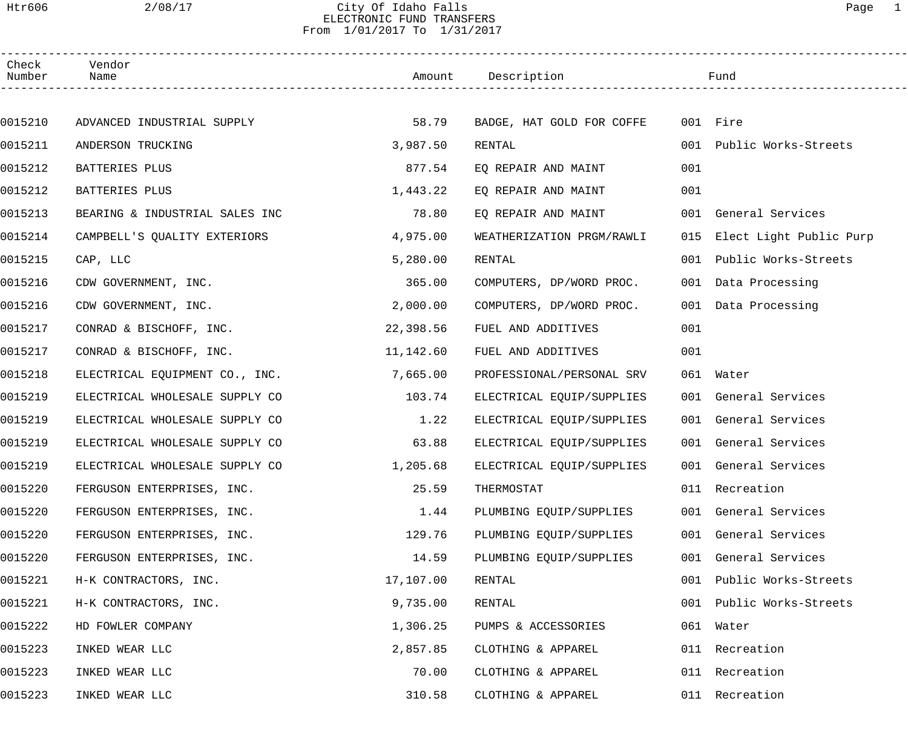### Htr606 2/08/17 City Of Idaho Falls Page 1 ELECTRONIC FUND TRANSFERS From 1/01/2017 To 1/31/2017

| Check<br>Number | Vendor<br>Name                 |           | Amount Description        |     | Fund                        |  |
|-----------------|--------------------------------|-----------|---------------------------|-----|-----------------------------|--|
|                 |                                |           |                           |     |                             |  |
| 0015210         | ADVANCED INDUSTRIAL SUPPLY     | 58.79     | BADGE, HAT GOLD FOR COFFE |     | 001 Fire                    |  |
| 0015211         | ANDERSON TRUCKING              | 3,987.50  | RENTAL                    |     | 001 Public Works-Streets    |  |
| 0015212         | BATTERIES PLUS                 | 877.54    | EQ REPAIR AND MAINT       | 001 |                             |  |
| 0015212         | BATTERIES PLUS                 | 1,443.22  | EQ REPAIR AND MAINT       | 001 |                             |  |
| 0015213         | BEARING & INDUSTRIAL SALES INC | 78.80     | EQ REPAIR AND MAINT       |     | 001 General Services        |  |
| 0015214         | CAMPBELL'S QUALITY EXTERIORS   | 4,975.00  | WEATHERIZATION PRGM/RAWLI |     | 015 Elect Light Public Purp |  |
| 0015215         | CAP, LLC                       | 5,280.00  | RENTAL                    |     | 001 Public Works-Streets    |  |
| 0015216         | CDW GOVERNMENT, INC.           | 365.00    | COMPUTERS, DP/WORD PROC.  |     | 001 Data Processing         |  |
| 0015216         | CDW GOVERNMENT, INC.           | 2,000.00  | COMPUTERS, DP/WORD PROC.  |     | 001 Data Processing         |  |
| 0015217         | CONRAD & BISCHOFF, INC.        | 22,398.56 | FUEL AND ADDITIVES        | 001 |                             |  |
| 0015217         | CONRAD & BISCHOFF, INC.        | 11,142.60 | FUEL AND ADDITIVES        | 001 |                             |  |
| 0015218         | ELECTRICAL EQUIPMENT CO., INC. | 7,665.00  | PROFESSIONAL/PERSONAL SRV |     | 061 Water                   |  |
| 0015219         | ELECTRICAL WHOLESALE SUPPLY CO | 103.74    | ELECTRICAL EQUIP/SUPPLIES |     | 001 General Services        |  |
| 0015219         | ELECTRICAL WHOLESALE SUPPLY CO | 1.22      | ELECTRICAL EQUIP/SUPPLIES |     | 001 General Services        |  |
| 0015219         | ELECTRICAL WHOLESALE SUPPLY CO | 63.88     | ELECTRICAL EQUIP/SUPPLIES |     | 001 General Services        |  |
| 0015219         | ELECTRICAL WHOLESALE SUPPLY CO | 1,205.68  | ELECTRICAL EQUIP/SUPPLIES |     | 001 General Services        |  |
| 0015220         | FERGUSON ENTERPRISES, INC.     | 25.59     | THERMOSTAT                |     | 011 Recreation              |  |
| 0015220         | FERGUSON ENTERPRISES, INC.     | 1.44      | PLUMBING EQUIP/SUPPLIES   |     | 001 General Services        |  |
| 0015220         | FERGUSON ENTERPRISES, INC.     | 129.76    | PLUMBING EQUIP/SUPPLIES   |     | 001 General Services        |  |
| 0015220         | FERGUSON ENTERPRISES, INC.     | 14.59     | PLUMBING EQUIP/SUPPLIES   | 001 | General Services            |  |
| 0015221         | H-K CONTRACTORS, INC.          | 17,107.00 | RENTAL                    | 001 | Public Works-Streets        |  |
| 0015221         | H-K CONTRACTORS, INC.          | 9,735.00  | RENTAL                    | 001 | Public Works-Streets        |  |
| 0015222         | HD FOWLER COMPANY              | 1,306.25  | PUMPS & ACCESSORIES       |     | 061 Water                   |  |
| 0015223         | INKED WEAR LLC                 | 2,857.85  | CLOTHING & APPAREL        | 011 | Recreation                  |  |
| 0015223         | INKED WEAR LLC                 | 70.00     | CLOTHING & APPAREL        |     | 011 Recreation              |  |
| 0015223         | INKED WEAR LLC                 | 310.58    | CLOTHING & APPAREL        |     | 011 Recreation              |  |
|                 |                                |           |                           |     |                             |  |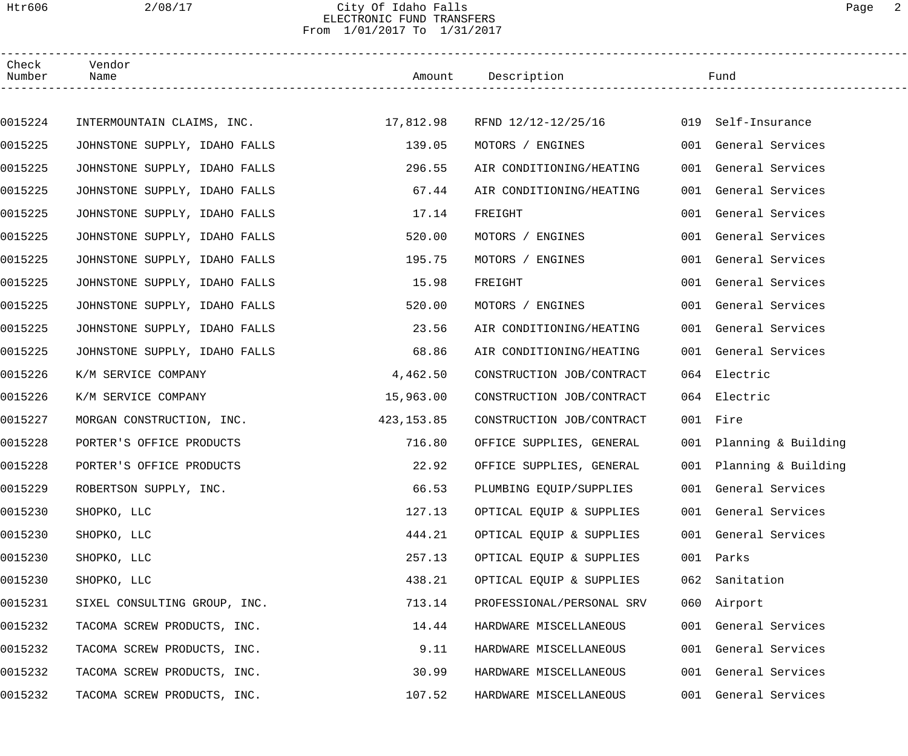### Htr606 2/08/17 City Of Idaho Falls Page 2 ELECTRONIC FUND TRANSFERS From 1/01/2017 To 1/31/2017

| Check<br>Number | Vendor<br>Name                |            | Amount Description                |     | Fund                    |
|-----------------|-------------------------------|------------|-----------------------------------|-----|-------------------------|
|                 |                               |            |                                   |     |                         |
| 0015224         | INTERMOUNTAIN CLAIMS, INC.    |            | $17,812.98$ RFND $12/12-12/25/16$ |     | 019 Self-Insurance      |
| 0015225         | JOHNSTONE SUPPLY, IDAHO FALLS | 139.05     | MOTORS / ENGINES                  |     | 001 General Services    |
| 0015225         | JOHNSTONE SUPPLY, IDAHO FALLS | 296.55     | AIR CONDITIONING/HEATING          |     | 001 General Services    |
| 0015225         | JOHNSTONE SUPPLY, IDAHO FALLS | 67.44      | AIR CONDITIONING/HEATING          |     | 001 General Services    |
| 0015225         | JOHNSTONE SUPPLY, IDAHO FALLS | 17.14      | FREIGHT                           |     | 001 General Services    |
| 0015225         | JOHNSTONE SUPPLY, IDAHO FALLS | 520.00     | MOTORS / ENGINES                  |     | 001 General Services    |
| 0015225         | JOHNSTONE SUPPLY, IDAHO FALLS | 195.75     | MOTORS / ENGINES                  |     | 001 General Services    |
| 0015225         | JOHNSTONE SUPPLY, IDAHO FALLS | 15.98      | FREIGHT                           |     | 001 General Services    |
| 0015225         | JOHNSTONE SUPPLY, IDAHO FALLS | 520.00     | MOTORS / ENGINES                  |     | 001 General Services    |
| 0015225         | JOHNSTONE SUPPLY, IDAHO FALLS | 23.56      | AIR CONDITIONING/HEATING          |     | 001 General Services    |
| 0015225         | JOHNSTONE SUPPLY, IDAHO FALLS | 68.86      | AIR CONDITIONING/HEATING          |     | 001 General Services    |
| 0015226         | K/M SERVICE COMPANY           | 4,462.50   | CONSTRUCTION JOB/CONTRACT         |     | 064 Electric            |
| 0015226         | K/M SERVICE COMPANY           | 15,963.00  | CONSTRUCTION JOB/CONTRACT         |     | 064 Electric            |
| 0015227         | MORGAN CONSTRUCTION, INC.     | 423,153.85 | CONSTRUCTION JOB/CONTRACT         |     | 001 Fire                |
| 0015228         | PORTER'S OFFICE PRODUCTS      | 716.80     | OFFICE SUPPLIES, GENERAL          |     | 001 Planning & Building |
| 0015228         | PORTER'S OFFICE PRODUCTS      | 22.92      | OFFICE SUPPLIES, GENERAL          |     | 001 Planning & Building |
| 0015229         | ROBERTSON SUPPLY, INC.        | 66.53      | PLUMBING EQUIP/SUPPLIES           |     | 001 General Services    |
| 0015230         | SHOPKO, LLC                   | 127.13     | OPTICAL EQUIP & SUPPLIES          |     | 001 General Services    |
| 0015230         | SHOPKO, LLC                   | 444.21     | OPTICAL EQUIP & SUPPLIES          |     | 001 General Services    |
| 0015230         | SHOPKO, LLC                   | 257.13     | OPTICAL EQUIP & SUPPLIES          |     | 001 Parks               |
| 0015230         | SHOPKO, LLC                   | 438.21     | OPTICAL EQUIP & SUPPLIES          | 062 | Sanitation              |
| 0015231         | SIXEL CONSULTING GROUP, INC.  | 713.14     | PROFESSIONAL/PERSONAL SRV         | 060 | Airport                 |
| 0015232         | TACOMA SCREW PRODUCTS, INC.   | 14.44      | HARDWARE MISCELLANEOUS            |     | 001 General Services    |
| 0015232         | TACOMA SCREW PRODUCTS, INC.   | 9.11       | HARDWARE MISCELLANEOUS            |     | 001 General Services    |
| 0015232         | TACOMA SCREW PRODUCTS, INC.   | 30.99      | HARDWARE MISCELLANEOUS            |     | 001 General Services    |
| 0015232         | TACOMA SCREW PRODUCTS, INC.   | 107.52     | HARDWARE MISCELLANEOUS            |     | 001 General Services    |
|                 |                               |            |                                   |     |                         |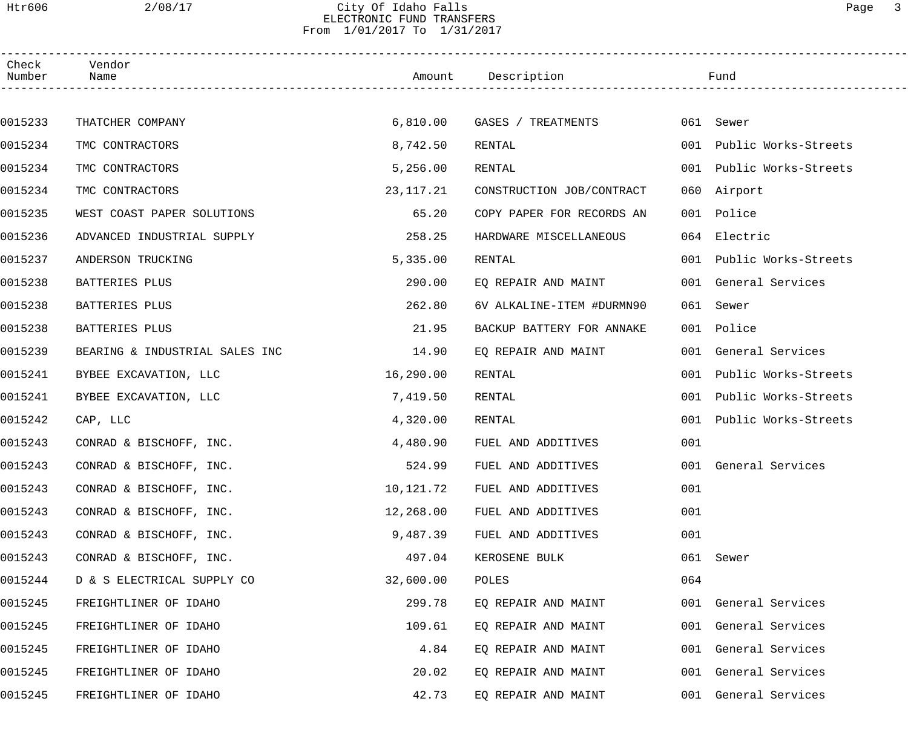### Htr606 2/08/17 City Of Idaho Falls Page 3 ELECTRONIC FUND TRANSFERS From 1/01/2017 To 1/31/2017

| Check<br>Number | Vendor<br>Name                 |           | Amount Description        |     | Fund                     |  |
|-----------------|--------------------------------|-----------|---------------------------|-----|--------------------------|--|
|                 |                                |           |                           |     |                          |  |
| 0015233         | THATCHER COMPANY               | 6,810.00  | GASES / TREATMENTS        |     | 061 Sewer                |  |
| 0015234         | TMC CONTRACTORS                | 8,742.50  | RENTAL                    |     | 001 Public Works-Streets |  |
| 0015234         | TMC CONTRACTORS                | 5,256.00  | RENTAL                    | 001 | Public Works-Streets     |  |
| 0015234         | TMC CONTRACTORS                | 23,117.21 | CONSTRUCTION JOB/CONTRACT | 060 | Airport                  |  |
| 0015235         | WEST COAST PAPER SOLUTIONS     | 65.20     | COPY PAPER FOR RECORDS AN | 001 | Police                   |  |
| 0015236         | ADVANCED INDUSTRIAL SUPPLY     | 258.25    | HARDWARE MISCELLANEOUS    |     | 064 Electric             |  |
| 0015237         | ANDERSON TRUCKING              | 5,335.00  | RENTAL                    |     | 001 Public Works-Streets |  |
| 0015238         | BATTERIES PLUS                 | 290.00    | EQ REPAIR AND MAINT       |     | 001 General Services     |  |
| 0015238         | BATTERIES PLUS                 | 262.80    | 6V ALKALINE-ITEM #DURMN90 | 061 | Sewer                    |  |
| 0015238         | BATTERIES PLUS                 | 21.95     | BACKUP BATTERY FOR ANNAKE |     | 001 Police               |  |
| 0015239         | BEARING & INDUSTRIAL SALES INC | 14.90     | EQ REPAIR AND MAINT       |     | 001 General Services     |  |
| 0015241         | BYBEE EXCAVATION, LLC          | 16,290.00 | RENTAL                    | 001 | Public Works-Streets     |  |
| 0015241         | BYBEE EXCAVATION, LLC          | 7,419.50  | RENTAL                    | 001 | Public Works-Streets     |  |
| 0015242         | CAP, LLC                       | 4,320.00  | RENTAL                    | 001 | Public Works-Streets     |  |
| 0015243         | CONRAD & BISCHOFF, INC.        | 4,480.90  | FUEL AND ADDITIVES        | 001 |                          |  |
| 0015243         | CONRAD & BISCHOFF, INC.        | 524.99    | FUEL AND ADDITIVES        |     | 001 General Services     |  |
| 0015243         | CONRAD & BISCHOFF, INC.        | 10,121.72 | FUEL AND ADDITIVES        | 001 |                          |  |
| 0015243         | CONRAD & BISCHOFF, INC.        | 12,268.00 | FUEL AND ADDITIVES        | 001 |                          |  |
| 0015243         | CONRAD & BISCHOFF, INC.        | 9,487.39  | FUEL AND ADDITIVES        | 001 |                          |  |
| 0015243         | CONRAD & BISCHOFF, INC.        | 497.04    | KEROSENE BULK             | 061 | Sewer                    |  |
| 0015244         | D & S ELECTRICAL SUPPLY CO     | 32,600.00 | POLES                     | 064 |                          |  |
| 0015245         | FREIGHTLINER OF IDAHO          | 299.78    | EQ REPAIR AND MAINT       |     | 001 General Services     |  |
| 0015245         | FREIGHTLINER OF IDAHO          | 109.61    | EQ REPAIR AND MAINT       |     | 001 General Services     |  |
| 0015245         | FREIGHTLINER OF IDAHO          | 4.84      | EQ REPAIR AND MAINT       |     | 001 General Services     |  |
| 0015245         | FREIGHTLINER OF IDAHO          | 20.02     | EQ REPAIR AND MAINT       |     | 001 General Services     |  |
| 0015245         | FREIGHTLINER OF IDAHO          | 42.73     | EQ REPAIR AND MAINT       |     | 001 General Services     |  |
|                 |                                |           |                           |     |                          |  |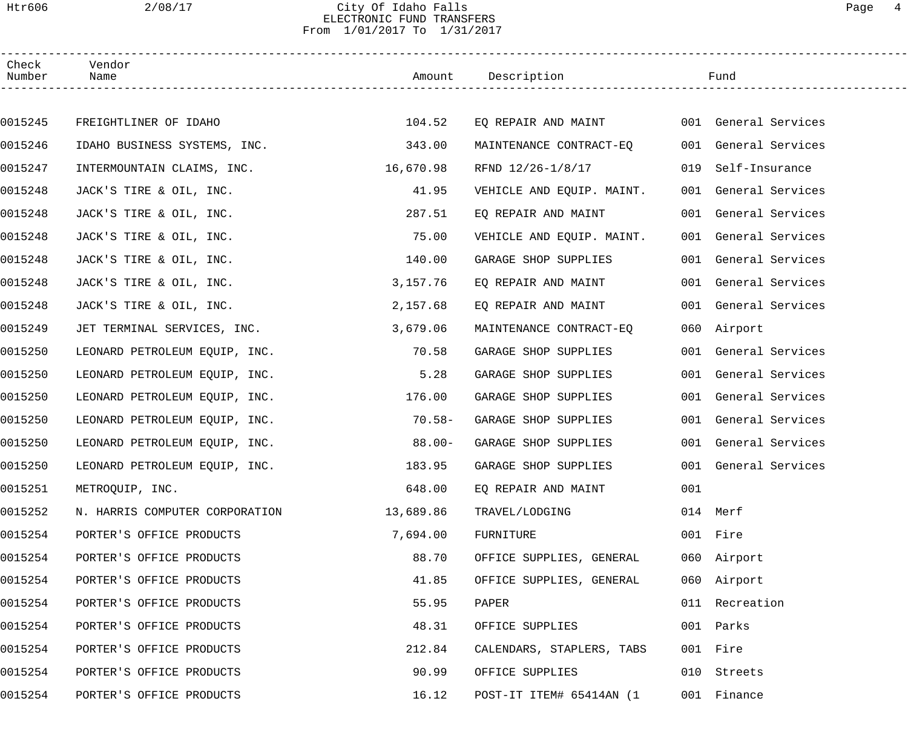### Htr606 2/08/17 City Of Idaho Falls Page 4 ELECTRONIC FUND TRANSFERS From 1/01/2017 To 1/31/2017

| Check<br>Number | Vendor<br>Name                       | Amount Description |                           |     | Fund                 |  |
|-----------------|--------------------------------------|--------------------|---------------------------|-----|----------------------|--|
|                 |                                      |                    |                           |     |                      |  |
| 0015245         | FREIGHTLINER OF IDAHO                | 104.52             | EQ REPAIR AND MAINT       |     | 001 General Services |  |
| 0015246         | IDAHO BUSINESS SYSTEMS, INC.         | 343.00             | MAINTENANCE CONTRACT-EQ   |     | 001 General Services |  |
| 0015247         | INTERMOUNTAIN CLAIMS, INC. 16,670.98 |                    | RFND 12/26-1/8/17         | 019 | Self-Insurance       |  |
| 0015248         | JACK'S TIRE & OIL, INC.              | 41.95              | VEHICLE AND EQUIP. MAINT. |     | 001 General Services |  |
| 0015248         | JACK'S TIRE & OIL, INC.              | 287.51             | EQ REPAIR AND MAINT       |     | 001 General Services |  |
| 0015248         | JACK'S TIRE & OIL, INC.              | 75.00              | VEHICLE AND EQUIP. MAINT. |     | 001 General Services |  |
| 0015248         | JACK'S TIRE & OIL, INC.              | 140.00             | GARAGE SHOP SUPPLIES      |     | 001 General Services |  |
| 0015248         | JACK'S TIRE & OIL, INC.              | 3,157.76           | EQ REPAIR AND MAINT       |     | 001 General Services |  |
| 0015248         | JACK'S TIRE & OIL, INC.              | 2,157.68           | EO REPAIR AND MAINT       |     | 001 General Services |  |
| 0015249         | JET TERMINAL SERVICES, INC.          | 3,679.06           | MAINTENANCE CONTRACT-EQ   |     | 060 Airport          |  |
| 0015250         | LEONARD PETROLEUM EQUIP, INC.        | 70.58              | GARAGE SHOP SUPPLIES      |     | 001 General Services |  |
| 0015250         | LEONARD PETROLEUM EQUIP, INC.        | 5.28               | GARAGE SHOP SUPPLIES      | 001 | General Services     |  |
| 0015250         | LEONARD PETROLEUM EQUIP, INC.        | 176.00             | GARAGE SHOP SUPPLIES      | 001 | General Services     |  |
| 0015250         | LEONARD PETROLEUM EQUIP, INC.        | $70.58 -$          | GARAGE SHOP SUPPLIES      |     | 001 General Services |  |
| 0015250         | LEONARD PETROLEUM EQUIP, INC.        | $88.00 -$          | GARAGE SHOP SUPPLIES      |     | 001 General Services |  |
| 0015250         | LEONARD PETROLEUM EQUIP, INC.        | 183.95             | GARAGE SHOP SUPPLIES      |     | 001 General Services |  |
| 0015251         | METROQUIP, INC.                      | 648.00             | EQ REPAIR AND MAINT       | 001 |                      |  |
| 0015252         | N. HARRIS COMPUTER CORPORATION       | 13,689.86          | TRAVEL/LODGING            |     | 014 Merf             |  |
| 0015254         | PORTER'S OFFICE PRODUCTS             | 7,694.00           | FURNITURE                 |     | 001 Fire             |  |
| 0015254         | PORTER'S OFFICE PRODUCTS             | 88.70              | OFFICE SUPPLIES, GENERAL  |     | 060 Airport          |  |
| 0015254         | PORTER'S OFFICE PRODUCTS             | 41.85              | OFFICE SUPPLIES, GENERAL  |     | 060 Airport          |  |
| 0015254         | PORTER'S OFFICE PRODUCTS             | 55.95              | PAPER                     |     | 011 Recreation       |  |
| 0015254         | PORTER'S OFFICE PRODUCTS             | 48.31              | OFFICE SUPPLIES           |     | 001 Parks            |  |
| 0015254         | PORTER'S OFFICE PRODUCTS             | 212.84             | CALENDARS, STAPLERS, TABS |     | 001 Fire             |  |
| 0015254         | PORTER'S OFFICE PRODUCTS             | 90.99              | OFFICE SUPPLIES           |     | 010 Streets          |  |
| 0015254         | PORTER'S OFFICE PRODUCTS             | 16.12              | POST-IT ITEM# 65414AN (1  |     | 001 Finance          |  |
|                 |                                      |                    |                           |     |                      |  |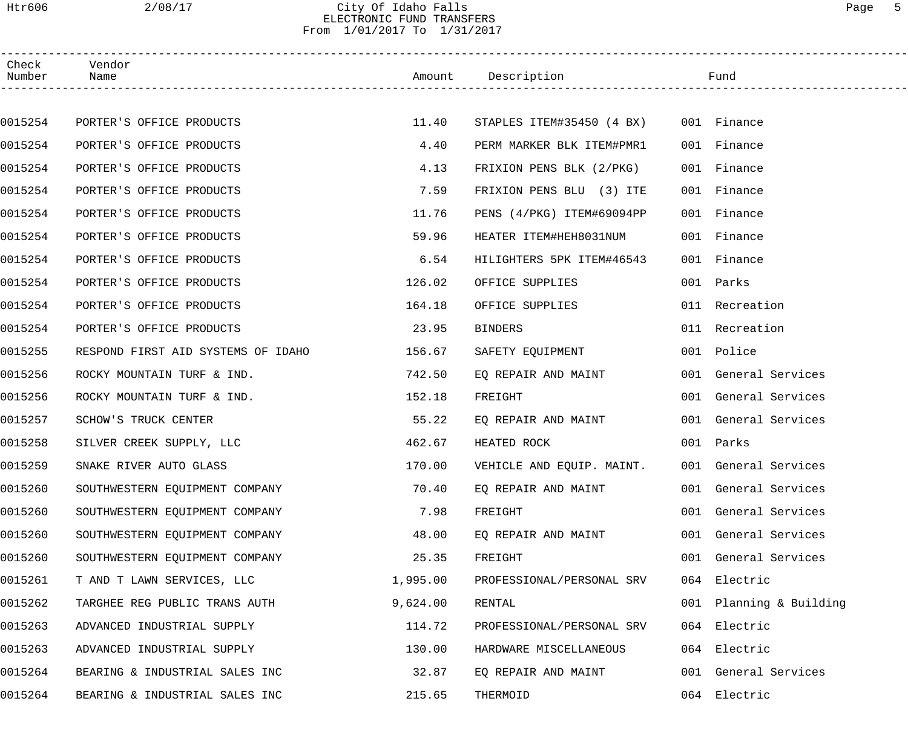### Htr606 2/08/17 City Of Idaho Falls Page 5 ELECTRONIC FUND TRANSFERS From 1/01/2017 To 1/31/2017

| Check<br>Number | Vendor<br>Name                     |          | Amount Description                    | Fund                    |
|-----------------|------------------------------------|----------|---------------------------------------|-------------------------|
|                 |                                    |          |                                       |                         |
| 0015254         | PORTER'S OFFICE PRODUCTS           | 11.40    | STAPLES ITEM#35450 (4 BX) 001 Finance |                         |
| 0015254         | PORTER'S OFFICE PRODUCTS           | 4.40     | PERM MARKER BLK ITEM#PMR1             | 001 Finance             |
| 0015254         | PORTER'S OFFICE PRODUCTS           | 4.13     | FRIXION PENS BLK (2/PKG)              | 001 Finance             |
| 0015254         | PORTER'S OFFICE PRODUCTS           | 7.59     | FRIXION PENS BLU (3) ITE              | 001 Finance             |
| 0015254         | PORTER'S OFFICE PRODUCTS           | 11.76    | PENS (4/PKG) ITEM#69094PP             | 001 Finance             |
| 0015254         | PORTER'S OFFICE PRODUCTS           | 59.96    | HEATER ITEM#HEH8031NUM                | 001 Finance             |
| 0015254         | PORTER'S OFFICE PRODUCTS           | 6.54     | HILIGHTERS 5PK ITEM#46543             | 001 Finance             |
| 0015254         | PORTER'S OFFICE PRODUCTS           | 126.02   | OFFICE SUPPLIES                       | 001 Parks               |
| 0015254         | PORTER'S OFFICE PRODUCTS           | 164.18   | OFFICE SUPPLIES                       | 011 Recreation          |
| 0015254         | PORTER'S OFFICE PRODUCTS           | 23.95    | BINDERS                               | 011 Recreation          |
| 0015255         | RESPOND FIRST AID SYSTEMS OF IDAHO | 156.67   | SAFETY EQUIPMENT                      | 001 Police              |
| 0015256         | ROCKY MOUNTAIN TURF & IND.         | 742.50   | EQ REPAIR AND MAINT                   | 001 General Services    |
| 0015256         | ROCKY MOUNTAIN TURF & IND.         | 152.18   | FREIGHT                               | 001 General Services    |
| 0015257         | SCHOW'S TRUCK CENTER               | 55.22    | EQ REPAIR AND MAINT                   | 001 General Services    |
| 0015258         | SILVER CREEK SUPPLY, LLC           | 462.67   | HEATED ROCK                           | 001 Parks               |
| 0015259         | SNAKE RIVER AUTO GLASS             | 170.00   | VEHICLE AND EQUIP. MAINT.             | 001 General Services    |
| 0015260         | SOUTHWESTERN EQUIPMENT COMPANY     | 70.40    | EQ REPAIR AND MAINT                   | 001 General Services    |
| 0015260         | SOUTHWESTERN EQUIPMENT COMPANY     | 7.98     | FREIGHT                               | 001 General Services    |
| 0015260         | SOUTHWESTERN EQUIPMENT COMPANY     | 48.00    | EQ REPAIR AND MAINT                   | 001 General Services    |
| 0015260         | SOUTHWESTERN EQUIPMENT COMPANY     | 25.35    | FREIGHT                               | 001 General Services    |
| 0015261         | T AND T LAWN SERVICES, LLC         | 1,995.00 | PROFESSIONAL/PERSONAL SRV             | 064 Electric            |
| 0015262         | TARGHEE REG PUBLIC TRANS AUTH      | 9,624.00 | RENTAL                                | 001 Planning & Building |
| 0015263         | ADVANCED INDUSTRIAL SUPPLY         | 114.72   | PROFESSIONAL/PERSONAL SRV             | 064 Electric            |
| 0015263         | ADVANCED INDUSTRIAL SUPPLY         | 130.00   | HARDWARE MISCELLANEOUS                | 064 Electric            |
| 0015264         | BEARING & INDUSTRIAL SALES INC     | 32.87    | EQ REPAIR AND MAINT                   | 001 General Services    |
| 0015264         | BEARING & INDUSTRIAL SALES INC     | 215.65   | THERMOID                              | 064 Electric            |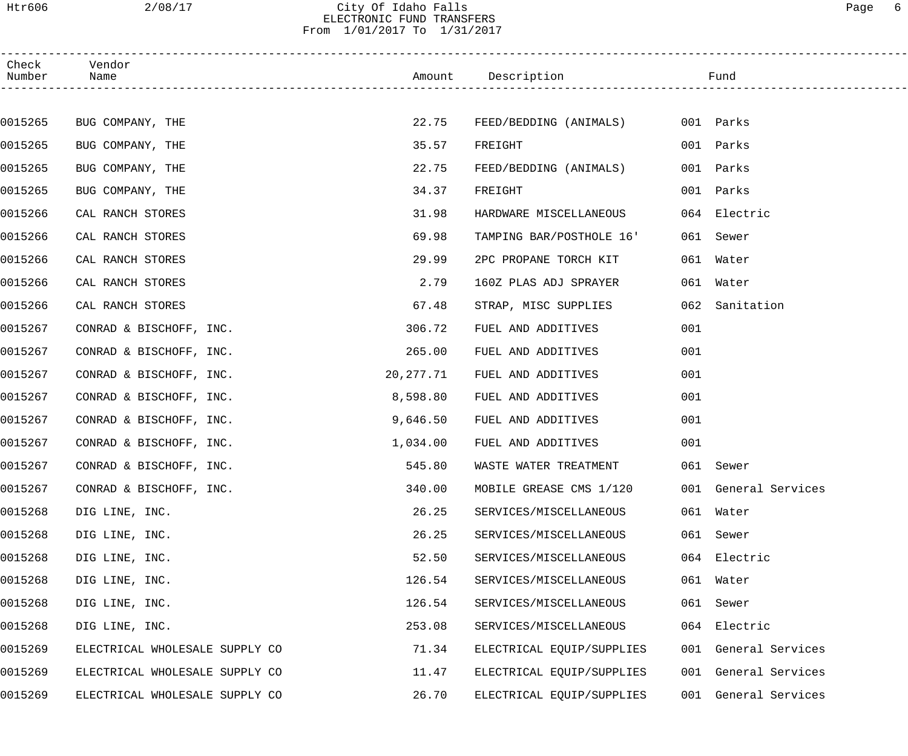### Htr606 2/08/17 City Of Idaho Falls Page 6 ELECTRONIC FUND TRANSFERS From 1/01/2017 To 1/31/2017

| Check<br>Number | Vendor<br>Name                 |           | Amount Description        |     | Fund                 |
|-----------------|--------------------------------|-----------|---------------------------|-----|----------------------|
|                 |                                |           |                           |     |                      |
| 0015265         | BUG COMPANY, THE               | 22.75     | FEED/BEDDING (ANIMALS)    |     | 001 Parks            |
| 0015265         | BUG COMPANY, THE               | 35.57     | FREIGHT                   |     | 001 Parks            |
| 0015265         | BUG COMPANY, THE               | 22.75     | FEED/BEDDING (ANIMALS)    |     | 001 Parks            |
| 0015265         | BUG COMPANY, THE               | 34.37     | FREIGHT                   |     | 001 Parks            |
| 0015266         | CAL RANCH STORES               | 31.98     | HARDWARE MISCELLANEOUS    |     | 064 Electric         |
| 0015266         | CAL RANCH STORES               | 69.98     | TAMPING BAR/POSTHOLE 16'  |     | 061 Sewer            |
| 0015266         | CAL RANCH STORES               | 29.99     | 2PC PROPANE TORCH KIT     |     | 061 Water            |
| 0015266         | CAL RANCH STORES               | 2.79      | 160Z PLAS ADJ SPRAYER     |     | 061 Water            |
| 0015266         | CAL RANCH STORES               | 67.48     | STRAP, MISC SUPPLIES      |     | 062 Sanitation       |
| 0015267         | CONRAD & BISCHOFF, INC.        | 306.72    | FUEL AND ADDITIVES        | 001 |                      |
| 0015267         | CONRAD & BISCHOFF, INC.        | 265.00    | FUEL AND ADDITIVES        | 001 |                      |
| 0015267         | CONRAD & BISCHOFF, INC.        | 20,277.71 | FUEL AND ADDITIVES        | 001 |                      |
| 0015267         | CONRAD & BISCHOFF, INC.        | 8,598.80  | FUEL AND ADDITIVES        | 001 |                      |
| 0015267         | CONRAD & BISCHOFF, INC.        | 9,646.50  | FUEL AND ADDITIVES        | 001 |                      |
| 0015267         | CONRAD & BISCHOFF, INC.        | 1,034.00  | FUEL AND ADDITIVES        | 001 |                      |
| 0015267         | CONRAD & BISCHOFF, INC.        | 545.80    | WASTE WATER TREATMENT     |     | 061 Sewer            |
| 0015267         | CONRAD & BISCHOFF, INC.        | 340.00    | MOBILE GREASE CMS 1/120   |     | 001 General Services |
| 0015268         | DIG LINE, INC.                 | 26.25     | SERVICES/MISCELLANEOUS    |     | 061 Water            |
| 0015268         | DIG LINE, INC.                 | 26.25     | SERVICES/MISCELLANEOUS    | 061 | Sewer                |
| 0015268         | DIG LINE, INC.                 | 52.50     | SERVICES/MISCELLANEOUS    |     | 064 Electric         |
| 0015268         | DIG LINE, INC.                 | 126.54    | SERVICES/MISCELLANEOUS    |     | 061 Water            |
| 0015268         | DIG LINE, INC.                 | 126.54    | SERVICES/MISCELLANEOUS    | 061 | Sewer                |
| 0015268         | DIG LINE, INC.                 | 253.08    | SERVICES/MISCELLANEOUS    |     | 064 Electric         |
| 0015269         | ELECTRICAL WHOLESALE SUPPLY CO | 71.34     | ELECTRICAL EQUIP/SUPPLIES |     | 001 General Services |
| 0015269         | ELECTRICAL WHOLESALE SUPPLY CO | 11.47     | ELECTRICAL EQUIP/SUPPLIES |     | 001 General Services |
| 0015269         | ELECTRICAL WHOLESALE SUPPLY CO | 26.70     | ELECTRICAL EQUIP/SUPPLIES |     | 001 General Services |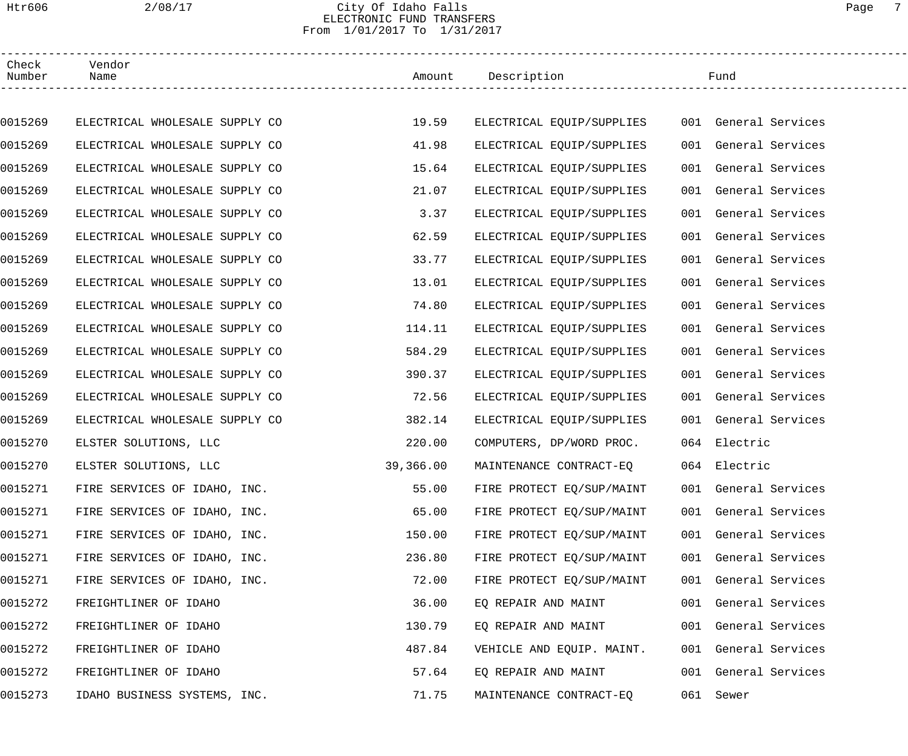### Htr606 2/08/17 City Of Idaho Falls Page 7 ELECTRONIC FUND TRANSFERS From 1/01/2017 To 1/31/2017

| Check<br>Number | Vendor<br>Name                 |           | Amount Description        | Fund                 |  |
|-----------------|--------------------------------|-----------|---------------------------|----------------------|--|
|                 |                                |           |                           |                      |  |
| 0015269         | ELECTRICAL WHOLESALE SUPPLY CO | 19.59     | ELECTRICAL EQUIP/SUPPLIES | 001 General Services |  |
| 0015269         | ELECTRICAL WHOLESALE SUPPLY CO | 41.98     | ELECTRICAL EQUIP/SUPPLIES | 001 General Services |  |
| 0015269         | ELECTRICAL WHOLESALE SUPPLY CO | 15.64     | ELECTRICAL EQUIP/SUPPLIES | 001 General Services |  |
| 0015269         | ELECTRICAL WHOLESALE SUPPLY CO | 21.07     | ELECTRICAL EQUIP/SUPPLIES | 001 General Services |  |
| 0015269         | ELECTRICAL WHOLESALE SUPPLY CO | 3.37      | ELECTRICAL EQUIP/SUPPLIES | 001 General Services |  |
| 0015269         | ELECTRICAL WHOLESALE SUPPLY CO | 62.59     | ELECTRICAL EQUIP/SUPPLIES | 001 General Services |  |
| 0015269         | ELECTRICAL WHOLESALE SUPPLY CO | 33.77     | ELECTRICAL EQUIP/SUPPLIES | 001 General Services |  |
| 0015269         | ELECTRICAL WHOLESALE SUPPLY CO | 13.01     | ELECTRICAL EQUIP/SUPPLIES | 001 General Services |  |
| 0015269         | ELECTRICAL WHOLESALE SUPPLY CO | 74.80     | ELECTRICAL EQUIP/SUPPLIES | 001 General Services |  |
| 0015269         | ELECTRICAL WHOLESALE SUPPLY CO | 114.11    | ELECTRICAL EQUIP/SUPPLIES | 001 General Services |  |
| 0015269         | ELECTRICAL WHOLESALE SUPPLY CO | 584.29    | ELECTRICAL EQUIP/SUPPLIES | 001 General Services |  |
| 0015269         | ELECTRICAL WHOLESALE SUPPLY CO | 390.37    | ELECTRICAL EQUIP/SUPPLIES | 001 General Services |  |
| 0015269         | ELECTRICAL WHOLESALE SUPPLY CO | 72.56     | ELECTRICAL EQUIP/SUPPLIES | 001 General Services |  |
| 0015269         | ELECTRICAL WHOLESALE SUPPLY CO | 382.14    | ELECTRICAL EQUIP/SUPPLIES | 001 General Services |  |
| 0015270         | ELSTER SOLUTIONS, LLC          | 220.00    | COMPUTERS, DP/WORD PROC.  | 064 Electric         |  |
| 0015270         | ELSTER SOLUTIONS, LLC          | 39,366.00 | MAINTENANCE CONTRACT-EQ   | 064 Electric         |  |
| 0015271         | FIRE SERVICES OF IDAHO, INC.   | 55.00     | FIRE PROTECT EQ/SUP/MAINT | 001 General Services |  |
| 0015271         | FIRE SERVICES OF IDAHO, INC.   | 65.00     | FIRE PROTECT EQ/SUP/MAINT | 001 General Services |  |
| 0015271         | FIRE SERVICES OF IDAHO, INC.   | 150.00    | FIRE PROTECT EQ/SUP/MAINT | 001 General Services |  |
| 0015271         | FIRE SERVICES OF IDAHO, INC.   | 236.80    | FIRE PROTECT EQ/SUP/MAINT | 001 General Services |  |
| 0015271         | FIRE SERVICES OF IDAHO, INC.   | 72.00     | FIRE PROTECT EQ/SUP/MAINT | 001 General Services |  |
| 0015272         | FREIGHTLINER OF IDAHO          | 36.00     | EQ REPAIR AND MAINT       | 001 General Services |  |
| 0015272         | FREIGHTLINER OF IDAHO          | 130.79    | EQ REPAIR AND MAINT       | 001 General Services |  |
| 0015272         | FREIGHTLINER OF IDAHO          | 487.84    | VEHICLE AND EQUIP. MAINT. | 001 General Services |  |
| 0015272         | FREIGHTLINER OF IDAHO          | 57.64     | EQ REPAIR AND MAINT       | 001 General Services |  |
| 0015273         | IDAHO BUSINESS SYSTEMS, INC.   | 71.75     | MAINTENANCE CONTRACT-EQ   | 061 Sewer            |  |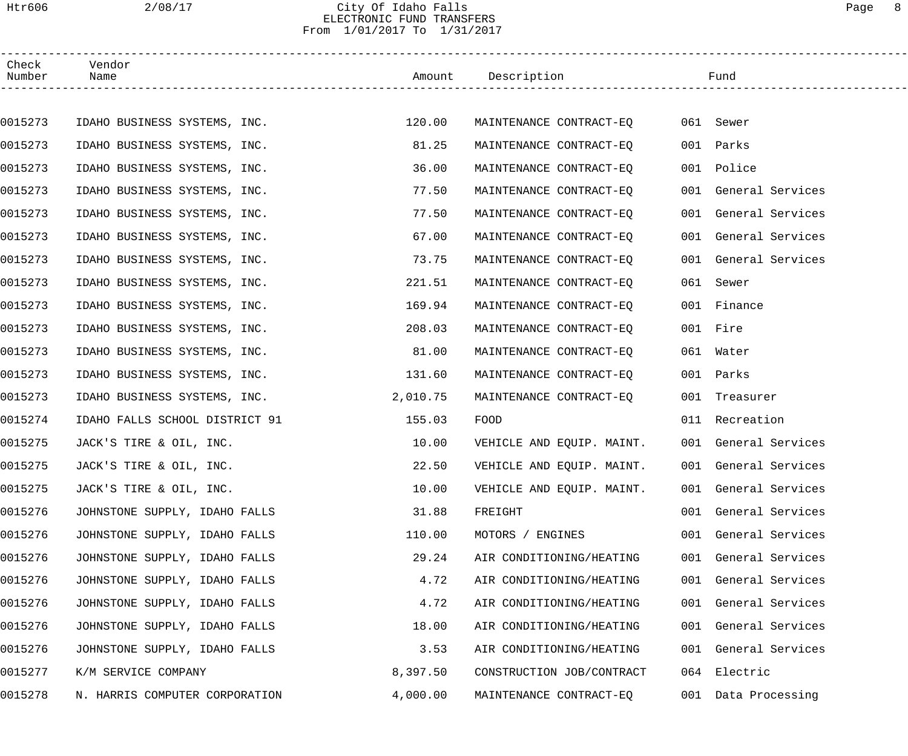## Htr606 2/08/17 City Of Idaho Falls Page 8 ELECTRONIC FUND TRANSFERS From 1/01/2017 To 1/31/2017

| Check<br>Number | Vendor<br>Name                 |          | Amount Description        | Fund                 |  |
|-----------------|--------------------------------|----------|---------------------------|----------------------|--|
|                 |                                |          |                           |                      |  |
| 0015273         | IDAHO BUSINESS SYSTEMS, INC.   | 120.00   | MAINTENANCE CONTRACT-EO   | 061 Sewer            |  |
| 0015273         | IDAHO BUSINESS SYSTEMS, INC.   | 81.25    | MAINTENANCE CONTRACT-EQ   | 001 Parks            |  |
| 0015273         | IDAHO BUSINESS SYSTEMS, INC.   | 36.00    | MAINTENANCE CONTRACT-EQ   | 001 Police           |  |
| 0015273         | IDAHO BUSINESS SYSTEMS, INC.   | 77.50    | MAINTENANCE CONTRACT-EO   | 001 General Services |  |
| 0015273         | IDAHO BUSINESS SYSTEMS, INC.   | 77.50    | MAINTENANCE CONTRACT-EQ   | 001 General Services |  |
| 0015273         | IDAHO BUSINESS SYSTEMS, INC.   | 67.00    | MAINTENANCE CONTRACT-EQ   | 001 General Services |  |
| 0015273         | IDAHO BUSINESS SYSTEMS, INC.   | 73.75    | MAINTENANCE CONTRACT-EQ   | 001 General Services |  |
| 0015273         | IDAHO BUSINESS SYSTEMS, INC.   | 221.51   | MAINTENANCE CONTRACT-EO   | 061 Sewer            |  |
| 0015273         | IDAHO BUSINESS SYSTEMS, INC.   | 169.94   | MAINTENANCE CONTRACT-EQ   | 001 Finance          |  |
| 0015273         | IDAHO BUSINESS SYSTEMS, INC.   | 208.03   | MAINTENANCE CONTRACT-EQ   | 001 Fire             |  |
| 0015273         | IDAHO BUSINESS SYSTEMS, INC.   | 81.00    | MAINTENANCE CONTRACT-EO   | 061 Water            |  |
| 0015273         | IDAHO BUSINESS SYSTEMS, INC.   | 131.60   | MAINTENANCE CONTRACT-EQ   | 001 Parks            |  |
| 0015273         | IDAHO BUSINESS SYSTEMS, INC.   | 2,010.75 | MAINTENANCE CONTRACT-EQ   | 001 Treasurer        |  |
| 0015274         | IDAHO FALLS SCHOOL DISTRICT 91 | 155.03   | <b>FOOD</b>               | 011 Recreation       |  |
| 0015275         | JACK'S TIRE & OIL, INC.        | 10.00    | VEHICLE AND EQUIP. MAINT. | 001 General Services |  |
| 0015275         | JACK'S TIRE & OIL, INC.        | 22.50    | VEHICLE AND EQUIP. MAINT. | 001 General Services |  |
| 0015275         | JACK'S TIRE & OIL, INC.        | 10.00    | VEHICLE AND EQUIP. MAINT. | 001 General Services |  |
| 0015276         | JOHNSTONE SUPPLY, IDAHO FALLS  | 31.88    | FREIGHT                   | 001 General Services |  |
| 0015276         | JOHNSTONE SUPPLY, IDAHO FALLS  | 110.00   | MOTORS / ENGINES          | 001 General Services |  |
| 0015276         | JOHNSTONE SUPPLY, IDAHO FALLS  | 29.24    | AIR CONDITIONING/HEATING  | 001 General Services |  |
| 0015276         | JOHNSTONE SUPPLY, IDAHO FALLS  | 4.72     | AIR CONDITIONING/HEATING  | 001 General Services |  |
| 0015276         | JOHNSTONE SUPPLY, IDAHO FALLS  | 4.72     | AIR CONDITIONING/HEATING  | 001 General Services |  |
| 0015276         | JOHNSTONE SUPPLY, IDAHO FALLS  | 18.00    | AIR CONDITIONING/HEATING  | 001 General Services |  |
| 0015276         | JOHNSTONE SUPPLY, IDAHO FALLS  | 3.53     | AIR CONDITIONING/HEATING  | 001 General Services |  |
| 0015277         | K/M SERVICE COMPANY            | 8,397.50 | CONSTRUCTION JOB/CONTRACT | 064 Electric         |  |
| 0015278         | N. HARRIS COMPUTER CORPORATION | 4,000.00 | MAINTENANCE CONTRACT-EQ   | 001 Data Processing  |  |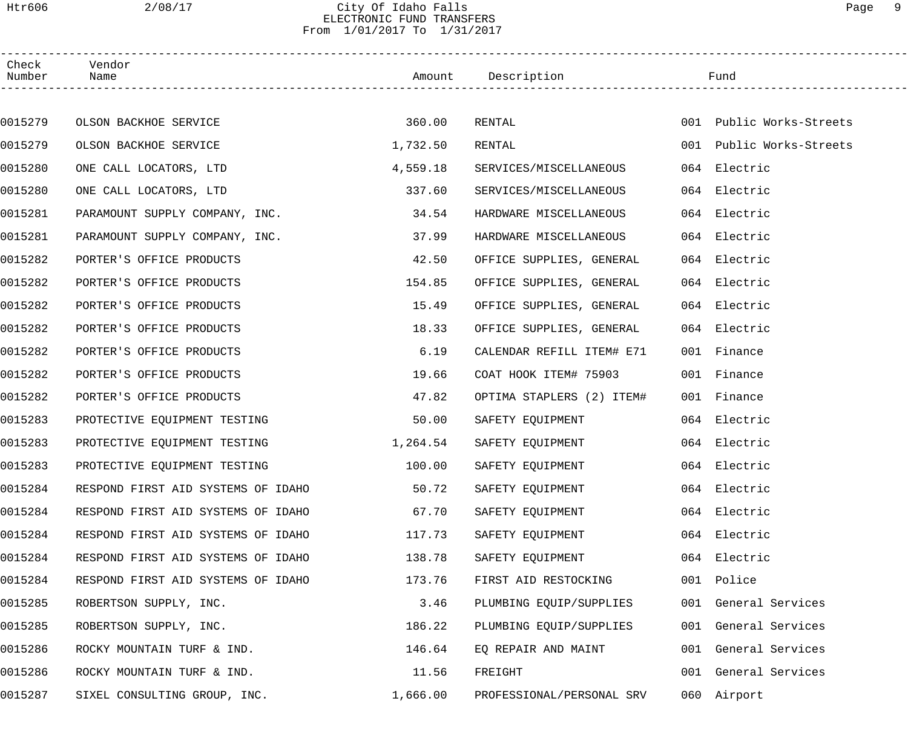### Htr606 2/08/17 City Of Idaho Falls Page 9 ELECTRONIC FUND TRANSFERS From 1/01/2017 To 1/31/2017

| Check<br>Number | Vendor<br>Name                     |          | Amount Description        | Fund                     |  |
|-----------------|------------------------------------|----------|---------------------------|--------------------------|--|
|                 |                                    |          |                           |                          |  |
| 0015279         | OLSON BACKHOE SERVICE              | 360.00   | RENTAL                    | 001 Public Works-Streets |  |
| 0015279         | OLSON BACKHOE SERVICE              | 1,732.50 | RENTAL                    | 001 Public Works-Streets |  |
| 0015280         | ONE CALL LOCATORS, LTD             | 4,559.18 | SERVICES/MISCELLANEOUS    | 064 Electric             |  |
| 0015280         | ONE CALL LOCATORS, LTD             | 337.60   | SERVICES/MISCELLANEOUS    | 064 Electric             |  |
| 0015281         | PARAMOUNT SUPPLY COMPANY, INC.     | 34.54    | HARDWARE MISCELLANEOUS    | 064 Electric             |  |
| 0015281         | PARAMOUNT SUPPLY COMPANY, INC.     | 37.99    | HARDWARE MISCELLANEOUS    | 064 Electric             |  |
| 0015282         | PORTER'S OFFICE PRODUCTS           | 42.50    | OFFICE SUPPLIES, GENERAL  | 064 Electric             |  |
| 0015282         | PORTER'S OFFICE PRODUCTS           | 154.85   | OFFICE SUPPLIES, GENERAL  | 064 Electric             |  |
| 0015282         | PORTER'S OFFICE PRODUCTS           | 15.49    | OFFICE SUPPLIES, GENERAL  | 064 Electric             |  |
| 0015282         | PORTER'S OFFICE PRODUCTS           | 18.33    | OFFICE SUPPLIES, GENERAL  | 064 Electric             |  |
| 0015282         | PORTER'S OFFICE PRODUCTS           | 6.19     | CALENDAR REFILL ITEM# E71 | 001 Finance              |  |
| 0015282         | PORTER'S OFFICE PRODUCTS           | 19.66    | COAT HOOK ITEM# 75903     | 001 Finance              |  |
| 0015282         | PORTER'S OFFICE PRODUCTS           | 47.82    | OPTIMA STAPLERS (2) ITEM# | 001 Finance              |  |
| 0015283         | PROTECTIVE EQUIPMENT TESTING       | 50.00    | SAFETY EQUIPMENT          | 064 Electric             |  |
| 0015283         | PROTECTIVE EQUIPMENT TESTING       | 1,264.54 | SAFETY EQUIPMENT          | 064 Electric             |  |
| 0015283         | PROTECTIVE EQUIPMENT TESTING       | 100.00   | SAFETY EQUIPMENT          | 064 Electric             |  |
| 0015284         | RESPOND FIRST AID SYSTEMS OF IDAHO | 50.72    | SAFETY EQUIPMENT          | 064 Electric             |  |
| 0015284         | RESPOND FIRST AID SYSTEMS OF IDAHO | 67.70    | SAFETY EQUIPMENT          | 064 Electric             |  |
| 0015284         | RESPOND FIRST AID SYSTEMS OF IDAHO | 117.73   | SAFETY EQUIPMENT          | 064 Electric             |  |
| 0015284         | RESPOND FIRST AID SYSTEMS OF IDAHO | 138.78   | SAFETY EQUIPMENT          | 064 Electric             |  |
| 0015284         | RESPOND FIRST AID SYSTEMS OF IDAHO | 173.76   | FIRST AID RESTOCKING      | 001 Police               |  |
| 0015285         | ROBERTSON SUPPLY, INC.             | 3.46     | PLUMBING EQUIP/SUPPLIES   | 001 General Services     |  |
| 0015285         | ROBERTSON SUPPLY, INC.             | 186.22   | PLUMBING EQUIP/SUPPLIES   | 001 General Services     |  |
| 0015286         | ROCKY MOUNTAIN TURF & IND.         | 146.64   | EQ REPAIR AND MAINT       | 001 General Services     |  |
| 0015286         | ROCKY MOUNTAIN TURF & IND.         | 11.56    | FREIGHT                   | 001 General Services     |  |
| 0015287         | SIXEL CONSULTING GROUP, INC.       | 1,666.00 | PROFESSIONAL/PERSONAL SRV | 060 Airport              |  |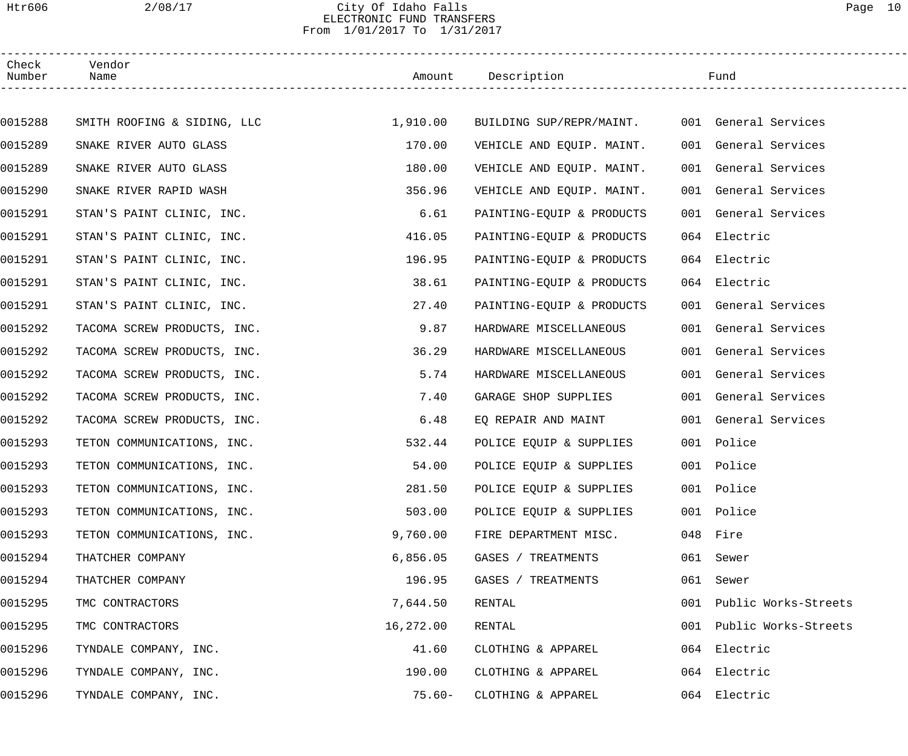### Htr606 2/08/17 City Of Idaho Falls Page 10 ELECTRONIC FUND TRANSFERS From 1/01/2017 To 1/31/2017

| Check<br>Number | Vendor<br>Name              |           | Amount Description        |     | Fund                 |
|-----------------|-----------------------------|-----------|---------------------------|-----|----------------------|
|                 |                             |           |                           |     |                      |
| 0015288         | SMITH ROOFING & SIDING, LLC | 1,910.00  | BUILDING SUP/REPR/MAINT.  |     | 001 General Services |
| 0015289         | SNAKE RIVER AUTO GLASS      | 170.00    | VEHICLE AND EQUIP. MAINT. |     | 001 General Services |
| 0015289         | SNAKE RIVER AUTO GLASS      | 180.00    | VEHICLE AND EQUIP. MAINT. |     | 001 General Services |
| 0015290         | SNAKE RIVER RAPID WASH      | 356.96    | VEHICLE AND EQUIP. MAINT. |     | 001 General Services |
| 0015291         | STAN'S PAINT CLINIC, INC.   | 6.61      | PAINTING-EQUIP & PRODUCTS |     | 001 General Services |
| 0015291         | STAN'S PAINT CLINIC, INC.   | 416.05    | PAINTING-EQUIP & PRODUCTS |     | 064 Electric         |
| 0015291         | STAN'S PAINT CLINIC, INC.   | 196.95    | PAINTING-EQUIP & PRODUCTS |     | 064 Electric         |
| 0015291         | STAN'S PAINT CLINIC, INC.   | 38.61     | PAINTING-EQUIP & PRODUCTS |     | 064 Electric         |
| 0015291         | STAN'S PAINT CLINIC, INC.   | 27.40     | PAINTING-EQUIP & PRODUCTS |     | 001 General Services |
| 0015292         | TACOMA SCREW PRODUCTS, INC. | 9.87      | HARDWARE MISCELLANEOUS    |     | 001 General Services |
| 0015292         | TACOMA SCREW PRODUCTS, INC. | 36.29     | HARDWARE MISCELLANEOUS    |     | 001 General Services |
| 0015292         | TACOMA SCREW PRODUCTS, INC. | 5.74      | HARDWARE MISCELLANEOUS    |     | 001 General Services |
| 0015292         | TACOMA SCREW PRODUCTS, INC. | 7.40      | GARAGE SHOP SUPPLIES      |     | 001 General Services |
| 0015292         | TACOMA SCREW PRODUCTS, INC. | 6.48      | EQ REPAIR AND MAINT       |     | 001 General Services |
| 0015293         | TETON COMMUNICATIONS, INC.  | 532.44    | POLICE EQUIP & SUPPLIES   |     | 001 Police           |
| 0015293         | TETON COMMUNICATIONS, INC.  | 54.00     | POLICE EQUIP & SUPPLIES   |     | 001 Police           |
| 0015293         | TETON COMMUNICATIONS, INC.  | 281.50    | POLICE EQUIP & SUPPLIES   |     | 001 Police           |
| 0015293         | TETON COMMUNICATIONS, INC.  | 503.00    | POLICE EQUIP & SUPPLIES   |     | 001 Police           |
| 0015293         | TETON COMMUNICATIONS, INC.  | 9,760.00  | FIRE DEPARTMENT MISC.     | 048 | Fire                 |
| 0015294         | THATCHER COMPANY            | 6,856.05  | GASES / TREATMENTS        | 061 | Sewer                |
| 0015294         | THATCHER COMPANY            | 196.95    | GASES / TREATMENTS        | 061 | Sewer                |
| 0015295         | TMC CONTRACTORS             | 7,644.50  | RENTAL                    | 001 | Public Works-Streets |
| 0015295         | TMC CONTRACTORS             | 16,272.00 | RENTAL                    | 001 | Public Works-Streets |
| 0015296         | TYNDALE COMPANY, INC.       | 41.60     | CLOTHING & APPAREL        |     | 064 Electric         |
| 0015296         | TYNDALE COMPANY, INC.       | 190.00    | CLOTHING & APPAREL        |     | 064 Electric         |
| 0015296         | TYNDALE COMPANY, INC.       | $75.60 -$ | CLOTHING & APPAREL        |     | 064 Electric         |
|                 |                             |           |                           |     |                      |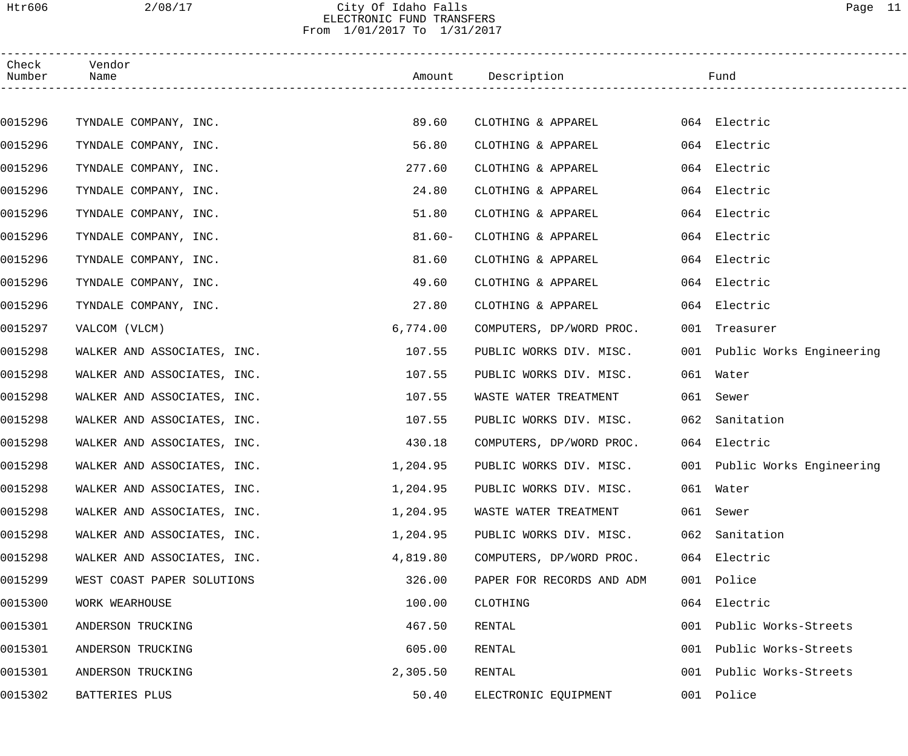### Htr606 2/08/17 City Of Idaho Falls Page 11 ELECTRONIC FUND TRANSFERS From 1/01/2017 To 1/31/2017

| Check<br>Number | Vendor<br>Name              |           | Amount Description                                   | Fund                         |
|-----------------|-----------------------------|-----------|------------------------------------------------------|------------------------------|
|                 |                             |           |                                                      |                              |
| 0015296         | TYNDALE COMPANY, INC.       | 89.60     | CLOTHING & APPAREL 064 Electric                      |                              |
| 0015296         | TYNDALE COMPANY, INC.       | 56.80     | CLOTHING & APPAREL                                   | 064 Electric                 |
| 0015296         | TYNDALE COMPANY, INC.       | 277.60    | CLOTHING & APPAREL                                   | 064 Electric                 |
| 0015296         | TYNDALE COMPANY, INC.       | 24.80     | CLOTHING & APPAREL                                   | 064 Electric                 |
| 0015296         | TYNDALE COMPANY, INC.       | 51.80     | CLOTHING & APPAREL                                   | 064 Electric                 |
| 0015296         | TYNDALE COMPANY, INC.       | $81.60 -$ | CLOTHING & APPAREL                                   | 064 Electric                 |
| 0015296         | TYNDALE COMPANY, INC.       | 81.60     | CLOTHING & APPAREL                                   | 064 Electric                 |
| 0015296         | TYNDALE COMPANY, INC.       | 49.60     | CLOTHING & APPAREL                                   | 064 Electric                 |
| 0015296         | TYNDALE COMPANY, INC.       | 27.80     | CLOTHING & APPAREL                                   | 064 Electric                 |
| 0015297         | VALCOM (VLCM)               | 6,774.00  | COMPUTERS, DP/WORD PROC.                             | 001 Treasurer                |
| 0015298         | WALKER AND ASSOCIATES, INC. | 107.55    | PUBLIC WORKS DIV. MISC.                              | 001 Public Works Engineering |
| 0015298         | WALKER AND ASSOCIATES, INC. | 107.55    | PUBLIC WORKS DIV. MISC.                              | 061 Water                    |
| 0015298         | WALKER AND ASSOCIATES, INC. | 107.55    | WASTE WATER TREATMENT                                | 061 Sewer                    |
| 0015298         | WALKER AND ASSOCIATES, INC. | 107.55    | PUBLIC WORKS DIV. MISC.                              | 062 Sanitation               |
| 0015298         | WALKER AND ASSOCIATES, INC. | 430.18    | COMPUTERS, DP/WORD PROC.                             | 064 Electric                 |
| 0015298         | WALKER AND ASSOCIATES, INC. | 1,204.95  | PUBLIC WORKS DIV. MISC. 001 Public Works Engineering |                              |
| 0015298         | WALKER AND ASSOCIATES, INC. | 1,204.95  | PUBLIC WORKS DIV. MISC.                              | 061 Water                    |
| 0015298         | WALKER AND ASSOCIATES, INC. | 1,204.95  | WASTE WATER TREATMENT                                | 061 Sewer                    |
| 0015298         | WALKER AND ASSOCIATES, INC. | 1,204.95  | PUBLIC WORKS DIV. MISC.                              | 062 Sanitation               |
| 0015298         | WALKER AND ASSOCIATES, INC. | 4,819.80  | COMPUTERS, DP/WORD PROC.                             | 064 Electric                 |
| 0015299         | WEST COAST PAPER SOLUTIONS  | 326.00    | PAPER FOR RECORDS AND ADM                            | 001 Police                   |
| 0015300         | WORK WEARHOUSE              | 100.00    | CLOTHING                                             | 064 Electric                 |
| 0015301         | ANDERSON TRUCKING           | 467.50    | RENTAL                                               | 001 Public Works-Streets     |
| 0015301         | ANDERSON TRUCKING           | 605.00    | RENTAL                                               | 001 Public Works-Streets     |
| 0015301         | ANDERSON TRUCKING           | 2,305.50  | RENTAL                                               | 001 Public Works-Streets     |
| 0015302         | BATTERIES PLUS              | 50.40     | ELECTRONIC EQUIPMENT                                 | 001 Police                   |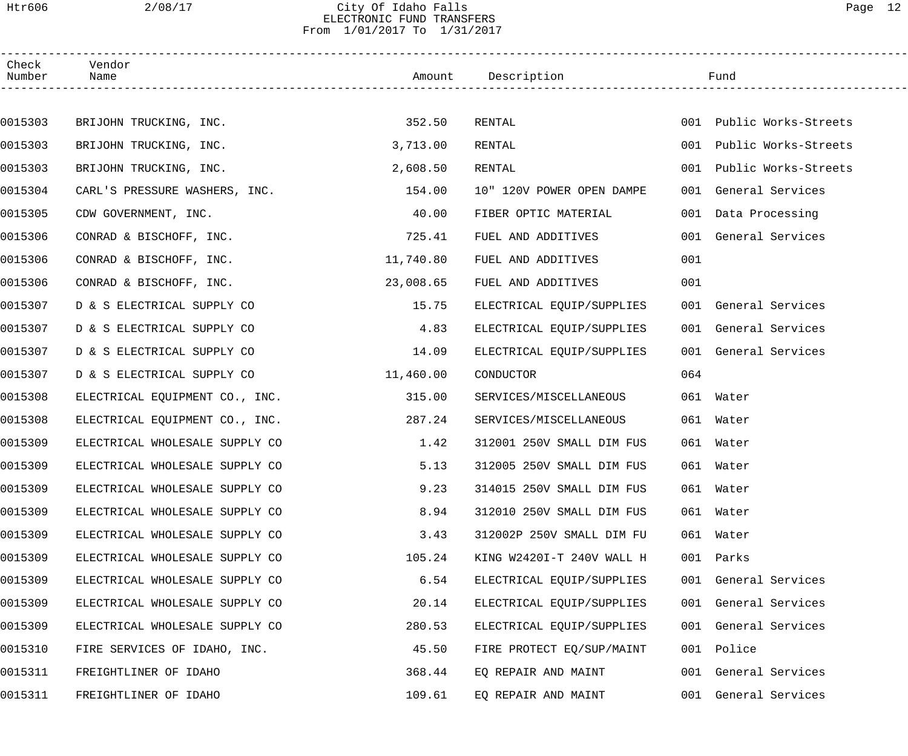### Htr606 2/08/17 City Of Idaho Falls Page 12 ELECTRONIC FUND TRANSFERS From 1/01/2017 To 1/31/2017

| Check<br>Number | Vendor<br>Name                 |           | Amount Description        |     | Fund                     |  |
|-----------------|--------------------------------|-----------|---------------------------|-----|--------------------------|--|
|                 |                                |           |                           |     |                          |  |
| 0015303         | BRIJOHN TRUCKING, INC.         | 352.50    | RENTAL                    |     | 001 Public Works-Streets |  |
| 0015303         | BRIJOHN TRUCKING, INC.         | 3,713.00  | RENTAL                    |     | 001 Public Works-Streets |  |
| 0015303         | BRIJOHN TRUCKING, INC.         | 2,608.50  | RENTAL                    | 001 | Public Works-Streets     |  |
| 0015304         | CARL'S PRESSURE WASHERS, INC.  | 154.00    | 10" 120V POWER OPEN DAMPE |     | 001 General Services     |  |
| 0015305         | CDW GOVERNMENT, INC.           | 40.00     | FIBER OPTIC MATERIAL      |     | 001 Data Processing      |  |
| 0015306         | CONRAD & BISCHOFF, INC.        | 725.41    | FUEL AND ADDITIVES        |     | 001 General Services     |  |
| 0015306         | CONRAD & BISCHOFF, INC.        | 11,740.80 | FUEL AND ADDITIVES        | 001 |                          |  |
| 0015306         | CONRAD & BISCHOFF, INC.        | 23,008.65 | FUEL AND ADDITIVES        | 001 |                          |  |
| 0015307         | D & S ELECTRICAL SUPPLY CO     | 15.75     | ELECTRICAL EQUIP/SUPPLIES |     | 001 General Services     |  |
| 0015307         | D & S ELECTRICAL SUPPLY CO     | 4.83      | ELECTRICAL EQUIP/SUPPLIES |     | 001 General Services     |  |
| 0015307         | D & S ELECTRICAL SUPPLY CO     | 14.09     | ELECTRICAL EQUIP/SUPPLIES |     | 001 General Services     |  |
| 0015307         | D & S ELECTRICAL SUPPLY CO     | 11,460.00 | CONDUCTOR                 | 064 |                          |  |
| 0015308         | ELECTRICAL EQUIPMENT CO., INC. | 315.00    | SERVICES/MISCELLANEOUS    |     | 061 Water                |  |
| 0015308         | ELECTRICAL EQUIPMENT CO., INC. | 287.24    | SERVICES/MISCELLANEOUS    |     | 061 Water                |  |
| 0015309         | ELECTRICAL WHOLESALE SUPPLY CO | 1.42      | 312001 250V SMALL DIM FUS |     | 061 Water                |  |
| 0015309         | ELECTRICAL WHOLESALE SUPPLY CO | 5.13      | 312005 250V SMALL DIM FUS |     | 061 Water                |  |
| 0015309         | ELECTRICAL WHOLESALE SUPPLY CO | 9.23      | 314015 250V SMALL DIM FUS |     | 061 Water                |  |
| 0015309         | ELECTRICAL WHOLESALE SUPPLY CO | 8.94      | 312010 250V SMALL DIM FUS |     | 061 Water                |  |
| 0015309         | ELECTRICAL WHOLESALE SUPPLY CO | 3.43      | 312002P 250V SMALL DIM FU |     | 061 Water                |  |
| 0015309         | ELECTRICAL WHOLESALE SUPPLY CO | 105.24    | KING W2420I-T 240V WALL H |     | 001 Parks                |  |
| 0015309         | ELECTRICAL WHOLESALE SUPPLY CO | 6.54      | ELECTRICAL EQUIP/SUPPLIES |     | 001 General Services     |  |
| 0015309         | ELECTRICAL WHOLESALE SUPPLY CO | 20.14     | ELECTRICAL EQUIP/SUPPLIES |     | 001 General Services     |  |
| 0015309         | ELECTRICAL WHOLESALE SUPPLY CO | 280.53    | ELECTRICAL EQUIP/SUPPLIES |     | 001 General Services     |  |
| 0015310         | FIRE SERVICES OF IDAHO, INC.   | 45.50     | FIRE PROTECT EQ/SUP/MAINT |     | 001 Police               |  |
| 0015311         | FREIGHTLINER OF IDAHO          | 368.44    | EQ REPAIR AND MAINT       |     | 001 General Services     |  |
| 0015311         | FREIGHTLINER OF IDAHO          | 109.61    | EQ REPAIR AND MAINT       |     | 001 General Services     |  |
|                 |                                |           |                           |     |                          |  |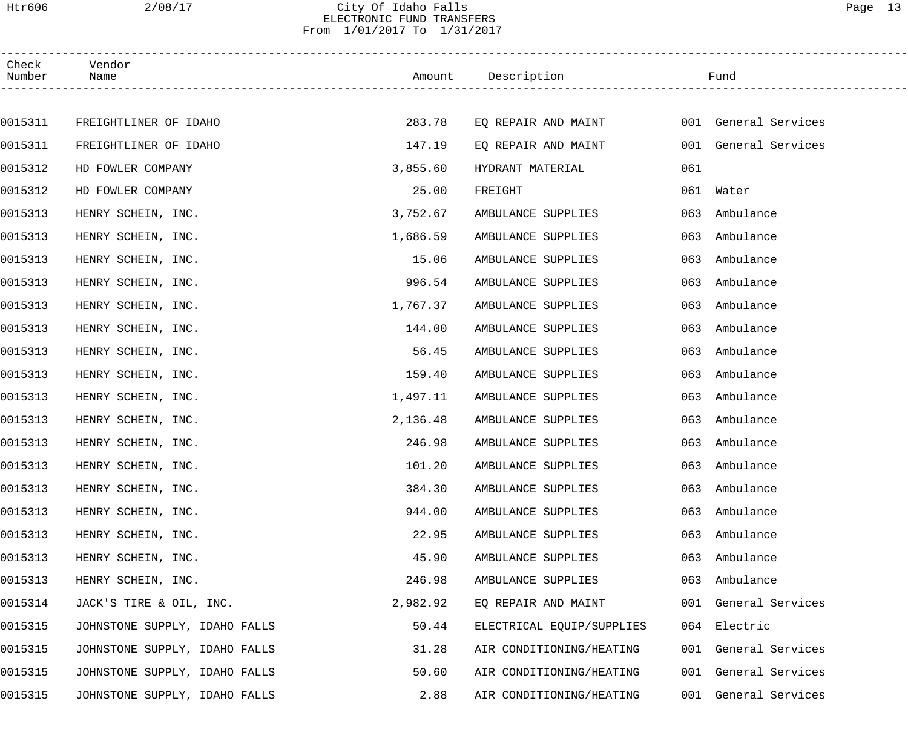### Htr606 2/08/17 City Of Idaho Falls Page 13 ELECTRONIC FUND TRANSFERS From 1/01/2017 To 1/31/2017

| Check<br>Number | Vendor<br>Name                |          | Amount Description        |     | Fund                 |  |
|-----------------|-------------------------------|----------|---------------------------|-----|----------------------|--|
|                 |                               |          |                           |     |                      |  |
| 0015311         | FREIGHTLINER OF IDAHO         | 283.78   | EQ REPAIR AND MAINT       |     | 001 General Services |  |
| 0015311         | FREIGHTLINER OF IDAHO         | 147.19   | EQ REPAIR AND MAINT       |     | 001 General Services |  |
| 0015312         | HD FOWLER COMPANY             | 3,855.60 | HYDRANT MATERIAL          | 061 |                      |  |
| 0015312         | HD FOWLER COMPANY             | 25.00    | FREIGHT                   |     | 061 Water            |  |
| 0015313         | HENRY SCHEIN, INC.            | 3,752.67 | AMBULANCE SUPPLIES        | 063 | Ambulance            |  |
| 0015313         | HENRY SCHEIN, INC.            | 1,686.59 | AMBULANCE SUPPLIES        | 063 | Ambulance            |  |
| 0015313         | HENRY SCHEIN, INC.            | 15.06    | AMBULANCE SUPPLIES        | 063 | Ambulance            |  |
| 0015313         | HENRY SCHEIN, INC.            | 996.54   | AMBULANCE SUPPLIES        | 063 | Ambulance            |  |
| 0015313         | HENRY SCHEIN, INC.            | 1,767.37 | AMBULANCE SUPPLIES        | 063 | Ambulance            |  |
| 0015313         | HENRY SCHEIN, INC.            | 144.00   | AMBULANCE SUPPLIES        | 063 | Ambulance            |  |
| 0015313         | HENRY SCHEIN, INC.            | 56.45    | AMBULANCE SUPPLIES        | 063 | Ambulance            |  |
| 0015313         | HENRY SCHEIN, INC.            | 159.40   | AMBULANCE SUPPLIES        | 063 | Ambulance            |  |
| 0015313         | HENRY SCHEIN, INC.            | 1,497.11 | AMBULANCE SUPPLIES        | 063 | Ambulance            |  |
| 0015313         | HENRY SCHEIN, INC.            | 2,136.48 | AMBULANCE SUPPLIES        | 063 | Ambulance            |  |
| 0015313         | HENRY SCHEIN, INC.            | 246.98   | AMBULANCE SUPPLIES        | 063 | Ambulance            |  |
| 0015313         | HENRY SCHEIN, INC.            | 101.20   | AMBULANCE SUPPLIES        |     | 063 Ambulance        |  |
| 0015313         | HENRY SCHEIN, INC.            | 384.30   | AMBULANCE SUPPLIES        |     | 063 Ambulance        |  |
| 0015313         | HENRY SCHEIN, INC.            | 944.00   | AMBULANCE SUPPLIES        | 063 | Ambulance            |  |
| 0015313         | HENRY SCHEIN, INC.            | 22.95    | AMBULANCE SUPPLIES        | 063 | Ambulance            |  |
| 0015313         | HENRY SCHEIN, INC.            | 45.90    | AMBULANCE SUPPLIES        | 063 | Ambulance            |  |
| 0015313         | HENRY SCHEIN, INC.            | 246.98   | AMBULANCE SUPPLIES        | 063 | Ambulance            |  |
| 0015314         | JACK'S TIRE & OIL, INC.       | 2,982.92 | EQ REPAIR AND MAINT       |     | 001 General Services |  |
| 0015315         | JOHNSTONE SUPPLY, IDAHO FALLS | 50.44    | ELECTRICAL EQUIP/SUPPLIES |     | 064 Electric         |  |
| 0015315         | JOHNSTONE SUPPLY, IDAHO FALLS | 31.28    | AIR CONDITIONING/HEATING  |     | 001 General Services |  |
| 0015315         | JOHNSTONE SUPPLY, IDAHO FALLS | 50.60    | AIR CONDITIONING/HEATING  |     | 001 General Services |  |
| 0015315         | JOHNSTONE SUPPLY, IDAHO FALLS | 2.88     | AIR CONDITIONING/HEATING  |     | 001 General Services |  |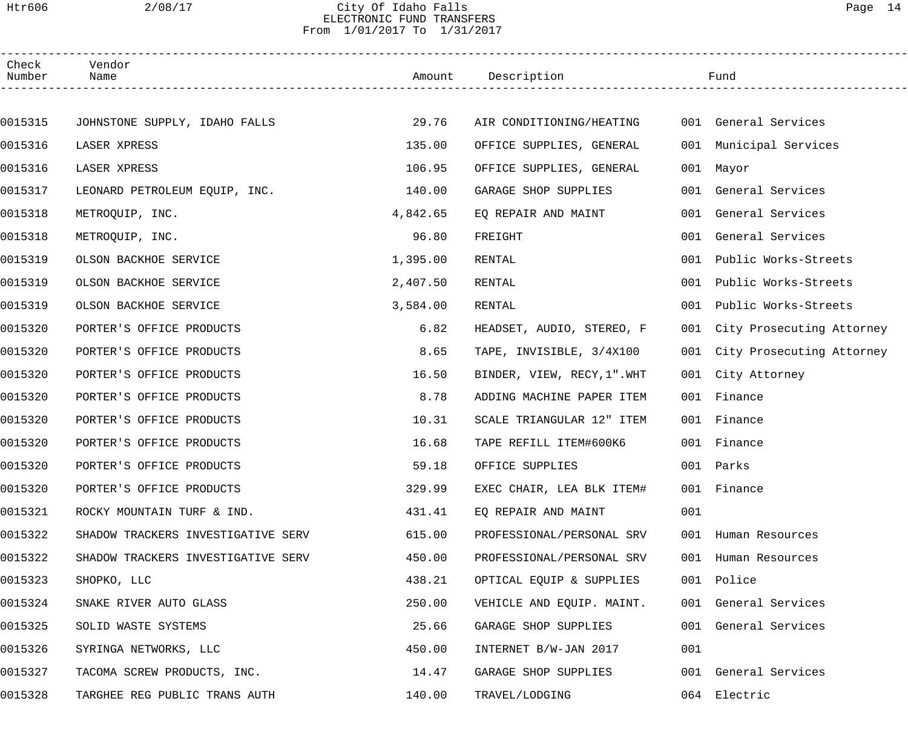### Htr606 2/08/17 City Of Idaho Falls Page 14 ELECTRONIC FUND TRANSFERS From 1/01/2017 To 1/31/2017

| Check<br>Number | Vendor<br>Name                     |          | Amount Description          |     | Fund                          |
|-----------------|------------------------------------|----------|-----------------------------|-----|-------------------------------|
|                 |                                    |          |                             |     |                               |
| 0015315         | JOHNSTONE SUPPLY, IDAHO FALLS      | 29.76    | AIR CONDITIONING/HEATING    |     | 001 General Services          |
| 0015316         | LASER XPRESS                       | 135.00   | OFFICE SUPPLIES, GENERAL    |     | 001 Municipal Services        |
| 0015316         | LASER XPRESS                       | 106.95   | OFFICE SUPPLIES, GENERAL    |     | 001 Mayor                     |
| 0015317         | LEONARD PETROLEUM EQUIP, INC.      | 140.00   | GARAGE SHOP SUPPLIES        |     | 001 General Services          |
| 0015318         | METROQUIP, INC.                    | 4,842.65 | EQ REPAIR AND MAINT         | 001 | General Services              |
| 0015318         | METROQUIP, INC.                    | 96.80    | FREIGHT                     | 001 | General Services              |
| 0015319         | OLSON BACKHOE SERVICE              | 1,395.00 | RENTAL                      | 001 | Public Works-Streets          |
| 0015319         | OLSON BACKHOE SERVICE              | 2,407.50 | RENTAL                      |     | 001 Public Works-Streets      |
| 0015319         | OLSON BACKHOE SERVICE              | 3,584.00 | RENTAL                      |     | 001 Public Works-Streets      |
| 0015320         | PORTER'S OFFICE PRODUCTS           | 6.82     | HEADSET, AUDIO, STEREO, F   |     | 001 City Prosecuting Attorney |
| 0015320         | PORTER'S OFFICE PRODUCTS           | 8.65     | TAPE, INVISIBLE, 3/4X100    |     | 001 City Prosecuting Attorney |
| 0015320         | PORTER'S OFFICE PRODUCTS           | 16.50    | BINDER, VIEW, RECY, 1". WHT |     | 001 City Attorney             |
| 0015320         | PORTER'S OFFICE PRODUCTS           | 8.78     | ADDING MACHINE PAPER ITEM   | 001 | Finance                       |
| 0015320         | PORTER'S OFFICE PRODUCTS           | 10.31    | SCALE TRIANGULAR 12" ITEM   |     | 001 Finance                   |
| 0015320         | PORTER'S OFFICE PRODUCTS           | 16.68    | TAPE REFILL ITEM#600K6      |     | 001 Finance                   |
| 0015320         | PORTER'S OFFICE PRODUCTS           | 59.18    | OFFICE SUPPLIES             |     | 001 Parks                     |
| 0015320         | PORTER'S OFFICE PRODUCTS           | 329.99   | EXEC CHAIR, LEA BLK ITEM#   |     | 001 Finance                   |
| 0015321         | ROCKY MOUNTAIN TURF & IND.         | 431.41   | EO REPAIR AND MAINT         | 001 |                               |
| 0015322         | SHADOW TRACKERS INVESTIGATIVE SERV | 615.00   | PROFESSIONAL/PERSONAL SRV   |     | 001 Human Resources           |
| 0015322         | SHADOW TRACKERS INVESTIGATIVE SERV | 450.00   | PROFESSIONAL/PERSONAL SRV   |     | 001 Human Resources           |
| 0015323         | SHOPKO, LLC                        | 438.21   | OPTICAL EQUIP & SUPPLIES    |     | 001 Police                    |
| 0015324         | SNAKE RIVER AUTO GLASS             | 250.00   | VEHICLE AND EQUIP. MAINT.   |     | 001 General Services          |
| 0015325         | SOLID WASTE SYSTEMS                | 25.66    | GARAGE SHOP SUPPLIES        | 001 | General Services              |
| 0015326         | SYRINGA NETWORKS, LLC              | 450.00   | INTERNET B/W-JAN 2017       | 001 |                               |
| 0015327         | TACOMA SCREW PRODUCTS, INC.        | 14.47    | GARAGE SHOP SUPPLIES        |     | 001 General Services          |
| 0015328         | TARGHEE REG PUBLIC TRANS AUTH      | 140.00   | TRAVEL/LODGING              |     | 064 Electric                  |
|                 |                                    |          |                             |     |                               |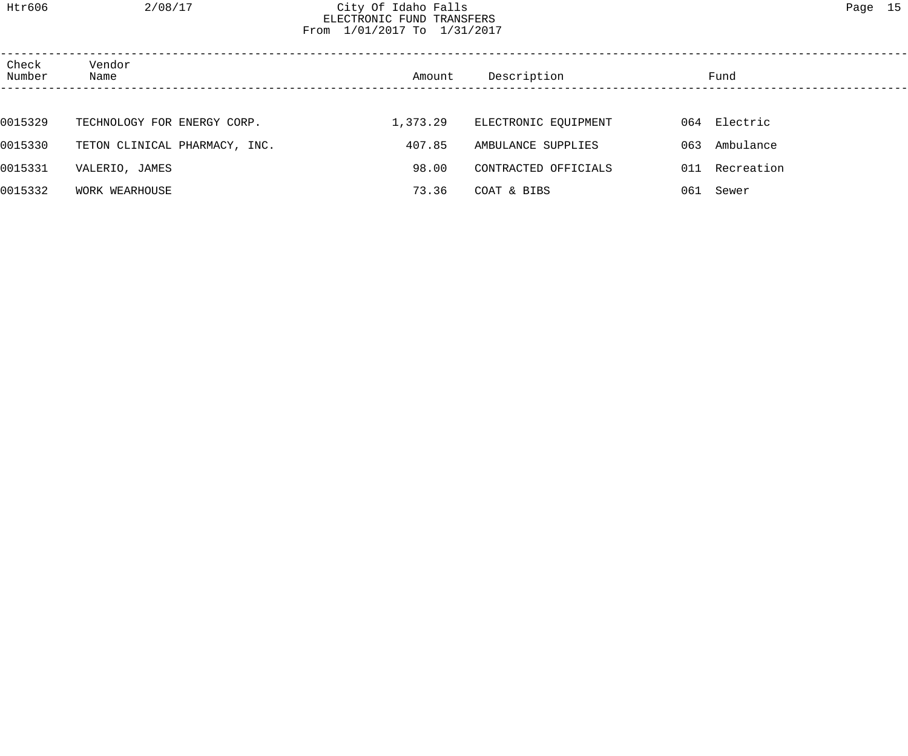## Htr606 2/08/17 City Of Idaho Falls Page 15 ELECTRONIC FUND TRANSFERS From 1/01/2017 To 1/31/2017

| Check<br>Number | Vendor<br>Name                | Amount   | Description          |     | Fund         |
|-----------------|-------------------------------|----------|----------------------|-----|--------------|
|                 |                               |          |                      |     |              |
| 0015329         | TECHNOLOGY FOR ENERGY CORP.   | 1,373.29 | ELECTRONIC EQUIPMENT |     | 064 Electric |
| 0015330         | TETON CLINICAL PHARMACY, INC. | 407.85   | AMBULANCE SUPPLIES   | 063 | Ambulance    |
| 0015331         | VALERIO, JAMES                | 98.00    | CONTRACTED OFFICIALS | 011 | Recreation   |
| 0015332         | WORK WEARHOUSE                | 73.36    | COAT & BIBS          | 061 | Sewer        |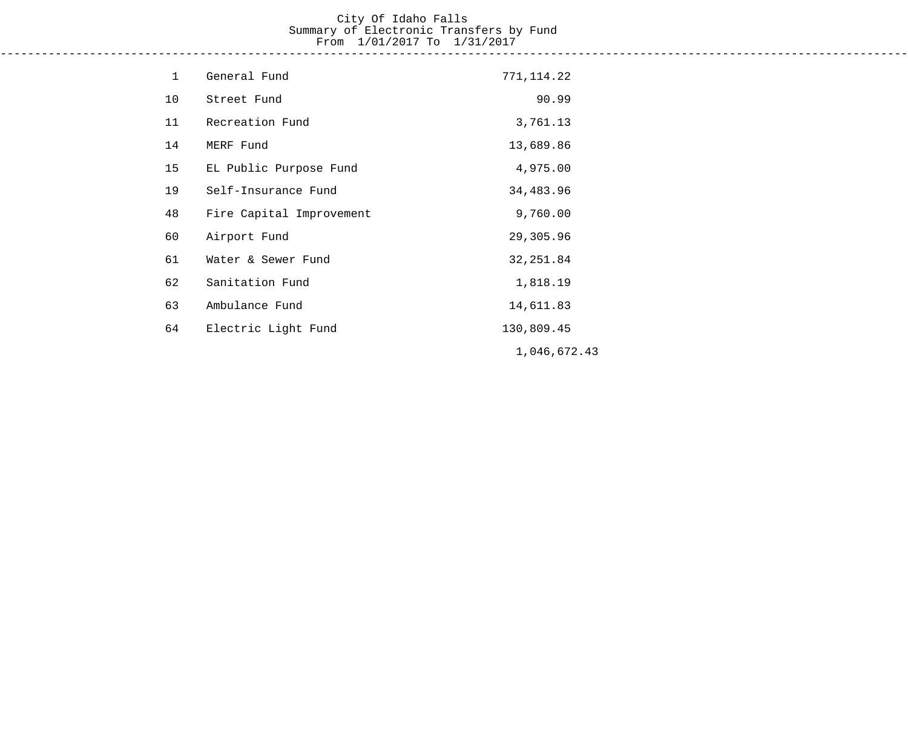## City Of Idaho Falls Summary of Electronic Transfers by Fund From 1/01/2017 To 1/31/2017

------------------------------------------------------------------------------------------------------------------------------------

| $\mathbf{1}$ | General Fund             | 771, 114.22  |
|--------------|--------------------------|--------------|
| 10           | Street Fund              | 90.99        |
| 11           | Recreation Fund          | 3,761.13     |
| 14           | MERF Fund                | 13,689.86    |
| 15           | EL Public Purpose Fund   | 4,975.00     |
| 19           | Self-Insurance Fund      | 34,483.96    |
| 48           | Fire Capital Improvement | 9,760.00     |
| 60           | Airport Fund             | 29,305.96    |
| 61           | Water & Sewer Fund       | 32, 251.84   |
| 62           | Sanitation Fund          | 1,818.19     |
| 63           | Ambulance Fund           | 14,611.83    |
| 64           | Electric Light Fund      | 130,809.45   |
|              |                          | 1,046,672.43 |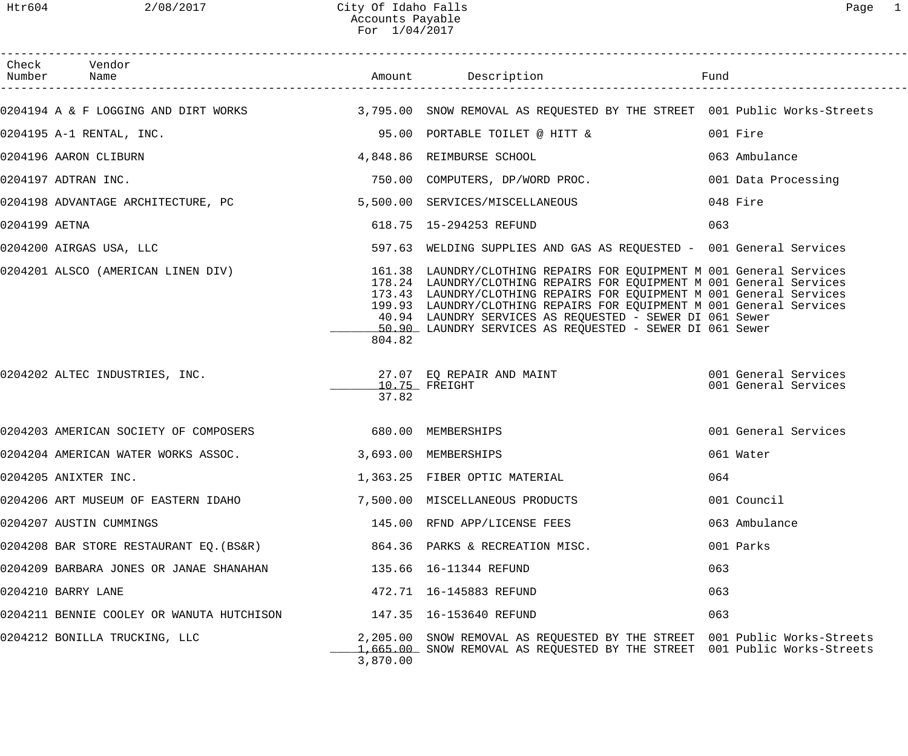|               | Check Vendor<br>Number Name                                                                                    |                      | Amount Description                                                                                                                                                                                                                                                                                                                                                                                                   |                                              |
|---------------|----------------------------------------------------------------------------------------------------------------|----------------------|----------------------------------------------------------------------------------------------------------------------------------------------------------------------------------------------------------------------------------------------------------------------------------------------------------------------------------------------------------------------------------------------------------------------|----------------------------------------------|
|               | 0204194 A & F LOGGING AND DIRT WORKS 3,795.00 SNOW REMOVAL AS REQUESTED BY THE STREET 001 Public Works-Streets |                      |                                                                                                                                                                                                                                                                                                                                                                                                                      |                                              |
|               | 0204195 A-1 RENTAL, INC.                                                                                       |                      | 95.00 PORTABLE TOILET @ HITT &                                                                                                                                                                                                                                                                                                                                                                                       | 001 Fire                                     |
|               | 0204196 AARON CLIBURN                                                                                          |                      | 4,848.86 REIMBURSE SCHOOL                                                                                                                                                                                                                                                                                                                                                                                            | 063 Ambulance                                |
|               | 0204197 ADTRAN INC.                                                                                            |                      | 750.00 COMPUTERS, DP/WORD PROC.                                                                                                                                                                                                                                                                                                                                                                                      | 001 Data Processing                          |
|               | 0204198 ADVANTAGE ARCHITECTURE, PC                                                                             |                      | 5,500.00 SERVICES/MISCELLANEOUS                                                                                                                                                                                                                                                                                                                                                                                      | 048 Fire                                     |
| 0204199 AETNA |                                                                                                                |                      | 618.75  15-294253 REFUND                                                                                                                                                                                                                                                                                                                                                                                             | 063                                          |
|               | 0204200 AIRGAS USA, LLC                                                                                        |                      | 597.63 WELDING SUPPLIES AND GAS AS REQUESTED - 001 General Services                                                                                                                                                                                                                                                                                                                                                  |                                              |
|               | 0204201 ALSCO (AMERICAN LINEN DIV)                                                                             | 804.82               | 161.38 LAUNDRY/CLOTHING REPAIRS FOR EQUIPMENT M 001 General Services<br>178.24 LAUNDRY/CLOTHING REPAIRS FOR EQUIPMENT M 001 General Services<br>173.43 LAUNDRY/CLOTHING REPAIRS FOR EOUIPMENT M 001 General Services<br>199.93 LAUNDRY/CLOTHING REPAIRS FOR EQUIPMENT M 001 General Services<br>40.94 LAUNDRY SERVICES AS REQUESTED - SEWER DI 061 Sewer<br>50.90 LAUNDRY SERVICES AS REQUESTED - SEWER DI 061 Sewer |                                              |
|               | 0204202 ALTEC INDUSTRIES, INC. 27.07 EQ REPAIR AND MAINT                                                       | 37.82                | $\_10.75$ FREIGHT                                                                                                                                                                                                                                                                                                                                                                                                    | 001 General Services<br>001 General Services |
|               | 0204203 AMERICAN SOCIETY OF COMPOSERS 680.00 MEMBERSHIPS                                                       |                      |                                                                                                                                                                                                                                                                                                                                                                                                                      | 001 General Services                         |
|               | 0204204 AMERICAN WATER WORKS ASSOC.                                                                            | 3,693.00 MEMBERSHIPS |                                                                                                                                                                                                                                                                                                                                                                                                                      | 061 Water                                    |
|               | 0204205 ANIXTER INC.                                                                                           |                      | 1,363.25 FIBER OPTIC MATERIAL                                                                                                                                                                                                                                                                                                                                                                                        | 064                                          |
|               | 0204206 ART MUSEUM OF EASTERN IDAHO                                                                            |                      | 7,500.00 MISCELLANEOUS PRODUCTS                                                                                                                                                                                                                                                                                                                                                                                      | 001 Council                                  |
|               | 0204207 AUSTIN CUMMINGS                                                                                        |                      | 145.00 RFND APP/LICENSE FEES                                                                                                                                                                                                                                                                                                                                                                                         | 063 Ambulance                                |
|               | 0204208 BAR STORE RESTAURANT EQ.(BS&R)                                                                         |                      | 864.36 PARKS & RECREATION MISC.                                                                                                                                                                                                                                                                                                                                                                                      | 001 Parks                                    |
|               | 0204209 BARBARA JONES OR JANAE SHANAHAN                                                                        |                      | 135.66  16-11344 REFUND                                                                                                                                                                                                                                                                                                                                                                                              | 063                                          |
|               | 0204210 BARRY LANE                                                                                             |                      | 472.71  16-145883 REFUND                                                                                                                                                                                                                                                                                                                                                                                             | 063                                          |
|               | 0204211 BENNIE COOLEY OR WANUTA HUTCHISON 147.35 16-153640 REFUND                                              |                      |                                                                                                                                                                                                                                                                                                                                                                                                                      | 063                                          |
|               | 0204212 BONILLA TRUCKING, LLC                                                                                  | 3,870.00             | 2,205.00 SNOW REMOVAL AS REQUESTED BY THE STREET 001 Public Works-Streets<br>1,665.00 SNOW REMOVAL AS REQUESTED BY THE STREET 001 Public Works-Streets                                                                                                                                                                                                                                                               |                                              |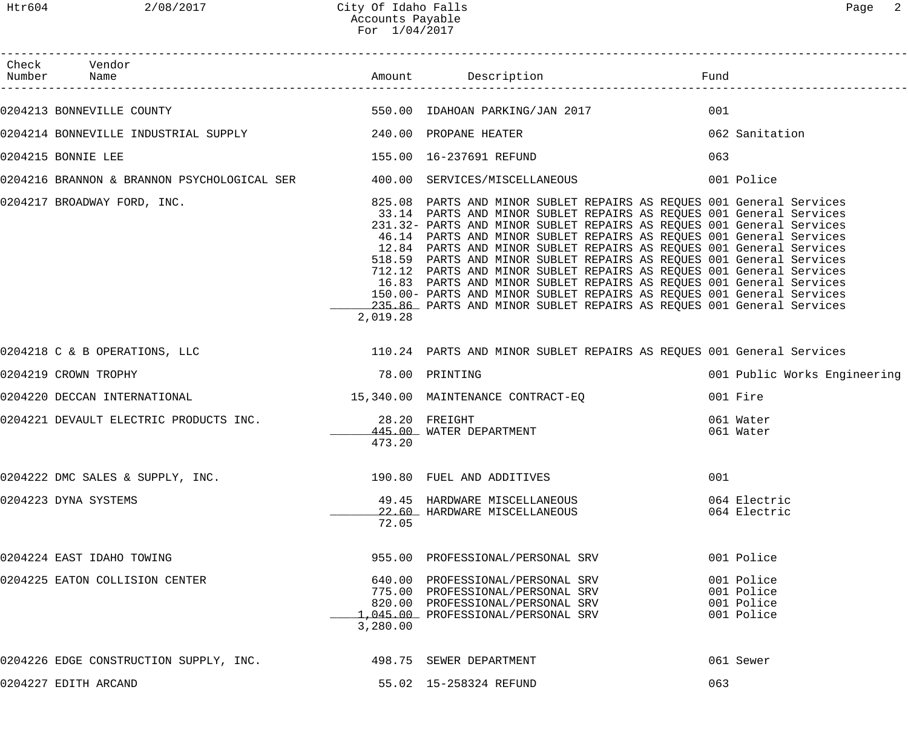| Check Vendor<br>Number Name                                     |                |                                                                                                                                                                                                                                                                                                                                                                                                                                                                                                                                                                                                                                                                                                                                            |                                                      |
|-----------------------------------------------------------------|----------------|--------------------------------------------------------------------------------------------------------------------------------------------------------------------------------------------------------------------------------------------------------------------------------------------------------------------------------------------------------------------------------------------------------------------------------------------------------------------------------------------------------------------------------------------------------------------------------------------------------------------------------------------------------------------------------------------------------------------------------------------|------------------------------------------------------|
|                                                                 |                |                                                                                                                                                                                                                                                                                                                                                                                                                                                                                                                                                                                                                                                                                                                                            | 001                                                  |
|                                                                 |                |                                                                                                                                                                                                                                                                                                                                                                                                                                                                                                                                                                                                                                                                                                                                            | 062 Sanitation                                       |
| 0204215 BONNIE LEE                                              |                | 155.00  16-237691 REFUND                                                                                                                                                                                                                                                                                                                                                                                                                                                                                                                                                                                                                                                                                                                   | 063                                                  |
|                                                                 |                | 0204216 BRANNON & BRANNON PSYCHOLOGICAL SER <a> 400.00 SERVICES/MISCELLANEOUS</a> 601 Police 601 Police 601 Police 601 Police 601 Police 601 Police 601 Police 601 Police 601 Police 601 P                                                                                                                                                                                                                                                                                                                                                                                                                                                                                                                                                 |                                                      |
| 0204217 BROADWAY FORD, INC.                                     | 2,019.28       | 825.08 PARTS AND MINOR SUBLET REPAIRS AS REQUES 001 General Services<br>33.14 PARTS AND MINOR SUBLET REPAIRS AS REQUES 001 General Services<br>231.32- PARTS AND MINOR SUBLET REPAIRS AS REQUES 001 General Services<br>46.14 PARTS AND MINOR SUBLET REPAIRS AS REQUES 001 General Services<br>12.84 PARTS AND MINOR SUBLET REPAIRS AS REQUES 001 General Services<br>518.59 PARTS AND MINOR SUBLET REPAIRS AS REQUES 001 General Services<br>712.12 PARTS AND MINOR SUBLET REPAIRS AS REQUES 001 General Services<br>16.83 PARTS AND MINOR SUBLET REPAIRS AS REQUES 001 General Services<br>150.00- PARTS AND MINOR SUBLET REPAIRS AS REQUES 001 General Services<br>235.86 PARTS AND MINOR SUBLET REPAIRS AS REQUES 001 General Services |                                                      |
|                                                                 |                | 0204218 C & B OPERATIONS, LLC <b>110.24 PARTS AND MINOR SUBLET REPAIRS AS REQUES</b> 001 General Services                                                                                                                                                                                                                                                                                                                                                                                                                                                                                                                                                                                                                                  |                                                      |
| 0204219 CROWN TROPHY                                            | 78.00 PRINTING |                                                                                                                                                                                                                                                                                                                                                                                                                                                                                                                                                                                                                                                                                                                                            | 001 Public Works Engineering                         |
| 0204220 DECCAN INTERNATIONAL                                    |                | 15,340.00 MAINTENANCE CONTRACT-EQ                                                                                                                                                                                                                                                                                                                                                                                                                                                                                                                                                                                                                                                                                                          | 001 Fire                                             |
| 0204221 DEVAULT ELECTRIC PRODUCTS INC. 28.20 FREIGHT            | 473.20         | 445.00 WATER DEPARTMENT                                                                                                                                                                                                                                                                                                                                                                                                                                                                                                                                                                                                                                                                                                                    | 061 Water<br>061 Water                               |
| 0204222 DMC SALES & SUPPLY, INC. 2000 190.80 FUEL AND ADDITIVES |                |                                                                                                                                                                                                                                                                                                                                                                                                                                                                                                                                                                                                                                                                                                                                            | 001                                                  |
| 0204223 DYNA SYSTEMS                                            | 72.05          | 49.45 HARDWARE MISCELLANEOUS<br>22.60 HARDWARE MISCELLANEOUS                                                                                                                                                                                                                                                                                                                                                                                                                                                                                                                                                                                                                                                                               | 064 Electric<br>064 Electric                         |
| 0204224 EAST IDAHO TOWING                                       |                | 955.00 PROFESSIONAL/PERSONAL SRV                                                                                                                                                                                                                                                                                                                                                                                                                                                                                                                                                                                                                                                                                                           | 001 Police                                           |
| 0204225 EATON COLLISION CENTER                                  | 3,280.00       | 640.00 PROFESSIONAL/PERSONAL SRV<br>775.00 PROFESSIONAL/PERSONAL SRV<br>820.00 PROFESSIONAL/PERSONAL SRV<br>1,045.00 PROFESSIONAL/PERSONAL SRV                                                                                                                                                                                                                                                                                                                                                                                                                                                                                                                                                                                             | 001 Police<br>001 Police<br>001 Police<br>001 Police |
| 0204226 EDGE CONSTRUCTION SUPPLY, INC. 498.75 SEWER DEPARTMENT  |                |                                                                                                                                                                                                                                                                                                                                                                                                                                                                                                                                                                                                                                                                                                                                            | 061 Sewer                                            |
| 0204227 EDITH ARCAND                                            |                | 55.02 15-258324 REFUND                                                                                                                                                                                                                                                                                                                                                                                                                                                                                                                                                                                                                                                                                                                     | 063                                                  |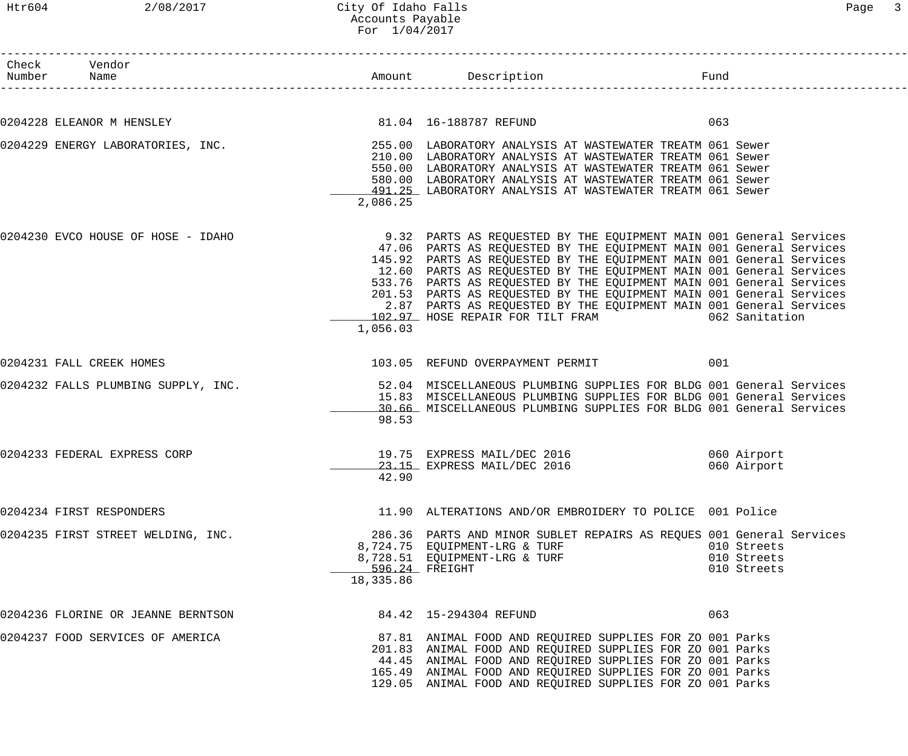| Check Vendor<br>Number Name        |                             |                                                                                                                                                                                                                                                                                                                                                                                                                                                                                                                                                                   | Fund |                                           |
|------------------------------------|-----------------------------|-------------------------------------------------------------------------------------------------------------------------------------------------------------------------------------------------------------------------------------------------------------------------------------------------------------------------------------------------------------------------------------------------------------------------------------------------------------------------------------------------------------------------------------------------------------------|------|-------------------------------------------|
|                                    |                             |                                                                                                                                                                                                                                                                                                                                                                                                                                                                                                                                                                   |      |                                           |
| 0204228 ELEANOR M HENSLEY          |                             | 81.04 16-188787 REFUND                                                                                                                                                                                                                                                                                                                                                                                                                                                                                                                                            | 063  |                                           |
|                                    | 2,086.25                    | 0204229 ENERGY LABORATORIES, INC.<br>255.00 LABORATORY ANALYSIS AT WASTEWATER TREATM 061 Sewer<br>210.00 LABORATORY ANALYSIS AT WASTEWATER TREATM 061 Sewer<br>550.00 LABORATORY ANALYSIS AT WASTEWATER TREATM 061 Sewer<br>580.00 LABORATORY ANALYSIS AT WASTEWATER TREATM 061 Sewer<br>491.25 LABORATORY ANALYSIS AT WASTEWATER TREATM 061 Sewer                                                                                                                                                                                                                |      |                                           |
| 0204230 EVCO HOUSE OF HOSE - IDAHO | 1,056.03                    | 9.32 PARTS AS REQUESTED BY THE EQUIPMENT MAIN 001 General Services<br>47.06 PARTS AS REQUESTED BY THE EQUIPMENT MAIN 001 General Services<br>145.92 PARTS AS REQUESTED BY THE EQUIPMENT MAIN 001 General Services<br>12.60 PARTS AS REQUESTED BY THE EQUIPMENT MAIN 001 General Services<br>533.76 PARTS AS REQUESTED BY THE EQUIPMENT MAIN 001 General Services<br>201.53 PARTS AS REQUESTED BY THE EQUIPMENT MAIN 001 General Services<br>2.87 PARTS AS REQUESTED BY THE EQUIPMENT MAIN 001 General Services<br>102.97 HOSE REPAIR FOR TILT FRAM 662 Sanitation |      |                                           |
| 0204231 FALL CREEK HOMES           |                             | 103.05 REFUND OVERPAYMENT PERMIT                                                                                                                                                                                                                                                                                                                                                                                                                                                                                                                                  | 001  |                                           |
|                                    | 98.53                       | 0204232 FALLS PLUMBING SUPPLY, INC. 30 1 12.04 MISCELLANEOUS PLUMBING SUPPLIES FOR BLDG 001 General Services<br>15.83 MISCELLANEOUS PLUMBING SUPPLIES FOR BLDG 001 General Services<br>30.66 MISCELLANEOUS PLUMBING SUPPLIES FOR BLDG 001 General Services                                                                                                                                                                                                                                                                                                        |      |                                           |
| 0204233 FEDERAL EXPRESS CORP       | 42.90                       | 19.75 EXPRESS MAIL/DEC 2016<br>23.15 EXPRESS MAIL/DEC 2016                                                                                                                                                                                                                                                                                                                                                                                                                                                                                                        |      | 060 Airport<br>060 Airport                |
| 0204234 FIRST RESPONDERS           |                             | 11.90 ALTERATIONS AND/OR EMBROIDERY TO POLICE 001 Police                                                                                                                                                                                                                                                                                                                                                                                                                                                                                                          |      |                                           |
| 0204235 FIRST STREET WELDING, INC. | 596.24 FREIGHT<br>18,335.86 | 286.36 PARTS AND MINOR SUBLET REPAIRS AS REQUES 001 General Services<br>8,724.75 EQUIPMENT-LRG & TURF<br>8,728.51 EQUIPMENT-LRG & TURF                                                                                                                                                                                                                                                                                                                                                                                                                            |      | 010 Streets<br>010 Streets<br>010 Streets |
| 0204236 FLORINE OR JEANNE BERNTSON |                             | 84.42  15-294304 REFUND                                                                                                                                                                                                                                                                                                                                                                                                                                                                                                                                           | 063  |                                           |
| 0204237 FOOD SERVICES OF AMERICA   |                             | 87.81 ANIMAL FOOD AND REQUIRED SUPPLIES FOR ZO 001 Parks<br>201.83 ANIMAL FOOD AND REQUIRED SUPPLIES FOR ZO 001 Parks<br>44.45 ANIMAL FOOD AND REQUIRED SUPPLIES FOR ZO 001 Parks<br>165.49 ANIMAL FOOD AND REQUIRED SUPPLIES FOR ZO 001 Parks<br>129.05 ANIMAL FOOD AND REQUIRED SUPPLIES FOR ZO 001 Parks                                                                                                                                                                                                                                                       |      |                                           |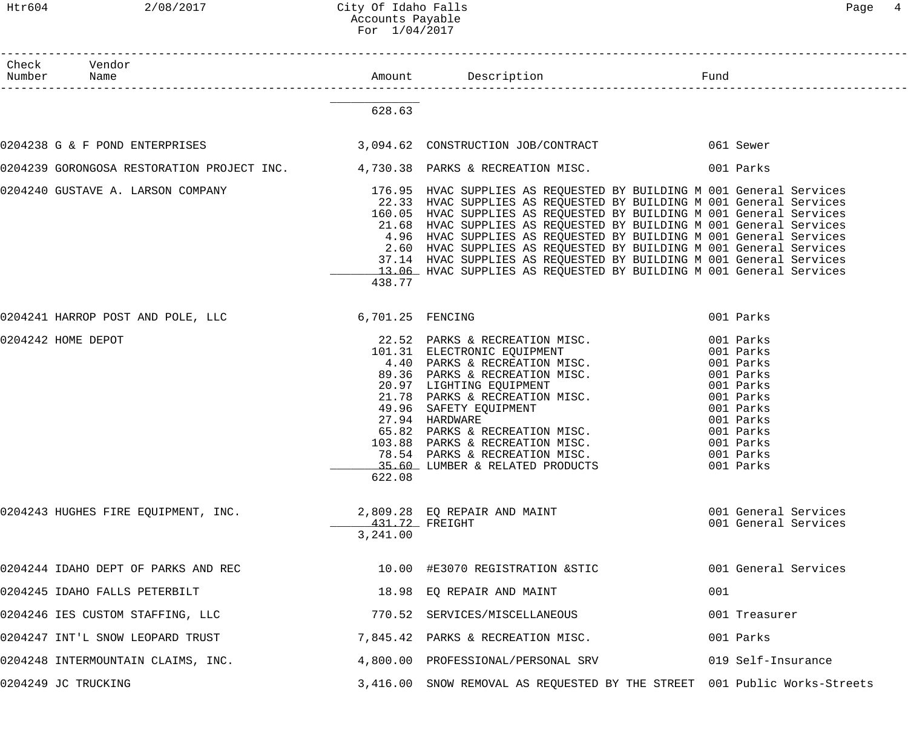| aae |  |
|-----|--|
|-----|--|

| Check Vendor<br>Number Name                                                                            |                            |                                                                                                                                                                                                                                                                                                                                                                                                                                                                                                              |                                                                                                                                                          |
|--------------------------------------------------------------------------------------------------------|----------------------------|--------------------------------------------------------------------------------------------------------------------------------------------------------------------------------------------------------------------------------------------------------------------------------------------------------------------------------------------------------------------------------------------------------------------------------------------------------------------------------------------------------------|----------------------------------------------------------------------------------------------------------------------------------------------------------|
|                                                                                                        | 628.63                     |                                                                                                                                                                                                                                                                                                                                                                                                                                                                                                              |                                                                                                                                                          |
| 0204238 G & F POND ENTERPRISES 3,094.62 CONSTRUCTION JOB/CONTRACT 061 Sewer                            |                            |                                                                                                                                                                                                                                                                                                                                                                                                                                                                                                              |                                                                                                                                                          |
| 0204239 GORONGOSA RESTORATION PROJECT INC. 4,730.38 PARKS & RECREATION MISC. 001 Parks                 |                            |                                                                                                                                                                                                                                                                                                                                                                                                                                                                                                              |                                                                                                                                                          |
| 0204240 GUSTAVE A. LARSON COMPANY 176.95 HVAC SUPPLIES AS REQUESTED BY BUILDING M 001 General Services | 438.77                     | 22.33 HVAC SUPPLIES AS REQUESTED BY BUILDING M 001 General Services<br>160.05 HVAC SUPPLIES AS REQUESTED BY BUILDING M 001 General Services<br>21.68 HVAC SUPPLIES AS REQUESTED BY BUILDING M 001 General Services<br>4.96 HVAC SUPPLIES AS REQUESTED BY BUILDING M 001 General Services<br>2.60 HVAC SUPPLIES AS REQUESTED BY BUILDING M 001 General Services<br>37.14 HVAC SUPPLIES AS REQUESTED BY BUILDING M 001 General Services<br>13.06 HVAC SUPPLIES AS REQUESTED BY BUILDING M 001 General Services |                                                                                                                                                          |
| 0204241 HARROP POST AND POLE, LLC 6,701.25 FENCING                                                     |                            |                                                                                                                                                                                                                                                                                                                                                                                                                                                                                                              | 001 Parks                                                                                                                                                |
| 0204242 HOME DEPOT                                                                                     | 622.08                     | 22.52 PARKS & RECREATION MISC.<br>101.31 ELECTRONIC EQUIPMENT<br>4.40 PARKS & RECREATION MISC.<br>89.36 PARKS & RECREATION MISC.<br>20.97 LIGHTING EQUIPMENT<br>21.78 PARKS & RECREATION MISC.<br>49.96 SAFETY EQUIPMENT<br>27.94 HARDWARE<br>65.82 PA                                                                                                                                                                                                                                                       | 001 Parks<br>001 Parks<br>001 Parks<br>001 Parks<br>001 Parks<br>001 Parks<br>001 Parks<br>001 Parks<br>001 Parks<br>001 Parks<br>001 Parks<br>001 Parks |
| 0204243 HUGHES FIRE EQUIPMENT, INC.                                                                    | 431.72 FREIGHT<br>3,241.00 | 2,809.28 EQ REPAIR AND MAINT                                                                                                                                                                                                                                                                                                                                                                                                                                                                                 | 001 General Services<br>001 General Services                                                                                                             |
| 0204244 IDAHO DEPT OF PARKS AND REC                                                                    |                            | 10.00 #E3070 REGISTRATION & STIC                                                                                                                                                                                                                                                                                                                                                                                                                                                                             | 001 General Services                                                                                                                                     |
| 0204245 IDAHO FALLS PETERBILT                                                                          |                            | 18.98 EQ REPAIR AND MAINT                                                                                                                                                                                                                                                                                                                                                                                                                                                                                    | 001                                                                                                                                                      |
| 0204246 IES CUSTOM STAFFING, LLC                                                                       |                            | 770.52 SERVICES/MISCELLANEOUS                                                                                                                                                                                                                                                                                                                                                                                                                                                                                | 001 Treasurer                                                                                                                                            |
| 0204247 INT'L SNOW LEOPARD TRUST                                                                       |                            | 7,845.42 PARKS & RECREATION MISC.                                                                                                                                                                                                                                                                                                                                                                                                                                                                            | 001 Parks                                                                                                                                                |
| 0204248 INTERMOUNTAIN CLAIMS, INC.                                                                     |                            | 4,800.00 PROFESSIONAL/PERSONAL SRV                                                                                                                                                                                                                                                                                                                                                                                                                                                                           | 019 Self-Insurance                                                                                                                                       |
| 0204249 JC TRUCKING                                                                                    |                            | 3,416.00 SNOW REMOVAL AS REQUESTED BY THE STREET 001 Public Works-Streets                                                                                                                                                                                                                                                                                                                                                                                                                                    |                                                                                                                                                          |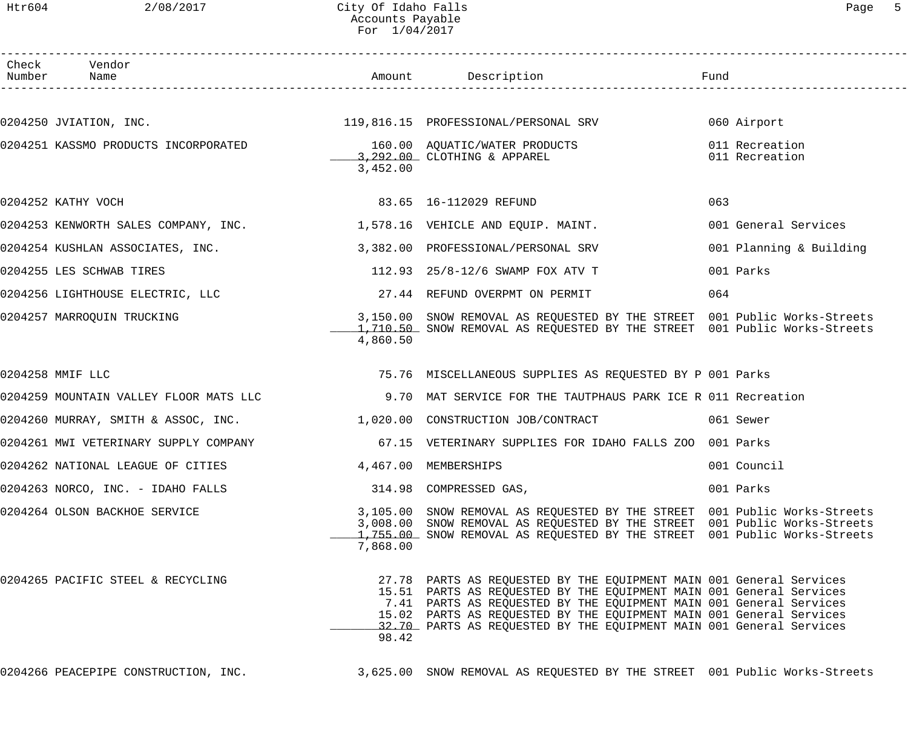### Htr604 2/08/2017 City Of Idaho Falls Page 5 Accounts Payable For 1/04/2017

| Check<br>Number | Vendor                                                                  |                      |                                                                                                                                                                                                                                                                                                                                                                |                                  |
|-----------------|-------------------------------------------------------------------------|----------------------|----------------------------------------------------------------------------------------------------------------------------------------------------------------------------------------------------------------------------------------------------------------------------------------------------------------------------------------------------------------|----------------------------------|
|                 |                                                                         |                      |                                                                                                                                                                                                                                                                                                                                                                |                                  |
|                 |                                                                         |                      |                                                                                                                                                                                                                                                                                                                                                                |                                  |
|                 |                                                                         | 3,452.00             | 0204251 KASSMO PRODUCTS INCORPORATED<br>160.00 AQUATIC/WATER PRODUCTS 10204251 KASSMO PRODUCTS                                                                                                                                                                                                                                                                 | 011 Recreation<br>011 Recreation |
|                 | 83.65 16-112029 REFUND<br>0204252 KATHY VOCH                            |                      |                                                                                                                                                                                                                                                                                                                                                                | 063                              |
|                 | 0204253 KENWORTH SALES COMPANY, INC. 1,578.16 VEHICLE AND EQUIP. MAINT. |                      |                                                                                                                                                                                                                                                                                                                                                                | 001 General Services             |
|                 | 0204254 KUSHLAN ASSOCIATES, INC.                                        |                      | 3,382.00 PROFESSIONAL/PERSONAL SRV                                                                                                                                                                                                                                                                                                                             | 001 Planning & Building          |
|                 | 0204255 LES SCHWAB TIRES                                                |                      | 112.93 25/8-12/6 SWAMP FOX ATV T                                                                                                                                                                                                                                                                                                                               | 001 Parks                        |
|                 | 0204256 LIGHTHOUSE ELECTRIC, LLC                                        |                      | 27.44 REFUND OVERPMT ON PERMIT                                                                                                                                                                                                                                                                                                                                 | 064                              |
|                 | 0204257 MARROQUIN TRUCKING                                              | 4,860.50             | 3,150.00 SNOW REMOVAL AS REQUESTED BY THE STREET 001 Public Works-Streets<br>1,710.50 SNOW REMOVAL AS REQUESTED BY THE STREET 001 Public Works-Streets                                                                                                                                                                                                         |                                  |
|                 | 0204258 MMIF LLC                                                        |                      | 75.76 MISCELLANEOUS SUPPLIES AS REQUESTED BY P 001 Parks                                                                                                                                                                                                                                                                                                       |                                  |
|                 | 0204259 MOUNTAIN VALLEY FLOOR MATS LLC                                  |                      | 9.70 MAT SERVICE FOR THE TAUTPHAUS PARK ICE R 011 Recreation                                                                                                                                                                                                                                                                                                   |                                  |
|                 |                                                                         |                      | 0204260 MURRAY, SMITH & ASSOC, INC. 1,020.00 CONSTRUCTION JOB/CONTRACT 061 Sewer                                                                                                                                                                                                                                                                               |                                  |
|                 |                                                                         |                      | 0204261 MWI VETERINARY SUPPLY COMPANY 1990 1991 1991 15 SETERINARY SUPPLIES FOR IDAHO FALLS ZOO 001 Parks                                                                                                                                                                                                                                                      |                                  |
|                 | 0204262 NATIONAL LEAGUE OF CITIES                                       | 4,467.00 MEMBERSHIPS |                                                                                                                                                                                                                                                                                                                                                                | 001 Council                      |
|                 | 0204263 NORCO, INC. - IDAHO FALLS                                       |                      | 314.98 COMPRESSED GAS,                                                                                                                                                                                                                                                                                                                                         | 001 Parks                        |
|                 | 0204264 OLSON BACKHOE SERVICE                                           | 7,868.00             | 3,105.00 SNOW REMOVAL AS REQUESTED BY THE STREET 001 Public Works-Streets<br>3,008.00 SNOW REMOVAL AS REQUESTED BY THE STREET 001 Public Works-Streets<br>1,755.00 SNOW REMOVAL AS REQUESTED BY THE STREET 001 Public Works-Streets                                                                                                                            |                                  |
|                 | 0204265 PACIFIC STEEL & RECYCLING                                       | 98.42                | 27.78 PARTS AS REQUESTED BY THE EQUIPMENT MAIN 001 General Services<br>15.51 PARTS AS REQUESTED BY THE EQUIPMENT MAIN 001 General Services<br>7.41 PARTS AS REQUESTED BY THE EQUIPMENT MAIN 001 General Services<br>15.02 PARTS AS REQUESTED BY THE EQUIPMENT MAIN 001 General Services<br>32.70 PARTS AS REQUESTED BY THE EQUIPMENT MAIN 001 General Services |                                  |
|                 | 0204266 PEACEPIPE CONSTRUCTION, INC.                                    |                      | 3,625.00 SNOW REMOVAL AS REQUESTED BY THE STREET 001 Public Works-Streets                                                                                                                                                                                                                                                                                      |                                  |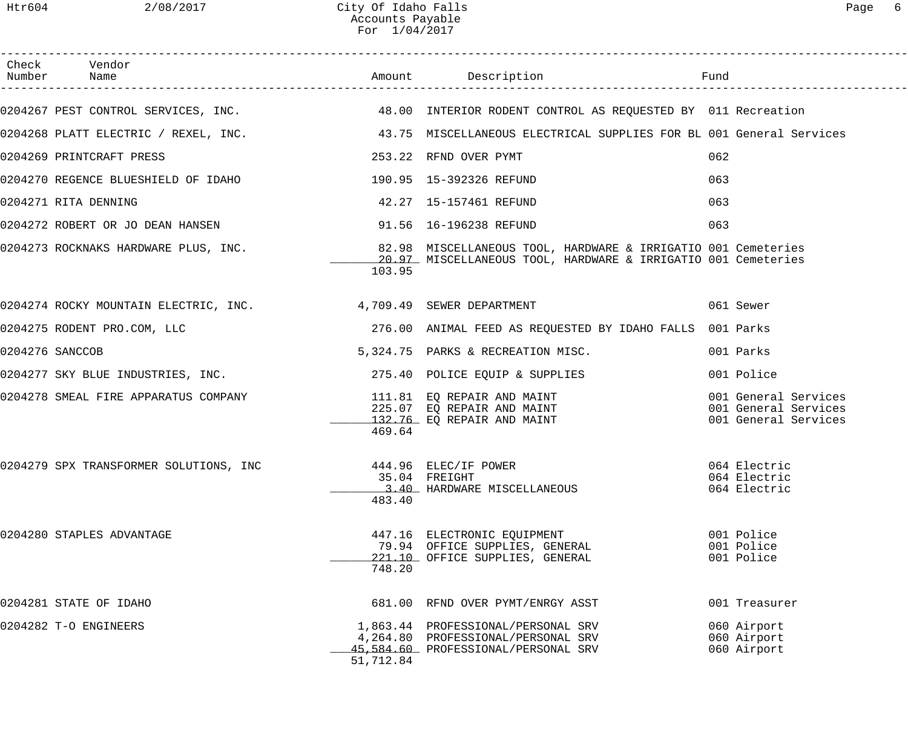| Htr604 | 2/08/2017                                                       | City Of Idaho Falls<br>Accounts Payable<br>For $1/04/2017$ |                                                                                                                                |                                                                      | 6<br>Page |
|--------|-----------------------------------------------------------------|------------------------------------------------------------|--------------------------------------------------------------------------------------------------------------------------------|----------------------------------------------------------------------|-----------|
|        | Check Vendor<br>Number Name                                     |                                                            | Amount Description                                                                                                             | Fund                                                                 |           |
|        |                                                                 |                                                            | 0204267 PEST CONTROL SERVICES, INC. 48.00 INTERIOR RODENT CONTROL AS REQUESTED BY 011 Recreation                               |                                                                      |           |
|        |                                                                 |                                                            | 0204268 PLATT ELECTRIC / REXEL, INC.                 43.75 MISCELLANEOUS ELECTRICAL SUPPLIES FOR BL 001 General Services       |                                                                      |           |
|        | 0204269 PRINTCRAFT PRESS                                        |                                                            | 253.22 RFND OVER PYMT                                                                                                          | 062                                                                  |           |
|        | 0204270 REGENCE BLUESHIELD OF IDAHO                             |                                                            | 190.95  15-392326 REFUND                                                                                                       | 063                                                                  |           |
|        | 0204271 RITA DENNING                                            |                                                            | 42.27  15-157461 REFUND                                                                                                        | 063                                                                  |           |
|        | 0204272 ROBERT OR JO DEAN HANSEN                                |                                                            | 91.56 16-196238 REFUND                                                                                                         | 063                                                                  |           |
|        | 0204273 ROCKNAKS HARDWARE PLUS, INC.                            | 103.95                                                     | 82.98 MISCELLANEOUS TOOL, HARDWARE & IRRIGATIO 001 Cemeteries<br>20.97 MISCELLANEOUS TOOL, HARDWARE & IRRIGATIO 001 Cemeteries |                                                                      |           |
|        | 0204274 ROCKY MOUNTAIN ELECTRIC, INC. 4,709.49 SEWER DEPARTMENT |                                                            |                                                                                                                                | 061 Sewer                                                            |           |
|        | 0204275 RODENT PRO.COM, LLC                                     |                                                            | 276.00 ANIMAL FEED AS REQUESTED BY IDAHO FALLS                                                                                 | 001 Parks                                                            |           |
|        | 0204276 SANCCOB                                                 |                                                            | 5,324.75 PARKS & RECREATION MISC.                                                                                              | 001 Parks                                                            |           |
|        | 0204277 SKY BLUE INDUSTRIES, INC.                               |                                                            | 275.40 POLICE EQUIP & SUPPLIES                                                                                                 | 001 Police                                                           |           |
|        | 0204278 SMEAL FIRE APPARATUS COMPANY                            | 469.64                                                     | 111.81 EO REPAIR AND MAINT<br>225.07 EQ REPAIR AND MAINT<br>132.76 EQ REPAIR AND MAINT                                         | 001 General Services<br>001 General Services<br>001 General Services |           |
|        | 0204279 SPX TRANSFORMER SOLUTIONS, INC                          | 483.40                                                     | 444.96 ELEC/IF POWER<br>35.04 FREIGHT<br>3.40 HARDWARE MISCELLANEOUS                                                           | 064 Electric<br>064 Electric<br>064 Electric                         |           |
|        | 0204280 STAPLES ADVANTAGE                                       | 748.20                                                     | 447.16 ELECTRONIC EQUIPMENT<br>79.94 OFFICE SUPPLIES, GENERAL<br>221.10 OFFICE SUPPLIES, GENERAL                               | 001 Police<br>001 Police<br>001 Police                               |           |
|        | 0204281 STATE OF IDAHO                                          |                                                            | 681.00 RFND OVER PYMT/ENRGY ASST                                                                                               | 001 Treasurer                                                        |           |
|        |                                                                 |                                                            | 1 062 11 DROFFCCIONAL (DERCONAL CDV                                                                                            | $060 \text{ N}$                                                      |           |

0204282 T-O ENGINEERS 1,863.44 PROFESSIONAL/PERSONAL SRV 060 Airport 4,264.80 PROFESSIONAL/PERSONAL SRV 060 Airport \_\_\_\_\_\_\_\_\_\_\_\_\_ 45,584.60 PROFESSIONAL/PERSONAL SRV 060 Airport 51,712.84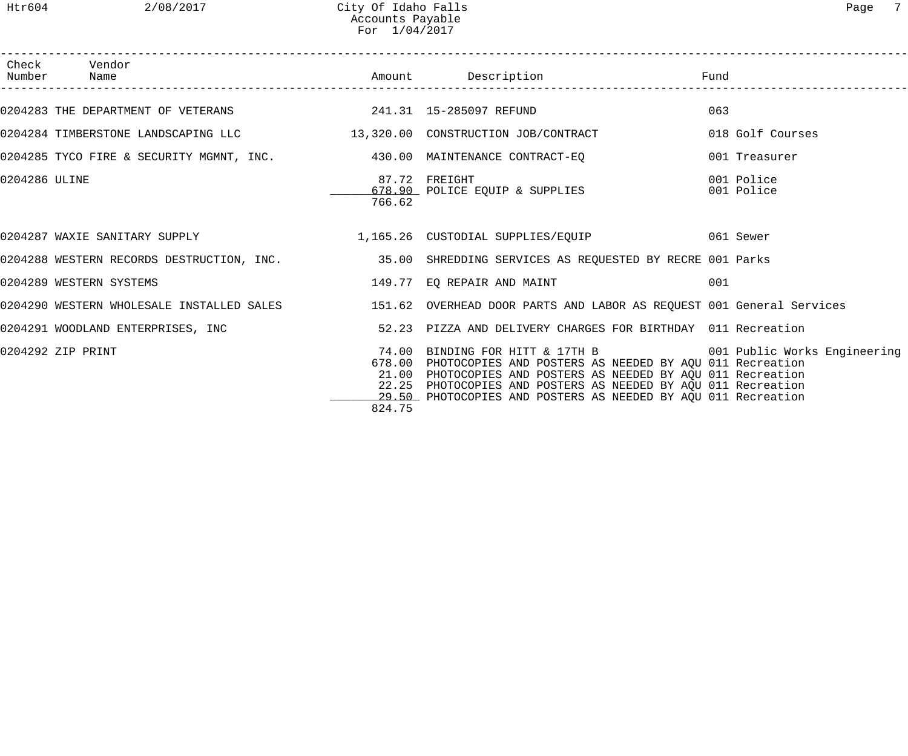|               | Check Vendor<br>Number Name                                             |        |                                                                                                                                                                                                                                                                                                                                   |                          |
|---------------|-------------------------------------------------------------------------|--------|-----------------------------------------------------------------------------------------------------------------------------------------------------------------------------------------------------------------------------------------------------------------------------------------------------------------------------------|--------------------------|
|               |                                                                         |        | 0204283 THE DEPARTMENT OF VETERANS 241.31 15-285097 REFUND                                                                                                                                                                                                                                                                        | 063                      |
|               |                                                                         |        | 0204284 TIMBERSTONE LANDSCAPING LLC 13,320.00 CONSTRUCTION JOB/CONTRACT                                                                                                                                                                                                                                                           | 018 Golf Courses         |
|               | 0204285 TYCO FIRE & SECURITY MGMNT, INC. 430.00 MAINTENANCE CONTRACT-EQ |        |                                                                                                                                                                                                                                                                                                                                   | 001 Treasurer            |
| 0204286 ULINE |                                                                         | 766.62 | 87.72 FREIGHT<br>87.72 FREIGHI<br>678.90_ POLICE EQUIP & SUPPLIES                                                                                                                                                                                                                                                                 | 001 Police<br>001 Police |
|               |                                                                         |        | 0204287 WAXIE SANITARY SUPPLY 1,165.26 CUSTODIAL SUPPLIES/EQUIP 061 Sewer                                                                                                                                                                                                                                                         |                          |
|               |                                                                         |        | 0204288 WESTERN RECORDS DESTRUCTION, INC. 35.00 SHREDDING SERVICES AS REQUESTED BY RECRE 001 Parks                                                                                                                                                                                                                                |                          |
|               | 0204289 WESTERN SYSTEMS                                                 |        | 149.77 EQ REPAIR AND MAINT                                                                                                                                                                                                                                                                                                        | 001                      |
|               |                                                                         |        | 0204290 WESTERN WHOLESALE INSTALLED SALES 151.62 OVERHEAD DOOR PARTS AND LABOR AS REQUEST 001 General Services                                                                                                                                                                                                                    |                          |
|               |                                                                         |        |                                                                                                                                                                                                                                                                                                                                   |                          |
|               | 0204292 ZIP PRINT                                                       | 824.75 | 74.00 BINDING FOR HITT & 17TH B 001 Public Works Engineering<br>678.00 PHOTOCOPIES AND POSTERS AS NEEDED BY AQU 011 Recreation<br>21.00 PHOTOCOPIES AND POSTERS AS NEEDED BY AQU 011 Recreation<br>22.25 PHOTOCOPIES AND POSTERS AS NEEDED BY AQU 011 Recreation<br>29.50 PHOTOCOPIES AND POSTERS AS NEEDED BY AQU 011 Recreation |                          |

------------------------------------------------------------------------------------------------------------------------------------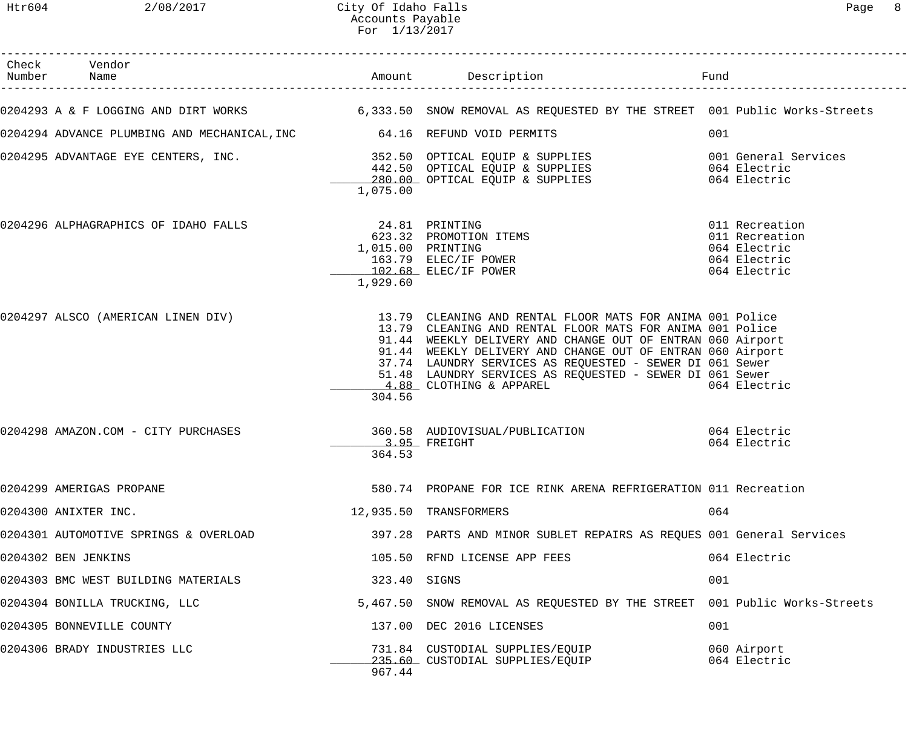| Check Vendor<br>Number Name                                            |                            |                                                                                                                                                                                                                                                                                                                                                                                                                                          |                                                                                  |
|------------------------------------------------------------------------|----------------------------|------------------------------------------------------------------------------------------------------------------------------------------------------------------------------------------------------------------------------------------------------------------------------------------------------------------------------------------------------------------------------------------------------------------------------------------|----------------------------------------------------------------------------------|
|                                                                        |                            | 0204293 A & F LOGGING AND DIRT WORKS 6,333.50 SNOW REMOVAL AS REQUESTED BY THE STREET 001 Public Works-Streets                                                                                                                                                                                                                                                                                                                           |                                                                                  |
| 0204294 ADVANCE PLUMBING AND MECHANICAL, INC 64.16 REFUND VOID PERMITS |                            |                                                                                                                                                                                                                                                                                                                                                                                                                                          | 001                                                                              |
|                                                                        | 1,075.00                   |                                                                                                                                                                                                                                                                                                                                                                                                                                          |                                                                                  |
| 0204296 ALPHAGRAPHICS OF IDAHO FALLS                                   | 24.81 PRINTING<br>1,929.60 | 623.32 PROMOTION ITEMS<br>1,015.00 PRINTING<br>163.79 ELEC/IF POWER<br>102.68 ELEC/IF POWER                                                                                                                                                                                                                                                                                                                                              | 011 Recreation<br>011 Recreation<br>064 Electric<br>064 Electric<br>064 Electric |
|                                                                        | 304.56                     | 0204297 ALSCO (AMERICAN LINEN DIV) 13.79 CLEANING AND RENTAL FLOOR MATS FOR ANIMA 001 Police<br>13.79 CLEANING AND RENTAL FLOOR MATS FOR ANIMA 001 Police<br>91.44 WEEKLY DELIVERY AND CHANGE OUT OF ENTRAN 060 Airport<br>91.44 WEEKLY DELIVERY AND CHANGE OUT OF ENTRAN 060 Airport<br>37.74 LAUNDRY SERVICES AS REQUESTED - SEWER DI 061 Sewer<br>51.48 LAUNDRY SERVICES AS REQUESTED - SEWER DI 061 Sewer<br>4.88 CLOTHING & APPAREL | 064 Electric                                                                     |
| 0204298 AMAZON.COM - CITY PURCHASES                                    | 3.95 FREIGHT<br>364.53     | 360.58 AUDIOVISUAL/PUBLICATION 064 Electric                                                                                                                                                                                                                                                                                                                                                                                              | 064 Electric                                                                     |
| 0204299 AMERIGAS PROPANE                                               |                            | 580.74 PROPANE FOR ICE RINK ARENA REFRIGERATION 011 Recreation                                                                                                                                                                                                                                                                                                                                                                           |                                                                                  |
| 0204300 ANIXTER INC.                                                   |                            | 12,935.50 TRANSFORMERS                                                                                                                                                                                                                                                                                                                                                                                                                   | 064                                                                              |
| 0204301 AUTOMOTIVE SPRINGS & OVERLOAD                                  |                            | 397.28 PARTS AND MINOR SUBLET REPAIRS AS REQUES 001 General Services                                                                                                                                                                                                                                                                                                                                                                     |                                                                                  |
| 0204302 BEN JENKINS                                                    |                            | 105.50 RFND LICENSE APP FEES                                                                                                                                                                                                                                                                                                                                                                                                             | 064 Electric                                                                     |
| 0204303 BMC WEST BUILDING MATERIALS                                    | 323.40 SIGNS               |                                                                                                                                                                                                                                                                                                                                                                                                                                          | 001                                                                              |
| 0204304 BONILLA TRUCKING, LLC                                          |                            | 5,467.50 SNOW REMOVAL AS REQUESTED BY THE STREET 001 Public Works-Streets                                                                                                                                                                                                                                                                                                                                                                |                                                                                  |
| 0204305 BONNEVILLE COUNTY                                              |                            | 137.00 DEC 2016 LICENSES                                                                                                                                                                                                                                                                                                                                                                                                                 | 001                                                                              |
| 0204306 BRADY INDUSTRIES LLC                                           | 967.44                     | 731.84 CUSTODIAL SUPPLIES/EQUIP<br>235.60 CUSTODIAL SUPPLIES/EQUIP                                                                                                                                                                                                                                                                                                                                                                       | 060 Airport<br>064 Electric                                                      |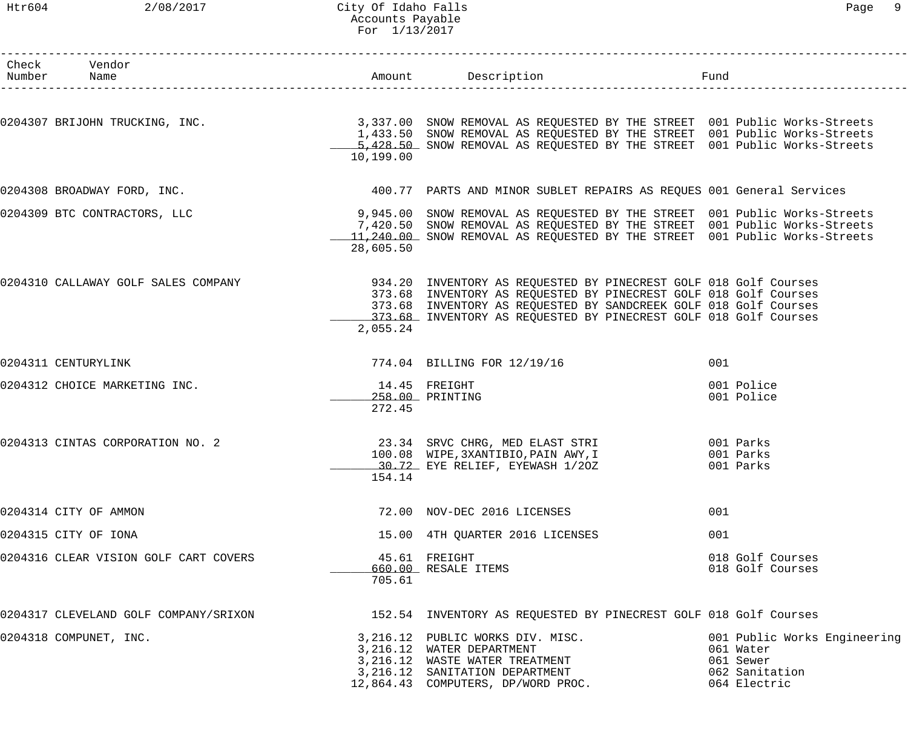### Htr604 2/08/2017 City Of Idaho Falls Page 9 Accounts Payable For 1/13/2017

| ⊖מ∈ |  |
|-----|--|
|-----|--|

| Check Vendor<br>Number Name           |           |                                                                                                                                                                                                                                                                                |                                                                                          |
|---------------------------------------|-----------|--------------------------------------------------------------------------------------------------------------------------------------------------------------------------------------------------------------------------------------------------------------------------------|------------------------------------------------------------------------------------------|
|                                       | 10,199.00 | 0204307 BRIJOHN TRUCKING, INC. THE STREET ON THE STREET ON Public Works-Streets<br>1,433.50 SNOW REMOVAL AS REQUESTED BY THE STREET 001 Public Works-Streets<br>5,428.50 SNOW REMOVAL AS REQUESTED BY THE STREET 001 Public Works-Streets                                      |                                                                                          |
| 0204308 BROADWAY FORD, INC.           |           | 400.77 PARTS AND MINOR SUBLET REPAIRS AS REQUES 001 General Services                                                                                                                                                                                                           |                                                                                          |
| 0204309 BTC CONTRACTORS, LLC          | 28,605.50 | 9,945.00 SNOW REMOVAL AS REQUESTED BY THE STREET 001 Public Works-Streets<br>7,420.50 SNOW REMOVAL AS REQUESTED BY THE STREET 001 Public Works-Streets<br>11,240.00 SNOW REMOVAL AS REQUESTED BY THE STREET 001 Public Works-Streets                                           |                                                                                          |
| 0204310 CALLAWAY GOLF SALES COMPANY   | 2,055.24  | 934.20 INVENTORY AS REQUESTED BY PINECREST GOLF 018 Golf Courses<br>373.68 INVENTORY AS REQUESTED BY PINECREST GOLF 018 Golf Courses<br>373.68 INVENTORY AS REQUESTED BY SANDCREEK GOLF 018 Golf Courses<br>_373.68_ INVENTORY AS REQUESTED BY PINECREST GOLF 018 Golf Courses |                                                                                          |
| 0204311 CENTURYLINK                   |           | 774.04 BILLING FOR 12/19/16                                                                                                                                                                                                                                                    | 001                                                                                      |
| 0204312 CHOICE MARKETING INC.         | 272.45    | 14.45 FREIGHT<br>258.00 PRINTING                                                                                                                                                                                                                                               | 001 Police<br>001 Police                                                                 |
| 0204313 CINTAS CORPORATION NO. 2      | 154.14    | 23.34 SRVC CHRG, MED ELAST STRI<br>100.08 WIPE, 3XANTIBIO, PAIN AWY, I<br>30.72 EYE RELIEF, EYEWASH 1/20Z                                                                                                                                                                      | 001 Parks<br>001 Parks<br>001 Parks                                                      |
| 0204314 CITY OF AMMON                 |           | 72.00 NOV-DEC 2016 LICENSES                                                                                                                                                                                                                                                    | 001                                                                                      |
| 0204315 CITY OF IONA                  |           | 15.00 4TH QUARTER 2016 LICENSES                                                                                                                                                                                                                                                | 001                                                                                      |
| 0204316 CLEAR VISION GOLF CART COVERS | 705.61    | 45.61 FREIGHT<br>660.00 RESALE ITEMS                                                                                                                                                                                                                                           | 018 Golf Courses<br>018 Golf Courses                                                     |
| 0204317 CLEVELAND GOLF COMPANY/SRIXON |           | 152.54 INVENTORY AS REQUESTED BY PINECREST GOLF 018 Golf Courses                                                                                                                                                                                                               |                                                                                          |
| 0204318 COMPUNET, INC.                |           | 3,216.12 PUBLIC WORKS DIV. MISC.<br>3, 216.12 WATER DEPARTMENT<br>3,216.12 WHER DETRUITED<br>3,216.12 WASTE WATER TREATMENT<br>12,864.43 COMPUTERS, DP/WORD PROC.                                                                                                              | 001 Public Works Engineering<br>061 Water<br>061 Sewer<br>062 Sanitation<br>064 Electric |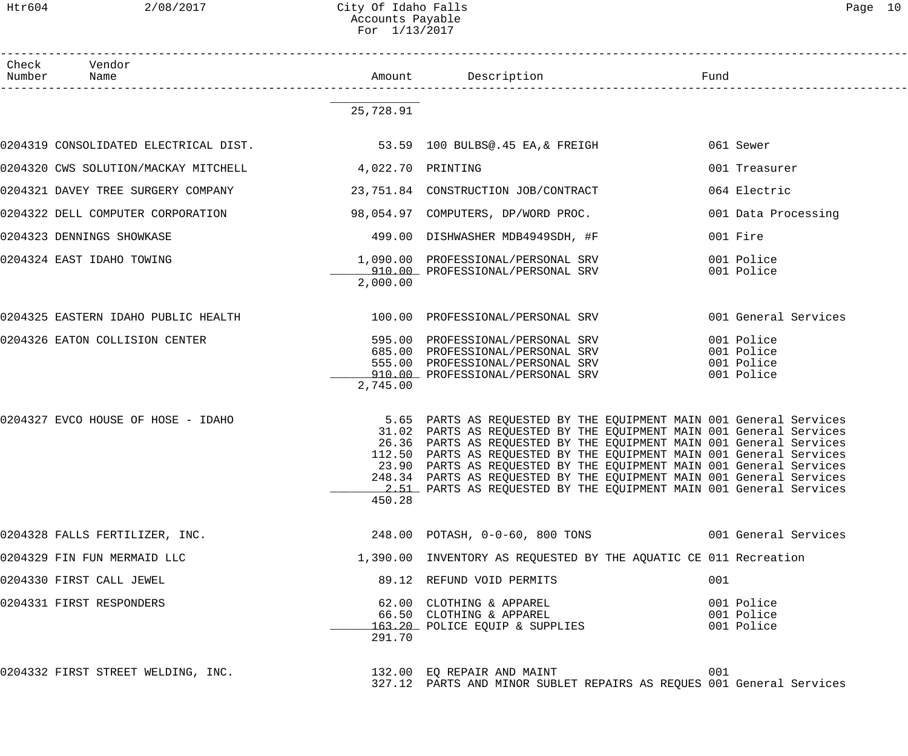$Htr604$  2/08/2017 City Of Idaho Falls Accounts Payable For 1/13/2017

| Page |  |
|------|--|
|------|--|

------------------------------------------------------------------------------------------------------------------------------------ Check Vendor Number Name Rund Reserves Name Rund Amount Description Communist Pund ------------------------------------------------------------------------------------------------------------------------------------

> \_\_\_\_\_\_\_\_\_\_\_\_\_ 25,728.91

| 0204319 CONSOLIDATED ELECTRICAL DIST. 53.59 100 BULBS@.45 EA, & FREIGH                                                  |          |                                                                                                                                                                                                                                                                                                                                                                                                                                         |     | 061 Sewer                                            |
|-------------------------------------------------------------------------------------------------------------------------|----------|-----------------------------------------------------------------------------------------------------------------------------------------------------------------------------------------------------------------------------------------------------------------------------------------------------------------------------------------------------------------------------------------------------------------------------------------|-----|------------------------------------------------------|
| 0204320 CWS SOLUTION/MACKAY MITCHELL 4,022.70 PRINTING                                                                  |          |                                                                                                                                                                                                                                                                                                                                                                                                                                         |     | 001 Treasurer                                        |
| 0204321 DAVEY TREE SURGERY COMPANY 23,751.84 CONSTRUCTION JOB/CONTRACT                                                  |          |                                                                                                                                                                                                                                                                                                                                                                                                                                         |     | 064 Electric                                         |
| 0204322 DELL COMPUTER CORPORATION 58 054.97 COMPUTERS, DP/WORD PROC.                                                    |          |                                                                                                                                                                                                                                                                                                                                                                                                                                         |     | 001 Data Processing                                  |
| 0204323 DENNINGS SHOWKASE                                                                                               |          | 499.00 DISHWASHER MDB4949SDH, #F                                                                                                                                                                                                                                                                                                                                                                                                        |     | 001 Fire                                             |
| 0204324 EAST IDAHO TOWING $1,090.00$ PROFESSIONAL/PERSONAL SRV<br>910.00 PROFESSIONAL/PERSONAL SRV                      | 2,000.00 | 910.00 PROFESSIONAL/PERSONAL SRV                                                                                                                                                                                                                                                                                                                                                                                                        |     | 001 Police<br>001 Police                             |
| 0204325 EASTERN IDAHO PUBLIC HEALTH 100.00 PROFESSIONAL/PERSONAL SRV                                                    |          |                                                                                                                                                                                                                                                                                                                                                                                                                                         |     | 001 General Services                                 |
| 0204326 EATON COLLISION CENTER 595.00 PROFESSIONAL/PERSONAL SRV                                                         | 2,745.00 | 555.00 PROFESSIONAL/PERSONAL SRV<br>910.00 PROFESSIONAL/PERSONAL SRV                                                                                                                                                                                                                                                                                                                                                                    |     | 001 Police<br>001 Police<br>001 Police<br>001 Police |
| 0204327 EVCO HOUSE OF HOSE - IDAHO 6 10 204327 EVCO HOUSE SANTS AS REQUESTED BY THE EQUIPMENT MAIN 001 General Services | 450.28   | 31.02 PARTS AS REQUESTED BY THE EQUIPMENT MAIN 001 General Services<br>26.36 PARTS AS REQUESTED BY THE EQUIPMENT MAIN 001 General Services<br>112.50 PARTS AS REQUESTED BY THE EQUIPMENT MAIN 001 General Services<br>23.90 PARTS AS REQUESTED BY THE EQUIPMENT MAIN 001 General Services<br>248.34 PARTS AS REQUESTED BY THE EQUIPMENT MAIN 001 General Services<br>2.51 PARTS AS REQUESTED BY THE EQUIPMENT MAIN 001 General Services |     |                                                      |
| 0204328 FALLS FERTILIZER, INC. 248.00 POTASH, 0-0-60, 800 TONS 001 General Services                                     |          |                                                                                                                                                                                                                                                                                                                                                                                                                                         |     |                                                      |
| 0204329 FIN FUN MERMAID LLC                                                                                             |          | 1,390.00 INVENTORY AS REQUESTED BY THE AQUATIC CE 011 Recreation                                                                                                                                                                                                                                                                                                                                                                        |     |                                                      |
| 0204330 FIRST CALL JEWEL                                                                                                |          | 89.12 REFUND VOID PERMITS                                                                                                                                                                                                                                                                                                                                                                                                               | 001 |                                                      |
| 0204331 FIRST RESPONDERS                                                                                                | 291.70   | 62.00 CLOTHING & APPAREL<br>66.50 CLOTHING & APPAREL<br>163.20 POLICE EQUIP & SUPPLIES                                                                                                                                                                                                                                                                                                                                                  |     | 001 Police<br>001 Police<br>001 Police               |
| 0204332 FIRST STREET WELDING, INC.                                                                                      |          | 132.00 EQ REPAIR AND MAINT                                                                                                                                                                                                                                                                                                                                                                                                              | 001 |                                                      |

327.12 PARTS AND MINOR SUBLET REPAIRS AS REQUES 001 General Services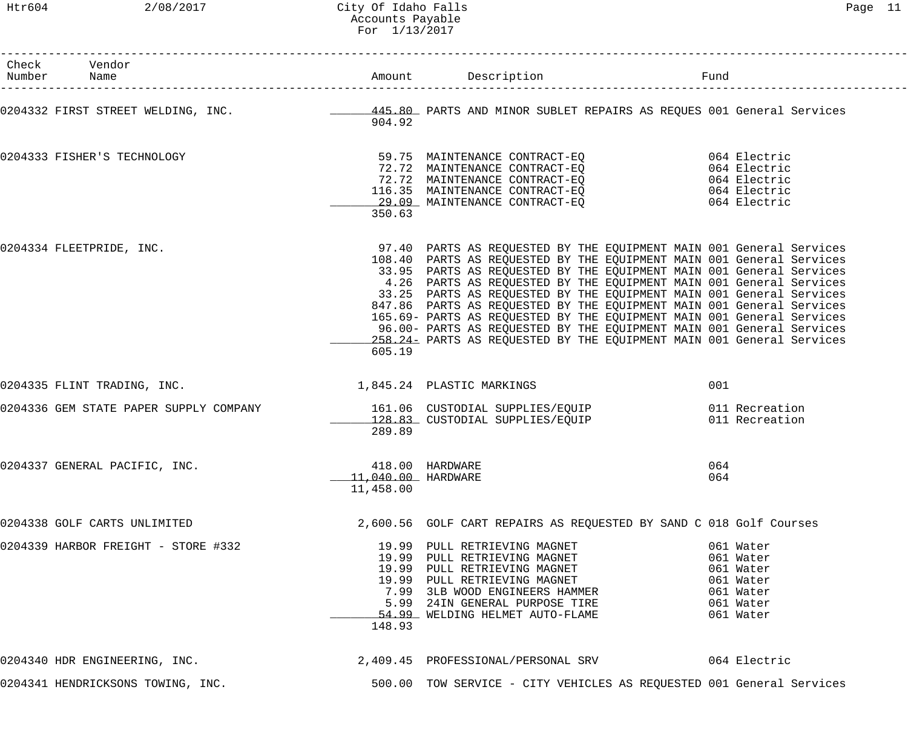| Check Vendor                                                                                                                  |                                 |                                                                                                                                                                                                                                                                                                                                                                                                                                                                                                                                                                                                                                                                   |            |  |
|-------------------------------------------------------------------------------------------------------------------------------|---------------------------------|-------------------------------------------------------------------------------------------------------------------------------------------------------------------------------------------------------------------------------------------------------------------------------------------------------------------------------------------------------------------------------------------------------------------------------------------------------------------------------------------------------------------------------------------------------------------------------------------------------------------------------------------------------------------|------------|--|
| 0204332 FIRST STREET WELDING, INC. ___________________445.80_ PARTS AND MINOR SUBLET REPAIRS AS REQUES 001 General Services   | 904.92                          |                                                                                                                                                                                                                                                                                                                                                                                                                                                                                                                                                                                                                                                                   |            |  |
| 0204333 FISHER'S TECHNOLOGY                                                                                                   | 350.63                          | 59.75 MAINTENANCE CONTRACT-EQ<br>72.72 MAINTENANCE CONTRACT-EQ<br>72.72 MAINTENANCE CONTRACT-EQ<br>116.35 MAINTENANCE CONTRACT-EQ<br>29.09 MAINTENANCE CONTRACT-EQ<br>29.09 MAINTENANCE CONTRACT-EQ<br>29.09 MAINTENANCE CONTRACT-EQ<br>29.0                                                                                                                                                                                                                                                                                                                                                                                                                      |            |  |
| 0204334 FLEETPRIDE, INC.                                                                                                      | 605.19                          | 97.40 PARTS AS REQUESTED BY THE EQUIPMENT MAIN 001 General Services<br>108.40 PARTS AS REQUESTED BY THE EQUIPMENT MAIN 001 General Services<br>33.95 PARTS AS REQUESTED BY THE EQUIPMENT MAIN 001 General Services<br>4.26 PARTS AS REQUESTED BY THE EQUIPMENT MAIN 001 General Services<br>33.25 PARTS AS REQUESTED BY THE EQUIPMENT MAIN 001 General Services<br>847.86 PARTS AS REQUESTED BY THE EQUIPMENT MAIN 001 General Services<br>165.69- PARTS AS REQUESTED BY THE EQUIPMENT MAIN 001 General Services<br>96.00- PARTS AS REQUESTED BY THE EQUIPMENT MAIN 001 General Services<br>258.24- PARTS AS REQUESTED BY THE EQUIPMENT MAIN 001 General Services |            |  |
| 0204335 FLINT TRADING, INC. 24 21,845.24 PLASTIC MARKINGS                                                                     |                                 |                                                                                                                                                                                                                                                                                                                                                                                                                                                                                                                                                                                                                                                                   | 001        |  |
| 0204336 GEM STATE PAPER SUPPLY COMPANY 161.06 CUSTODIAL SUPPLIES/EQUIP<br>128.83 CUSTODIAL SUPPLIES/EQUIP 1999 011 Recreation | 289.89                          |                                                                                                                                                                                                                                                                                                                                                                                                                                                                                                                                                                                                                                                                   |            |  |
| 0204337 GENERAL PACIFIC, INC.                                                                                                 | 11,040.00 HARDWARE<br>11,458.00 | 418.00 HARDWARE                                                                                                                                                                                                                                                                                                                                                                                                                                                                                                                                                                                                                                                   | 064<br>064 |  |
| 0204338 GOLF CARTS UNLIMITED                                                                                                  |                                 | 2,600.56 GOLF CART REPAIRS AS REQUESTED BY SAND C 018 Golf Courses                                                                                                                                                                                                                                                                                                                                                                                                                                                                                                                                                                                                |            |  |
| 0204339 HARBOR FREIGHT - STORE #332                                                                                           | 148.93                          | 19.99 PULL RETRIEVING MAGNET<br>19.99 PULL RETRIEVING MAGNET<br>19.99 PULL RETRIEVING MAGNET<br>19.99 PULL RETRIEVING MAGNET<br>19.99 PULL RETRIEVING MAGNET<br>7.99 3LB WOOD ENGINEERS HAMMER<br>5.99 24IN GENERAL PURPOSE TIRE<br>54.99 WE                                                                                                                                                                                                                                                                                                                                                                                                                      |            |  |
| 0204340 HDR ENGINEERING, INC.                                                                                                 |                                 | 2,409.45 PROFESSIONAL/PERSONAL SRV 664 Electric                                                                                                                                                                                                                                                                                                                                                                                                                                                                                                                                                                                                                   |            |  |
| 0204341 HENDRICKSONS TOWING, INC.                                                                                             |                                 | 500.00 TOW SERVICE - CITY VEHICLES AS REQUESTED 001 General Services                                                                                                                                                                                                                                                                                                                                                                                                                                                                                                                                                                                              |            |  |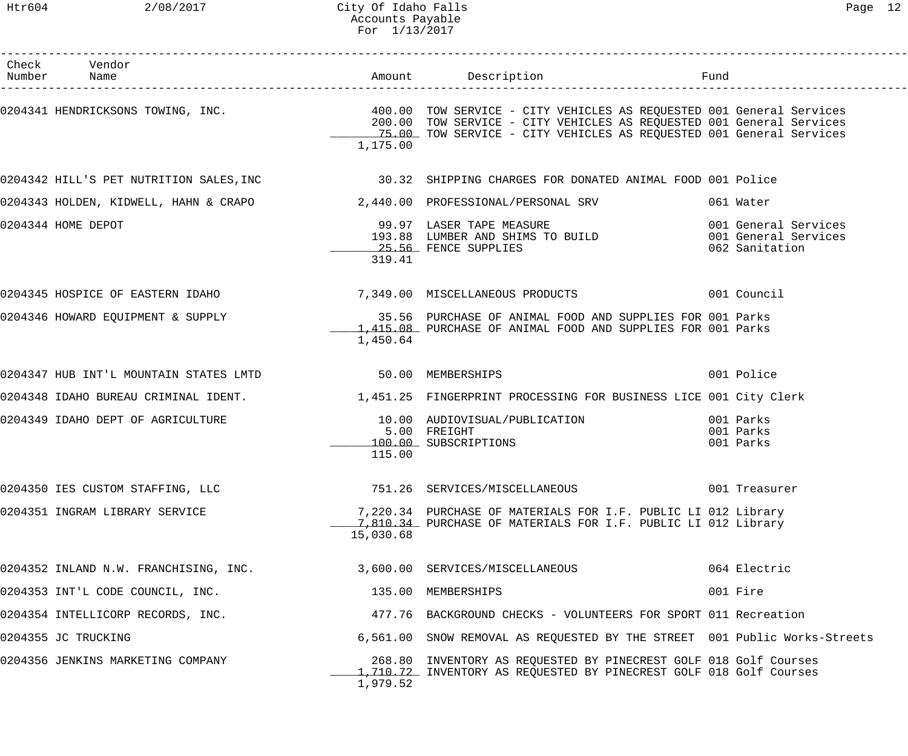Htr604 2/08/2017 City Of Idaho Falls Page 12 Accounts Payable For 1/13/2017

| Check Vendor<br>Number Name                                                                                                                                                                          |           |                                                                                                                                                                              |                                     |
|------------------------------------------------------------------------------------------------------------------------------------------------------------------------------------------------------|-----------|------------------------------------------------------------------------------------------------------------------------------------------------------------------------------|-------------------------------------|
| 0204341 HENDRICKSONS TOWING, INC.                       400.00 TOW SERVICE - CITY VEHICLES AS REQUESTED 001 General Services<br>200.00 TOW SERVICE - CITY VEHICLES AS REQUESTED 001 General Services | 1,175.00  | 15.00 TOW SERVICE - CITY VEHICLES AS REQUESTED 001 General Services                                                                                                          |                                     |
| 0204342 HILL'S PET NUTRITION SALES,INC                      30.32  SHIPPING CHARGES FOR DONATED ANIMAL FOOD 001 Police                                                                               |           |                                                                                                                                                                              |                                     |
| 0204343 HOLDEN, KIDWELL, HAHN & CRAPO $2,440.00$ PROFESSIONAL/PERSONAL SRV                                                                                                                           |           |                                                                                                                                                                              | 061 Water                           |
| 0204344 HOME DEPOT                                                                                                                                                                                   | 319.41    | 99.97 LASER TAPE MEASURE<br>193.88 LUMBER AND SHIMS TO BUILD 001 General Services<br>25.56 FENCE SUPPLIES 062 Sanitation<br>99.97 LASER TAPE MEASURE<br>25.56 FENCE SUPPLIES |                                     |
| 0204345 HOSPICE OF EASTERN IDAHO               7,349.00 MISCELLANEOUS PRODUCTS                 001 Council                                                                                           |           |                                                                                                                                                                              |                                     |
| 0204346 HOWARD EQUIPMENT & SUPPLY (2014) 35.56 PURCHASE OF ANIMAL FOOD AND SUPPLIES FOR 001 Parks                                                                                                    | 1,450.64  | 1,415.08 PURCHASE OF ANIMAL FOOD AND SUPPLIES FOR 001 Parks                                                                                                                  |                                     |
| 0204347 HUB INT'L MOUNTAIN STATES LMTD 50.00 MEMBERSHIPS                                                                                                                                             |           |                                                                                                                                                                              | 001 Police                          |
| 0204348 IDAHO BUREAU CRIMINAL IDENT. 1,451.25 FINGERPRINT PROCESSING FOR BUSINESS LICE 001 City Clerk                                                                                                |           |                                                                                                                                                                              |                                     |
| 0204349 IDAHO DEPT OF AGRICULTURE                                                                                                                                                                    | 115.00    | 10.00 AUDIOVISUAL/PUBLICATION<br>5.00 FREIGHT<br>100.00 SUBSCRIPTIONS                                                                                                        | 001 Parks<br>001 Parks<br>001 Parks |
| 0204350 IES CUSTOM STAFFING, LLC                                                                                                                                                                     |           | 751.26 SERVICES/MISCELLANEOUS                                                                                                                                                | 001 Treasurer                       |
| 0204351 INGRAM LIBRARY SERVICE                                                                                                                                                                       | 15,030.68 | 7,220.34 PURCHASE OF MATERIALS FOR I.F. PUBLIC LI 012 Library<br>1.810.34 PURCHASE OF MATERIALS FOR I.F. PUBLIC LI 012 Library                                               |                                     |
| 0204352 INLAND N.W. FRANCHISING, INC.                                                                                                                                                                |           | 3,600.00 SERVICES/MISCELLANEOUS                                                                                                                                              | 064 Electric                        |
| 0204353 INT'L CODE COUNCIL, INC.                                                                                                                                                                     |           | 135.00 MEMBERSHIPS                                                                                                                                                           | 001 Fire                            |
| 0204354 INTELLICORP RECORDS, INC.                                                                                                                                                                    |           | 477.76 BACKGROUND CHECKS - VOLUNTEERS FOR SPORT 011 Recreation                                                                                                               |                                     |
| 0204355 JC TRUCKING                                                                                                                                                                                  |           | 6,561.00 SNOW REMOVAL AS REQUESTED BY THE STREET 001 Public Works-Streets                                                                                                    |                                     |
| 0204356 JENKINS MARKETING COMPANY                                                                                                                                                                    | 1,979.52  | 268.80 INVENTORY AS REQUESTED BY PINECREST GOLF 018 Golf Courses<br>1,710.72 INVENTORY AS REQUESTED BY PINECREST GOLF 018 Golf Courses                                       |                                     |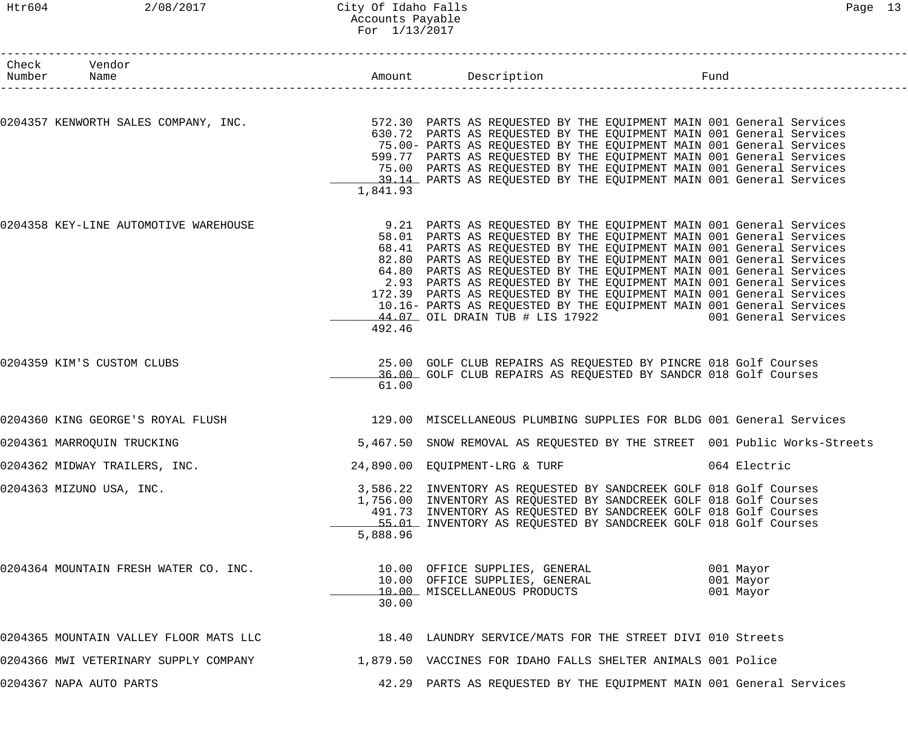### Htr604 2/08/2017 City Of Idaho Falls Page 13 Accounts Payable For 1/13/2017

| Check Vendor<br>Number Name            |          |                                                                                                                                              | Fund                                                                      |
|----------------------------------------|----------|----------------------------------------------------------------------------------------------------------------------------------------------|---------------------------------------------------------------------------|
|                                        |          |                                                                                                                                              |                                                                           |
| 0204357 KENWORTH SALES COMPANY, INC.   |          | 572.30 PARTS AS REQUESTED BY THE EQUIPMENT MAIN 001 General Services<br>630.72 PARTS AS REQUESTED BY THE EQUIPMENT MAIN 001 General Services |                                                                           |
|                                        |          | 75.00- PARTS AS REQUESTED BY THE EQUIPMENT MAIN 001 General Services                                                                         |                                                                           |
|                                        |          | 599.77 PARTS AS REQUESTED BY THE EQUIPMENT MAIN 001 General Services                                                                         |                                                                           |
|                                        |          | 75.00 PARTS AS REQUESTED BY THE EQUIPMENT MAIN 001 General Services<br>39.14 PARTS AS REQUESTED BY THE EQUIPMENT MAIN 001 General Services   |                                                                           |
|                                        | 1,841.93 |                                                                                                                                              |                                                                           |
| 0204358 KEY-LINE AUTOMOTIVE WAREHOUSE  |          | 9.21 PARTS AS REQUESTED BY THE EQUIPMENT MAIN 001 General Services                                                                           |                                                                           |
|                                        |          | 58.01 PARTS AS REQUESTED BY THE EQUIPMENT MAIN 001 General Services                                                                          |                                                                           |
|                                        |          | 68.41 PARTS AS REQUESTED BY THE EQUIPMENT MAIN 001 General Services                                                                          |                                                                           |
|                                        |          | 82.80 PARTS AS REQUESTED BY THE EQUIPMENT MAIN 001 General Services                                                                          |                                                                           |
|                                        |          | 64.80 PARTS AS REQUESTED BY THE EQUIPMENT MAIN 001 General Services                                                                          |                                                                           |
|                                        |          | 2.93 PARTS AS REQUESTED BY THE EQUIPMENT MAIN 001 General Services                                                                           |                                                                           |
|                                        |          | 172.39 PARTS AS REQUESTED BY THE EQUIPMENT MAIN 001 General Services                                                                         |                                                                           |
|                                        |          | 10.16- PARTS AS REQUESTED BY THE EQUIPMENT MAIN 001 General Services<br>44.07 OIL DRAIN TUB # LIS 17922 001 General Services                 |                                                                           |
|                                        | 492.46   |                                                                                                                                              |                                                                           |
| 0204359 KIM'S CUSTOM CLUBS             |          | 25.00 GOLF CLUB REPAIRS AS REQUESTED BY PINCRE 018 Golf Courses                                                                              |                                                                           |
|                                        | 61.00    | 36.00 GOLF CLUB REPAIRS AS REQUESTED BY SANDCR 018 Golf Courses                                                                              |                                                                           |
| 0204360 KING GEORGE'S ROYAL FLUSH      |          | 129.00 MISCELLANEOUS PLUMBING SUPPLIES FOR BLDG 001 General Services                                                                         |                                                                           |
| 0204361 MARROQUIN TRUCKING             |          |                                                                                                                                              | 5,467.50 SNOW REMOVAL AS REQUESTED BY THE STREET 001 Public Works-Streets |
|                                        |          |                                                                                                                                              |                                                                           |
| 0204362 MIDWAY TRAILERS, INC.          |          | 24,890.00 EQUIPMENT-LRG & TURF                                                                                                               | 064 Electric                                                              |
| 0204363 MIZUNO USA, INC.               |          | 3,586.22 INVENTORY AS REQUESTED BY SANDCREEK GOLF 018 Golf Courses                                                                           |                                                                           |
|                                        |          | 1,756.00 INVENTORY AS REQUESTED BY SANDCREEK GOLF 018 Golf Courses                                                                           |                                                                           |
|                                        |          | 491.73 INVENTORY AS REQUESTED BY SANDCREEK GOLF 018 Golf Courses<br>55.01 INVENTORY AS REQUESTED BY SANDCREEK GOLF 018 Golf Courses          |                                                                           |
|                                        | 5,888.96 |                                                                                                                                              |                                                                           |
| 0204364 MOUNTAIN FRESH WATER CO. INC.  |          | 10.00 OFFICE SUPPLIES, GENERAL                                                                                                               | 001 Mayor                                                                 |
|                                        |          | 10.00 OFFICE SUPPLIES, GENERAL                                                                                                               | 001 Mayor                                                                 |
|                                        |          | 10.00 MISCELLANEOUS PRODUCTS                                                                                                                 | 001 Mayor                                                                 |
|                                        | 30.00    |                                                                                                                                              |                                                                           |
| 0204365 MOUNTAIN VALLEY FLOOR MATS LLC |          | 18.40 LAUNDRY SERVICE/MATS FOR THE STREET DIVI 010 Streets                                                                                   |                                                                           |
| 0204366 MWI VETERINARY SUPPLY COMPANY  |          | 1,879.50 VACCINES FOR IDAHO FALLS SHELTER ANIMALS 001 Police                                                                                 |                                                                           |
| 0204367 NAPA AUTO PARTS                |          | 42.29 PARTS AS REQUESTED BY THE EQUIPMENT MAIN 001 General Services                                                                          |                                                                           |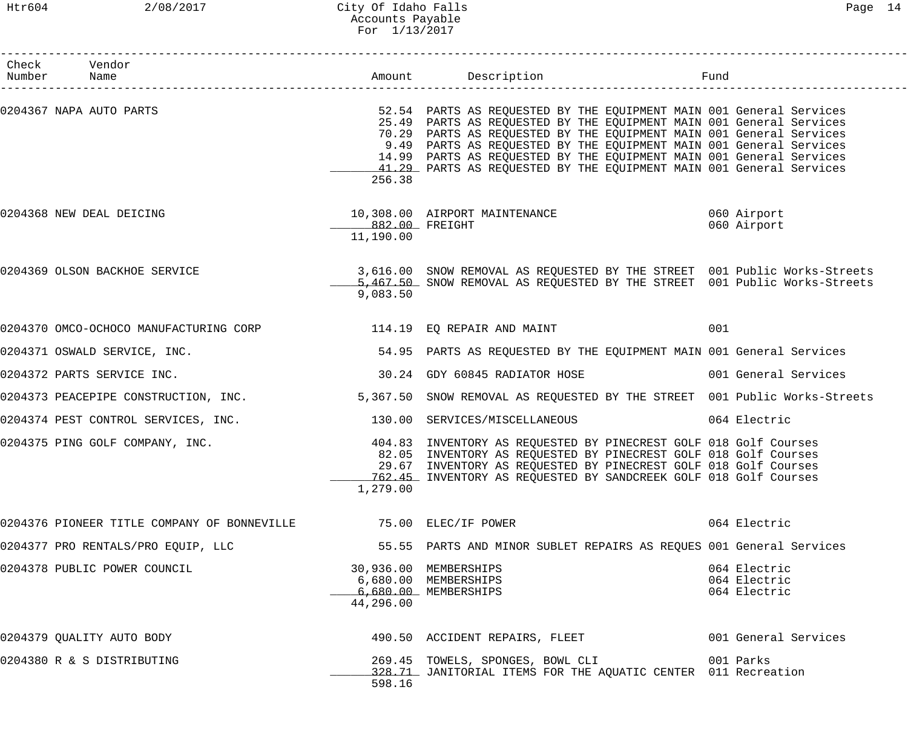## Htr604 2/08/2017 City Of Idaho Falls Page 14 Accounts Payable For 1/13/2017

| Check Vendor<br>Number Name                                       |                             |                                                                                                                                                                                                                                                                                                                                                                                                                                       |                                              |
|-------------------------------------------------------------------|-----------------------------|---------------------------------------------------------------------------------------------------------------------------------------------------------------------------------------------------------------------------------------------------------------------------------------------------------------------------------------------------------------------------------------------------------------------------------------|----------------------------------------------|
| 0204367 NAPA AUTO PARTS                                           | 256.38                      | 52.54 PARTS AS REQUESTED BY THE EQUIPMENT MAIN 001 General Services<br>25.49 PARTS AS REQUESTED BY THE EQUIPMENT MAIN 001 General Services<br>70.29 PARTS AS REQUESTED BY THE EQUIPMENT MAIN 001 General Services<br>9.49 PARTS AS REQUESTED BY THE EQUIPMENT MAIN 001 General Services<br>14.99 PARTS AS REQUESTED BY THE EQUIPMENT MAIN 001 General Services<br>41.29 PARTS AS REQUESTED BY THE EQUIPMENT MAIN 001 General Services |                                              |
| 0204368 NEW DEAL DEICING                                          | 882.00 FREIGHT<br>11,190.00 | 10,308.00 AIRPORT MAINTENANCE                                                                                                                                                                                                                                                                                                                                                                                                         | 060 Airport<br>060 Airport                   |
|                                                                   | 9,083.50                    | 0204369 OLSON BACKHOE SERVICE 3,616.00 SNOW REMOVAL AS REQUESTED BY THE STREET 001 Public Works-Streets<br>5,467.50 SNOW REMOVAL AS REQUESTED BY THE STREET 001 Public Works-Streets                                                                                                                                                                                                                                                  |                                              |
| 0204370 OMCO-OCHOCO MANUFACTURING CORP 114.19 EQ REPAIR AND MAINT |                             |                                                                                                                                                                                                                                                                                                                                                                                                                                       | 001                                          |
| 0204371 OSWALD SERVICE, INC.                                      |                             | 54.95 PARTS AS REQUESTED BY THE EQUIPMENT MAIN 001 General Services                                                                                                                                                                                                                                                                                                                                                                   |                                              |
| 0204372 PARTS SERVICE INC.                                        |                             | 30.24 GDY 60845 RADIATOR HOSE                                                                                                                                                                                                                                                                                                                                                                                                         | 001 General Services                         |
| 0204373 PEACEPIPE CONSTRUCTION, INC.                              |                             | 5,367.50 SNOW REMOVAL AS REQUESTED BY THE STREET 001 Public Works-Streets                                                                                                                                                                                                                                                                                                                                                             |                                              |
| 0204374 PEST CONTROL SERVICES, INC.                               |                             | 130.00 SERVICES/MISCELLANEOUS                                                                                                                                                                                                                                                                                                                                                                                                         | 064 Electric                                 |
| 0204375 PING GOLF COMPANY, INC.                                   | 1,279.00                    | 404.83 INVENTORY AS REQUESTED BY PINECREST GOLF 018 Golf Courses<br>82.05 INVENTORY AS REQUESTED BY PINECREST GOLF 018 Golf Courses<br>29.67 INVENTORY AS REQUESTED BY PINECREST GOLF 018 Golf Courses<br>762.45 INVENTORY AS REQUESTED BY SANDCREEK GOLF 018 Golf Courses                                                                                                                                                            |                                              |
| 0204376 PIONEER TITLE COMPANY OF BONNEVILLE 6 75.00 ELEC/IF POWER |                             |                                                                                                                                                                                                                                                                                                                                                                                                                                       | 064 Electric                                 |
| 0204377 PRO RENTALS/PRO EQUIP, LLC                                |                             | 55.55 PARTS AND MINOR SUBLET REPAIRS AS REQUES 001 General Services                                                                                                                                                                                                                                                                                                                                                                   |                                              |
| 0204378 PUBLIC POWER COUNCIL                                      | 44,296.00                   | 30,936.00 MEMBERSHIPS<br>6,680.00 MEMBERSHIPS<br>6,680.00 MEMBERSHIPS                                                                                                                                                                                                                                                                                                                                                                 | 064 Electric<br>064 Electric<br>064 Electric |
| 0204379 QUALITY AUTO BODY                                         |                             | 490.50 ACCIDENT REPAIRS, FLEET                                                                                                                                                                                                                                                                                                                                                                                                        | 001 General Services                         |
| 0204380 R & S DISTRIBUTING                                        | 598.16                      | 269.45 TOWELS, SPONGES, BOWL CLI<br>328.71 JANITORIAL ITEMS FOR THE AQUATIC CENTER 011 Recreation                                                                                                                                                                                                                                                                                                                                     | 001 Parks                                    |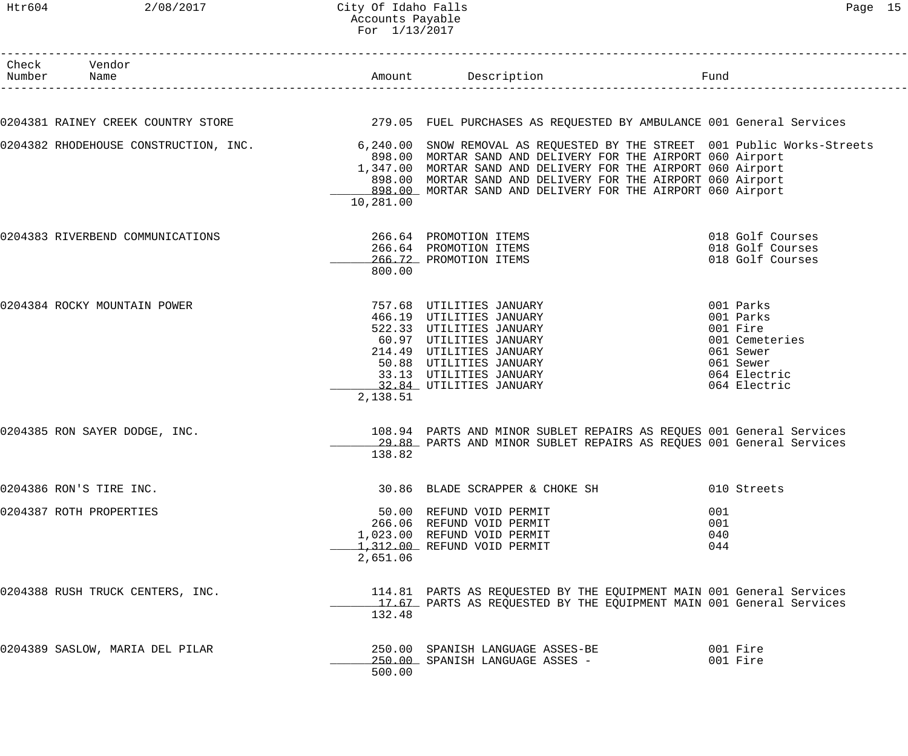### Htr604 2/08/2017 City Of Idaho Falls Page 15 Accounts Payable For 1/13/2017

| Check Vendor<br>Number Name      |           | Amount Description Description                                                                                                                                                                                                                                                                                                                                                |                                                                                                                |
|----------------------------------|-----------|-------------------------------------------------------------------------------------------------------------------------------------------------------------------------------------------------------------------------------------------------------------------------------------------------------------------------------------------------------------------------------|----------------------------------------------------------------------------------------------------------------|
|                                  |           |                                                                                                                                                                                                                                                                                                                                                                               |                                                                                                                |
|                                  |           | 0204381 RAINEY CREEK COUNTRY STORE THE RELL PURCHASES AS REQUESTED BY AMBULANCE 001 General Services                                                                                                                                                                                                                                                                          |                                                                                                                |
|                                  | 10,281.00 | 0204382 RHODEHOUSE CONSTRUCTION, INC. 6,240.00 SNOW REMOVAL AS REQUESTED BY THE STREET 001 Public Works-Streets<br>898.00 MORTAR SAND AND DELIVERY FOR THE AIRPORT 060 Airport<br>1,347.00 MORTAR SAND AND DELIVERY FOR THE AIRPORT 060 Airport<br>898.00 MORTAR SAND AND DELIVERY FOR THE AIRPORT 060 Airport<br>898.00 MORTAR SAND AND DELIVERY FOR THE AIRPORT 060 Airport |                                                                                                                |
| 0204383 RIVERBEND COMMUNICATIONS | 800.00    | 266.64 PROMOTION ITEMS<br>266.64 PROMOTION ITEMS<br>266.72 PROMOTION ITEMS                                                                                                                                                                                                                                                                                                    | 018 Golf Courses<br>018 Golf Courses<br>018 Golf Courses                                                       |
| 0204384 ROCKY MOUNTAIN POWER     | 2,138.51  | 757.68 UTILITIES JANUARY<br>466.19 UTILITIES JANUARY<br>57.00 UILLITIES JANUARY<br>522.33 UTILITIES JANUARY<br>60.97 UTILITIES JANUARY<br>214.49 UTILITIES JANUARY<br>50.88 UTILITIES JANUARY<br>33.13 UTILITIES JANUARY<br>32.84 UTILITIES JANUARY<br>522.33 UTILITIES JANUARY<br>214.49 UTILITIES JANUARY<br>32.84 UTILITIES JANUARY                                        | 001 Parks<br>001 Parks<br>001 Fire<br>001 Cemeteries<br>061 Sewer<br>061 Sewer<br>064 Electric<br>064 Electric |
| 0204385 RON SAYER DODGE, INC.    | 138.82    | 108.94 PARTS AND MINOR SUBLET REPAIRS AS REQUES 001 General Services<br>29.88 PARTS AND MINOR SUBLET REPAIRS AS REQUES 001 General Services                                                                                                                                                                                                                                   |                                                                                                                |
| 0204386 RON'S TIRE INC.          |           | 30.86 BLADE SCRAPPER & CHOKE SH                                                                                                                                                                                                                                                                                                                                               | 010 Streets                                                                                                    |
| 0204387 ROTH PROPERTIES          | 2,651.06  | 50.00 REFUND VOID PERMIT<br>266.06 REFUND VOID PERMIT<br>1,023.00 REFUND VOID PERMIT<br>1,312.00 REFUND VOID PERMIT                                                                                                                                                                                                                                                           | 001<br>001<br>040<br>044                                                                                       |
| 0204388 RUSH TRUCK CENTERS, INC. | 132.48    | 114.81 PARTS AS REQUESTED BY THE EQUIPMENT MAIN 001 General Services<br>17.67 PARTS AS REQUESTED BY THE EQUIPMENT MAIN 001 General Services                                                                                                                                                                                                                                   |                                                                                                                |
| 0204389 SASLOW, MARIA DEL PILAR  | 500.00    | 250.00 SPANISH LANGUAGE ASSES-BE<br>250.00 SPANISH LANGUAGE ASSES -                                                                                                                                                                                                                                                                                                           | 001 Fire<br>001 Fire                                                                                           |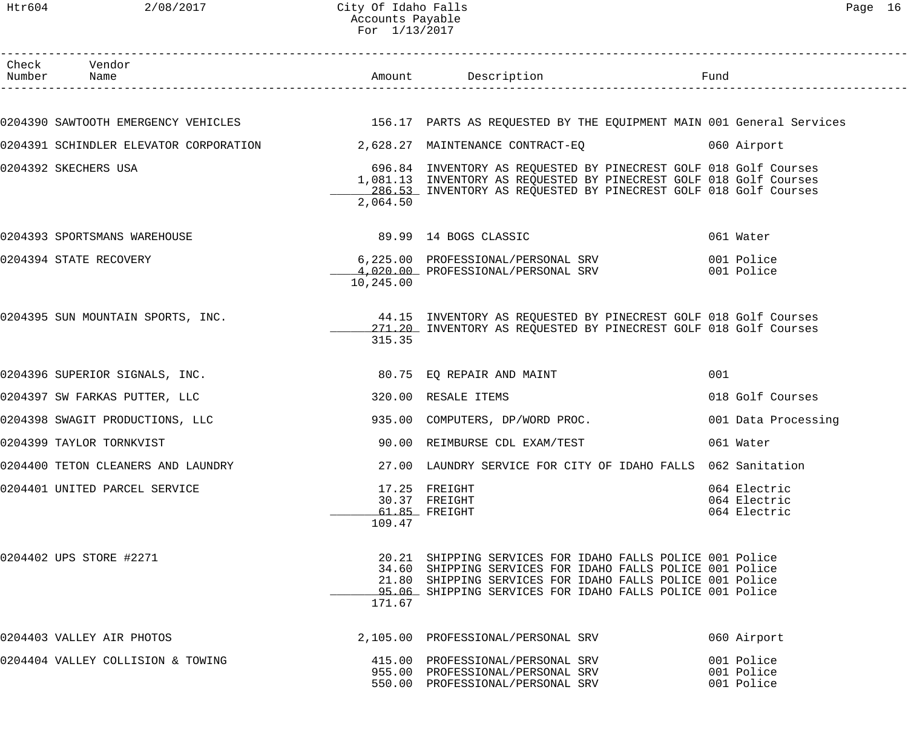| Check Vendor<br>Number Name                                                                                  |           | Amount Description Description                                                                                                                                                                                                                   |                                              |
|--------------------------------------------------------------------------------------------------------------|-----------|--------------------------------------------------------------------------------------------------------------------------------------------------------------------------------------------------------------------------------------------------|----------------------------------------------|
|                                                                                                              |           |                                                                                                                                                                                                                                                  |                                              |
| 0204390 SAWTOOTH EMERGENCY VEHICLES THE SERIE SERIES AS REQUESTED BY THE EQUIPMENT MAIN 001 General Services |           |                                                                                                                                                                                                                                                  |                                              |
| 0204391 SCHINDLER ELEVATOR CORPORATION 2,628.27 MAINTENANCE CONTRACT-EQ 060 Airport                          |           |                                                                                                                                                                                                                                                  |                                              |
| 0204392 SKECHERS USA                                                                                         | 2,064.50  | 696.84 INVENTORY AS REQUESTED BY PINECREST GOLF 018 Golf Courses<br>1,081.13 INVENTORY AS REQUESTED BY PINECREST GOLF 018 Golf Courses<br>286.53 INVENTORY AS REQUESTED BY PINECREST GOLF 018 Golf Courses                                       |                                              |
| 0204393 SPORTSMANS WAREHOUSE                                                                                 |           | 89.99 14 BOGS CLASSIC                                                                                                                                                                                                                            | 061 Water                                    |
| 0204394 STATE RECOVERY                                                                                       | 10,245.00 | 6,225.00 PROFESSIONAL/PERSONAL SRV<br>4,020.00 PROFESSIONAL/PERSONAL SRV                                                                                                                                                                         | 001 Police<br>001 Police                     |
| 0204395 SUN MOUNTAIN SPORTS, INC.                                                                            | 315.35    | 44.15 INVENTORY AS REQUESTED BY PINECREST GOLF 018 Golf Courses<br>271.20 INVENTORY AS REQUESTED BY PINECREST GOLF 018 Golf Courses                                                                                                              |                                              |
| 0204396 SUPERIOR SIGNALS, INC.                                                                               |           | 80.75 EQ REPAIR AND MAINT                                                                                                                                                                                                                        | 001                                          |
| 0204397 SW FARKAS PUTTER, LLC                                                                                |           | 320.00 RESALE ITEMS                                                                                                                                                                                                                              | 018 Golf Courses                             |
| 0204398 SWAGIT PRODUCTIONS, LLC                                                                              |           | 935.00 COMPUTERS, DP/WORD PROC.                                                                                                                                                                                                                  | 001 Data Processing                          |
| 0204399 TAYLOR TORNKVIST                                                                                     |           | 90.00 REIMBURSE CDL EXAM/TEST                                                                                                                                                                                                                    | 061 Water                                    |
| 0204400 TETON CLEANERS AND LAUNDRY                                                                           |           | 27.00 LAUNDRY SERVICE FOR CITY OF IDAHO FALLS 062 Sanitation                                                                                                                                                                                     |                                              |
| 0204401 UNITED PARCEL SERVICE                                                                                | 109.47    | 17.25 FREIGHT<br>30.37 FREIGHT<br>61.85 FREIGHT                                                                                                                                                                                                  | 064 Electric<br>064 Electric<br>064 Electric |
| 0204402 UPS STORE #2271                                                                                      | 171.67    | 20.21 SHIPPING SERVICES FOR IDAHO FALLS POLICE 001 Police<br>34.60 SHIPPING SERVICES FOR IDAHO FALLS POLICE 001 Police<br>21.80 SHIPPING SERVICES FOR IDAHO FALLS POLICE 001 Police<br>95.06 SHIPPING SERVICES FOR IDAHO FALLS POLICE 001 Police |                                              |
| 0204403 VALLEY AIR PHOTOS                                                                                    |           | 2,105.00 PROFESSIONAL/PERSONAL SRV                                                                                                                                                                                                               | 060 Airport                                  |
| 0204404 VALLEY COLLISION & TOWING                                                                            |           | 415.00 PROFESSIONAL/PERSONAL SRV<br>955.00 PROFESSIONAL/PERSONAL SRV<br>550.00 PROFESSIONAL/PERSONAL SRV                                                                                                                                         | 001 Police<br>001 Police<br>001 Police       |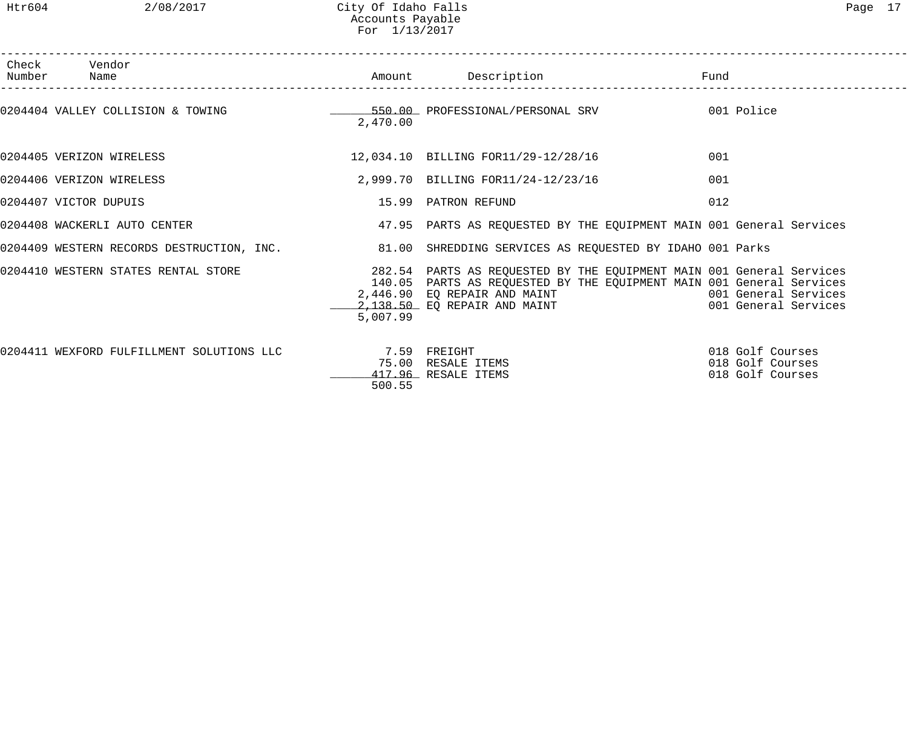| Check Vendor<br>Number Name               |                        | Amount Description                                                                                                                                                                                                                                           | Fund                                                     |
|-------------------------------------------|------------------------|--------------------------------------------------------------------------------------------------------------------------------------------------------------------------------------------------------------------------------------------------------------|----------------------------------------------------------|
|                                           | 2,470.00               | 0204404 VALLEY COLLISION & TOWING TERRY CONTROL AND TROFESSIONAL/PERSONAL SRV TERRY ON Police                                                                                                                                                                |                                                          |
| 0204405 VERIZON WIRELESS                  |                        | 12,034.10 BILLING FOR11/29-12/28/16                                                                                                                                                                                                                          | 001                                                      |
| 0204406 VERIZON WIRELESS                  |                        | 2,999.70 BILLING FOR11/24-12/23/16                                                                                                                                                                                                                           | 001                                                      |
| 0204407 VICTOR DUPUIS                     |                        | 15.99 PATRON REFUND                                                                                                                                                                                                                                          | 012                                                      |
| 0204408 WACKERLI AUTO CENTER              |                        | 47.95 PARTS AS REQUESTED BY THE EQUIPMENT MAIN 001 General Services                                                                                                                                                                                          |                                                          |
|                                           |                        | 0204409 WESTERN RECORDS DESTRUCTION, INC. 31.00 SHREDDING SERVICES AS REQUESTED BY IDAHO 001 Parks                                                                                                                                                           |                                                          |
|                                           | 5,007.99               | 0204410 WESTERN STATES RENTAL STORE THE STORE 282.54 PARTS AS REQUESTED BY THE EQUIPMENT MAIN 001 General Services<br>140.05 PARTS AS REQUESTED BY THE EQUIPMENT MAIN 001 General Services<br>2,446.90  EQ REPAIR AND MAINT<br>2,138.50  EQ REPAIR AND MAINT | 001 General Services<br>001 General Services             |
| 0204411 WEXFORD FULFILLMENT SOLUTIONS LLC | 7.59 FREIGHT<br>500.55 | 75.00 RESALE ITEMS<br>417.96 RESALE ITEMS                                                                                                                                                                                                                    | 018 Golf Courses<br>018 Golf Courses<br>018 Golf Courses |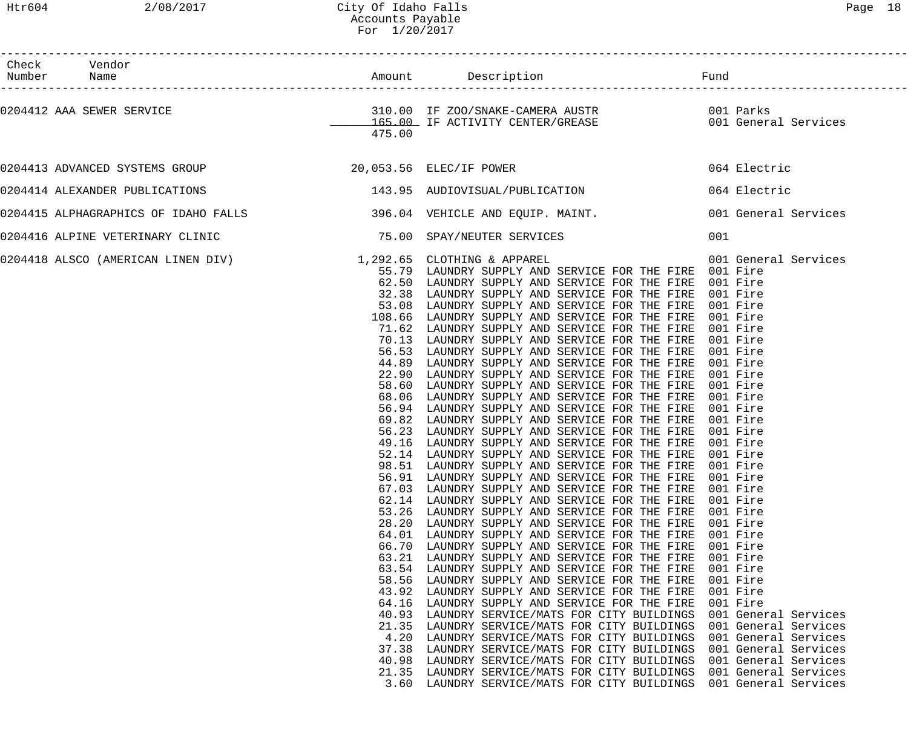### Htr604 2/08/2017 City Of Idaho Falls Page 18 Accounts Payable For 1/20/2017

| $\sigma$<br>ı. |  |
|----------------|--|
|----------------|--|

| Check Vendor<br>Number Name<br>_____________________                                          |                                                                                                                                   |                                                                                                                                                                                                                                                                                                                                                                                                                                                                                                                                                                                                                                                                                                                                                                                                                                                                                                                                                                                                                                                                                                                                                                                                                                                                                                                                                                                                                                                                                                                                                                                                                                                                                                                                                                                                                                                                                                                                                                     |                                                                                                                                                                                                                                                                                                                                  |
|-----------------------------------------------------------------------------------------------|-----------------------------------------------------------------------------------------------------------------------------------|---------------------------------------------------------------------------------------------------------------------------------------------------------------------------------------------------------------------------------------------------------------------------------------------------------------------------------------------------------------------------------------------------------------------------------------------------------------------------------------------------------------------------------------------------------------------------------------------------------------------------------------------------------------------------------------------------------------------------------------------------------------------------------------------------------------------------------------------------------------------------------------------------------------------------------------------------------------------------------------------------------------------------------------------------------------------------------------------------------------------------------------------------------------------------------------------------------------------------------------------------------------------------------------------------------------------------------------------------------------------------------------------------------------------------------------------------------------------------------------------------------------------------------------------------------------------------------------------------------------------------------------------------------------------------------------------------------------------------------------------------------------------------------------------------------------------------------------------------------------------------------------------------------------------------------------------------------------------|----------------------------------------------------------------------------------------------------------------------------------------------------------------------------------------------------------------------------------------------------------------------------------------------------------------------------------|
| 0204412 AAA SEWER SERVICE                                                                     | 475.00                                                                                                                            |                                                                                                                                                                                                                                                                                                                                                                                                                                                                                                                                                                                                                                                                                                                                                                                                                                                                                                                                                                                                                                                                                                                                                                                                                                                                                                                                                                                                                                                                                                                                                                                                                                                                                                                                                                                                                                                                                                                                                                     |                                                                                                                                                                                                                                                                                                                                  |
|                                                                                               |                                                                                                                                   |                                                                                                                                                                                                                                                                                                                                                                                                                                                                                                                                                                                                                                                                                                                                                                                                                                                                                                                                                                                                                                                                                                                                                                                                                                                                                                                                                                                                                                                                                                                                                                                                                                                                                                                                                                                                                                                                                                                                                                     |                                                                                                                                                                                                                                                                                                                                  |
| 0204414 ALEXANDER PUBLICATIONS                                                                |                                                                                                                                   | 143.95 AUDIOVISUAL/PUBLICATION 064 Electric                                                                                                                                                                                                                                                                                                                                                                                                                                                                                                                                                                                                                                                                                                                                                                                                                                                                                                                                                                                                                                                                                                                                                                                                                                                                                                                                                                                                                                                                                                                                                                                                                                                                                                                                                                                                                                                                                                                         |                                                                                                                                                                                                                                                                                                                                  |
| 0204415 ALPHAGRAPHICS OF IDAHO FALLS 196.04 VEHICLE AND EQUIP. MAINT. 1990 1 General Services |                                                                                                                                   |                                                                                                                                                                                                                                                                                                                                                                                                                                                                                                                                                                                                                                                                                                                                                                                                                                                                                                                                                                                                                                                                                                                                                                                                                                                                                                                                                                                                                                                                                                                                                                                                                                                                                                                                                                                                                                                                                                                                                                     |                                                                                                                                                                                                                                                                                                                                  |
| 0204416 ALPINE VETERINARY CLINIC                                                              |                                                                                                                                   | 75.00 SPAY/NEUTER SERVICES                                                                                                                                                                                                                                                                                                                                                                                                                                                                                                                                                                                                                                                                                                                                                                                                                                                                                                                                                                                                                                                                                                                                                                                                                                                                                                                                                                                                                                                                                                                                                                                                                                                                                                                                                                                                                                                                                                                                          | 001                                                                                                                                                                                                                                                                                                                              |
| 0204418 ALSCO (AMERICAN LINEN DIV) 1,292.65 CLOTHING & APPAREL                                | 67.03<br>62.14<br>53.26<br>63.21<br>63.54<br>58.56<br>43.92<br>64.16<br>40.93<br>21.35<br>4.20<br>37.38<br>40.98<br>21.35<br>3.60 | 55.79 LAUNDRY SUPPLY AND SERVICE FOR THE FIRE 001 Fire<br>62.50 LAUNDRY SUPPLY AND SERVICE FOR THE FIRE 001 Fire<br>32.38 LAUNDRY SUPPLY AND SERVICE FOR THE FIRE 001 Fire<br>53.08 LAUNDRY SUPPLY AND SERVICE FOR THE FIRE 001 Fire<br>108.66 LAUNDRY SUPPLY AND SERVICE FOR THE FIRE 001 Fire<br>71.62 LAUNDRY SUPPLY AND SERVICE FOR THE FIRE 001 Fire<br>70.13 LAUNDRY SUPPLY AND SERVICE FOR THE FIRE 001 Fire<br>56.53 LAUNDRY SUPPLY AND SERVICE FOR THE FIRE 001 Fire<br>44.89 LAUNDRY SUPPLY AND SERVICE FOR THE FIRE 001 Fire<br>22.90 LAUNDRY SUPPLY AND SERVICE FOR THE FIRE 001 Fire<br>58.60 LAUNDRY SUPPLY AND SERVICE FOR THE FIRE 001 Fire<br>68.06 LAUNDRY SUPPLY AND SERVICE FOR THE FIRE 001 Fire<br>56.94 LAUNDRY SUPPLY AND SERVICE FOR THE FIRE 001 Fire<br>69.82 LAUNDRY SUPPLY AND SERVICE FOR THE FIRE 001 Fire<br>56.23 LAUNDRY SUPPLY AND SERVICE FOR THE FIRE 001 Fire<br>49.16 LAUNDRY SUPPLY AND SERVICE FOR THE FIRE 001 Fire<br>52.14 LAUNDRY SUPPLY AND SERVICE FOR THE FIRE 001 Fire<br>98.51 LAUNDRY SUPPLY AND SERVICE FOR THE FIRE 001 Fire<br>56.91 LAUNDRY SUPPLY AND SERVICE FOR THE FIRE 001 Fire<br>LAUNDRY SUPPLY AND SERVICE FOR THE FIRE<br>LAUNDRY SUPPLY AND SERVICE FOR THE FIRE<br>LAUNDRY SUPPLY AND SERVICE FOR THE FIRE<br>28.20 LAUNDRY SUPPLY AND SERVICE FOR THE FIRE<br>64.01 LAUNDRY SUPPLY AND SERVICE FOR THE FIRE<br>66.70 LAUNDRY SUPPLY AND SERVICE FOR THE FIRE<br>LAUNDRY SUPPLY AND SERVICE FOR THE FIRE<br>LAUNDRY SUPPLY AND SERVICE FOR THE FIRE<br>LAUNDRY SUPPLY AND SERVICE FOR THE FIRE<br>LAUNDRY SUPPLY AND SERVICE FOR THE FIRE<br>LAUNDRY SUPPLY AND SERVICE FOR THE FIRE<br>LAUNDRY SERVICE/MATS FOR CITY BUILDINGS<br>LAUNDRY SERVICE/MATS FOR CITY BUILDINGS<br>LAUNDRY SERVICE/MATS FOR CITY BUILDINGS<br>LAUNDRY SERVICE/MATS FOR CITY BUILDINGS<br>LAUNDRY SERVICE/MATS FOR CITY BUILDINGS<br>LAUNDRY SERVICE/MATS FOR CITY BUILDINGS<br>LAUNDRY SERVICE/MATS FOR CITY BUILDINGS | 001 General Services<br>001 Fire<br>001 Fire<br>001 Fire<br>001 Fire<br>001 Fire<br>001 Fire<br>001 Fire<br>001 Fire<br>001 Fire<br>001 Fire<br>001 Fire<br>001 General Services<br>001 General Services<br>001 General Services<br>001 General Services<br>001 General Services<br>001 General Services<br>001 General Services |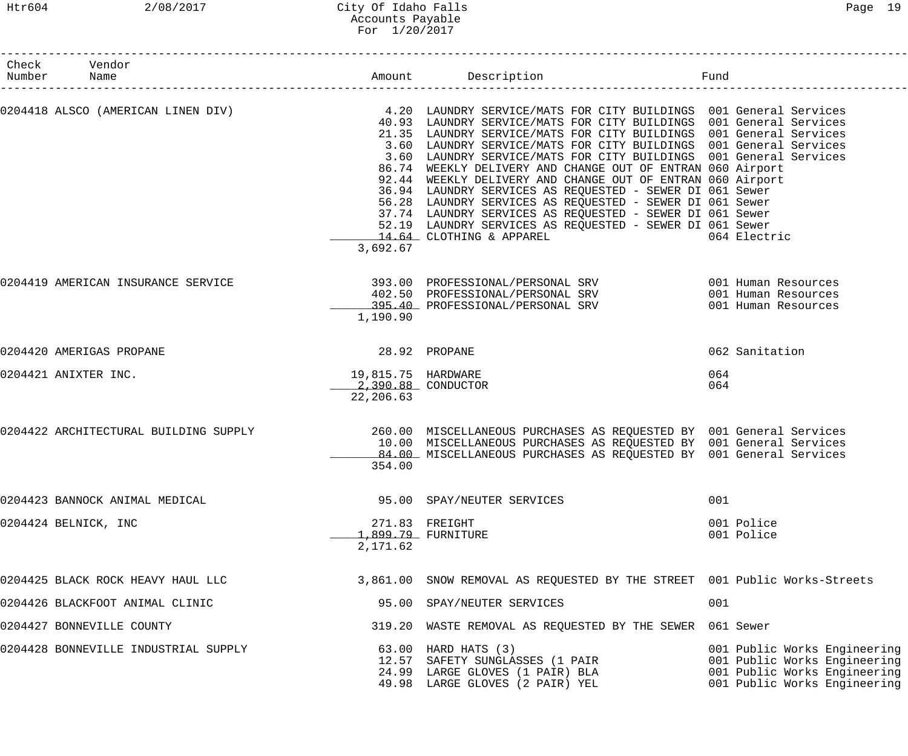## Htr604 2/08/2017 City Of Idaho Falls Page 19 Accounts Payable For 1/20/2017

| Check Vendor<br>Number Name           |                                                        |                                                                                                                                                                                                                                                                                                                                                                                                                                                                                                                                                                                                                                                                                                                                                                                                    | Fund                                                                                                                         |
|---------------------------------------|--------------------------------------------------------|----------------------------------------------------------------------------------------------------------------------------------------------------------------------------------------------------------------------------------------------------------------------------------------------------------------------------------------------------------------------------------------------------------------------------------------------------------------------------------------------------------------------------------------------------------------------------------------------------------------------------------------------------------------------------------------------------------------------------------------------------------------------------------------------------|------------------------------------------------------------------------------------------------------------------------------|
|                                       | 3,692.67                                               | 0204418 ALSCO (AMERICAN LINEN DIV) 4.20 LAUNDRY SERVICE/MATS FOR CITY BUILDINGS 001 General Services<br>40.93 LAUNDRY SERVICE/MATS FOR CITY BUILDINGS 001 General Services<br>21.35 LAUNDRY SERVICE/MATS FOR CITY BUILDINGS 001 General Services<br>3.60 LAUNDRY SERVICE/MATS FOR CITY BUILDINGS 001 General Services<br>3.60 LAUNDRY SERVICE/MATS FOR CITY BUILDINGS 001 General Services<br>86.74 WEEKLY DELIVERY AND CHANGE OUT OF ENTRAN 060 Airport<br>92.44 WEEKLY DELIVERY AND CHANGE OUT OF ENTRAN 060 Airport<br>36.94 LAUNDRY SERVICES AS REQUESTED - SEWER DI 061 Sewer<br>56.28 LAUNDRY SERVICES AS REQUESTED - SEWER DI 061 Sewer<br>37.74 LAUNDRY SERVICES AS REQUESTED - SEWER DI 061 Sewer<br>52.19 LAUNDRY SERVICES AS REQUESTED - SEWER DI 061 Sewer<br>14.64 CLOTHING & APPAREL | 064 Electric                                                                                                                 |
| 0204419 AMERICAN INSURANCE SERVICE    | 1,190.90                                               | 393.00 PROFESSIONAL/PERSONAL SRV 6001 Human Resources<br>402.50 PROFESSIONAL/PERSONAL SRV<br>395.40 PROFESSIONAL/PERSONAL SRV                                                                                                                                                                                                                                                                                                                                                                                                                                                                                                                                                                                                                                                                      | 001 Human Resources<br>001 Human Resources                                                                                   |
| 0204420 AMERIGAS PROPANE              | 28.92 PROPANE                                          |                                                                                                                                                                                                                                                                                                                                                                                                                                                                                                                                                                                                                                                                                                                                                                                                    | 062 Sanitation                                                                                                               |
| 0204421 ANIXTER INC.                  | 19,815.75 HARDWARE<br>2,390.88 CONDUCTOR<br>22, 206.63 |                                                                                                                                                                                                                                                                                                                                                                                                                                                                                                                                                                                                                                                                                                                                                                                                    | 064<br>064                                                                                                                   |
| 0204422 ARCHITECTURAL BUILDING SUPPLY | 354.00                                                 | 260.00 MISCELLANEOUS PURCHASES AS REQUESTED BY 001 General Services<br>10.00 MISCELLANEOUS PURCHASES AS REQUESTED BY 001 General Services<br>84.00 MISCELLANEOUS PURCHASES AS REQUESTED BY 001 General Services                                                                                                                                                                                                                                                                                                                                                                                                                                                                                                                                                                                    |                                                                                                                              |
| 0204423 BANNOCK ANIMAL MEDICAL        |                                                        | 95.00 SPAY/NEUTER SERVICES                                                                                                                                                                                                                                                                                                                                                                                                                                                                                                                                                                                                                                                                                                                                                                         | 001                                                                                                                          |
| 0204424 BELNICK, INC                  | 2,171.62                                               | 271.83 FREIGHT<br>1,899.79 FURNITURE                                                                                                                                                                                                                                                                                                                                                                                                                                                                                                                                                                                                                                                                                                                                                               | 001 Police<br>001 Police                                                                                                     |
| 0204425 BLACK ROCK HEAVY HAUL LLC     |                                                        | 3,861.00 SNOW REMOVAL AS REQUESTED BY THE STREET 001 Public Works-Streets                                                                                                                                                                                                                                                                                                                                                                                                                                                                                                                                                                                                                                                                                                                          |                                                                                                                              |
| 0204426 BLACKFOOT ANIMAL CLINIC       |                                                        | 95.00 SPAY/NEUTER SERVICES                                                                                                                                                                                                                                                                                                                                                                                                                                                                                                                                                                                                                                                                                                                                                                         | 001                                                                                                                          |
| 0204427 BONNEVILLE COUNTY             |                                                        | 319.20 WASTE REMOVAL AS REQUESTED BY THE SEWER 061 Sewer                                                                                                                                                                                                                                                                                                                                                                                                                                                                                                                                                                                                                                                                                                                                           |                                                                                                                              |
| 0204428 BONNEVILLE INDUSTRIAL SUPPLY  |                                                        | 63.00 HARD HATS (3)<br>12.57 SAFETY SUNGLASSES (1 PAIR<br>24.99 LARGE GLOVES (1 PAIR) BLA<br>49.98 LARGE GLOVES (2 PAIR) YEL                                                                                                                                                                                                                                                                                                                                                                                                                                                                                                                                                                                                                                                                       | 001 Public Works Engineering<br>001 Public Works Engineering<br>001 Public Works Engineering<br>001 Public Works Engineering |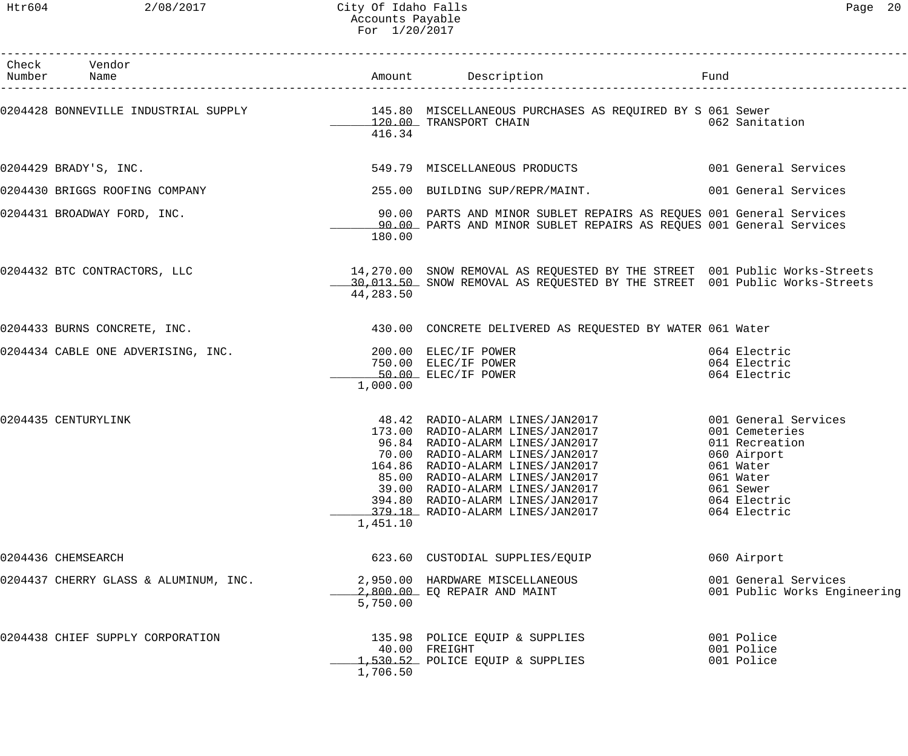| Check Vendor<br>Number Name           |           | Amount Description Fund                                                                                                                                                                                                                                                                                                                                                                    |                                                                     |
|---------------------------------------|-----------|--------------------------------------------------------------------------------------------------------------------------------------------------------------------------------------------------------------------------------------------------------------------------------------------------------------------------------------------------------------------------------------------|---------------------------------------------------------------------|
|                                       | 416.34    | 0204428 BONNEVILLE INDUSTRIAL SUPPLY 145.80 MISCELLANEOUS PURCHASES AS REQUIRED BY S 061 Sewer                                                                                                                                                                                                                                                                                             |                                                                     |
| 0204429 BRADY'S, INC.                 |           | 549.79 MISCELLANEOUS PRODUCTS 001 General Services                                                                                                                                                                                                                                                                                                                                         |                                                                     |
| 0204430 BRIGGS ROOFING COMPANY        |           | 255.00 BUILDING SUP/REPR/MAINT. 6001 General Services                                                                                                                                                                                                                                                                                                                                      |                                                                     |
| 0204431 BROADWAY FORD, INC.           | 180.00    | 90.00 PARTS AND MINOR SUBLET REPAIRS AS REQUES 001 General Services<br>90.00 PARTS AND MINOR SUBLET REPAIRS AS REQUES 001 General Services                                                                                                                                                                                                                                                 |                                                                     |
| 0204432 BTC CONTRACTORS, LLC          | 44,283.50 | 14,270.00 SNOW REMOVAL AS REQUESTED BY THE STREET 001 Public Works-Streets<br>10,013.50 SNOW REMOVAL AS REQUESTED BY THE STREET 001 Public Works-Streets                                                                                                                                                                                                                                   |                                                                     |
| 0204433 BURNS CONCRETE, INC.          |           | 430.00 CONCRETE DELIVERED AS REQUESTED BY WATER 061 Water                                                                                                                                                                                                                                                                                                                                  |                                                                     |
| 0204434 CABLE ONE ADVERISING, INC.    | 1,000.00  | 200.00 ELEC/IF POWER<br>750.00 ELEC/IF POWER<br>50.00 ELEC/IF POWER                                                                                                                                                                                                                                                                                                                        | 064 Electric<br>064 Electric<br>064 Electric                        |
| 0204435 CENTURYLINK                   | 1,451.10  | 48.42 RADIO-ALARM LINES/JAN2017 001 General Services<br>173.00 RADIO-ALARM LINES/JAN2017 001 Cemeteries<br>96.84 RADIO-ALARM LINES/JAN2017 011 Recreation<br>70.00 RADIO-ALARM LINES/JAN2017 060 Airport<br>164.86 RADIO-ALARM LINES/JAN2017<br>85.00 RADIO-ALARM LINES/JAN2017<br>39.00 RADIO-ALARM LINES/JAN2017<br>394.80 RADIO-ALARM LINES/JAN2017<br>379.18 RADIO-ALARM LINES/JAN2017 | 061 Water<br>061 Water<br>061 Sewer<br>064 Electric<br>064 Electric |
| 0204436 CHEMSEARCH                    |           | 623.60 CUSTODIAL SUPPLIES/EQUIP                                                                                                                                                                                                                                                                                                                                                            | 060 Airport                                                         |
| 0204437 CHERRY GLASS & ALUMINUM, INC. | 5,750.00  | 2,950.00 HARDWARE MISCELLANEOUS<br>2,800.00 EQ REPAIR AND MAINT                                                                                                                                                                                                                                                                                                                            | 001 General Services<br>001 Public Works Engineering                |
| 0204438 CHIEF SUPPLY CORPORATION      | 1,706.50  | 135.98 POLICE EQUIP & SUPPLIES<br>40.00 FREIGHT<br>1,530.52 POLICE EQUIP & SUPPLIES                                                                                                                                                                                                                                                                                                        | 001 Police<br>001 Police<br>001 Police                              |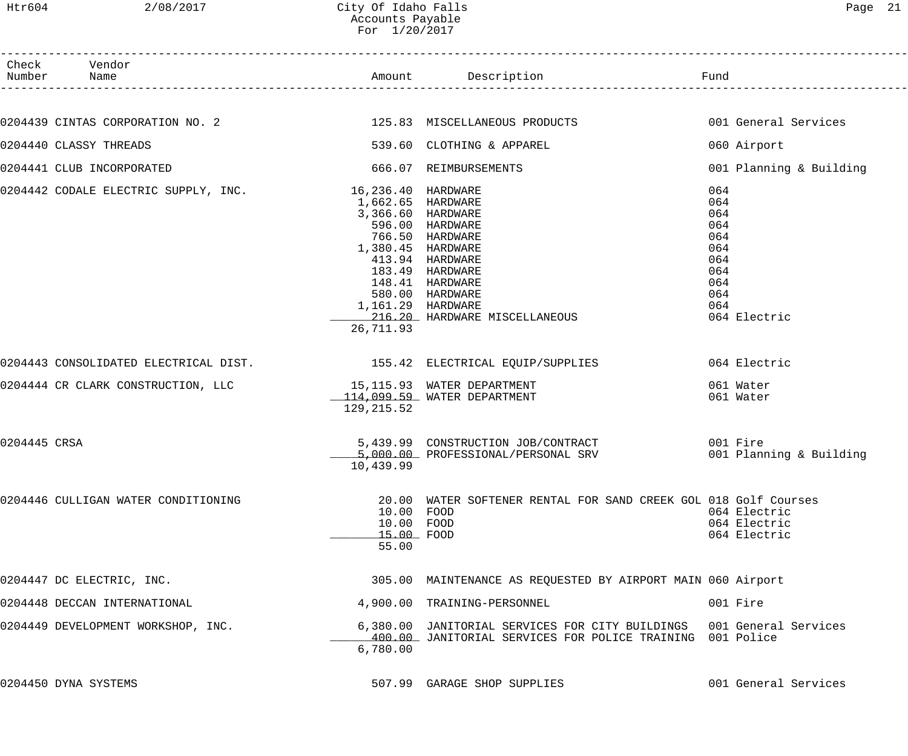| Htr604       | 2/08/2017                                                     | City Of Idaho Falls<br>Accounts Payable<br>For 1/20/2017                                      |                                                                                                                                                 | Page 21                                                                                   |
|--------------|---------------------------------------------------------------|-----------------------------------------------------------------------------------------------|-------------------------------------------------------------------------------------------------------------------------------------------------|-------------------------------------------------------------------------------------------|
|              | Check Vendor                                                  |                                                                                               |                                                                                                                                                 |                                                                                           |
|              |                                                               |                                                                                               |                                                                                                                                                 |                                                                                           |
|              | 0204439 CINTAS CORPORATION NO. 2                              |                                                                                               | 125.83 MISCELLANEOUS PRODUCTS                                                                                                                   | 001 General Services                                                                      |
|              | 0204440 CLASSY THREADS                                        |                                                                                               | 539.60 CLOTHING & APPAREL                                                                                                                       | 060 Airport                                                                               |
|              | 0204441 CLUB INCORPORATED                                     |                                                                                               | 666.07 REIMBURSEMENTS                                                                                                                           | 001 Planning & Building                                                                   |
|              | 0204442 CODALE ELECTRIC SUPPLY, INC. 16,236.40 HARDWARE       | 1,662.65 HARDWARE<br>3,366.60 HARDWARE<br>1,380.45 HARDWARE<br>1,161.29 HARDWARE<br>26,711.93 | 596.00 HARDWARE<br>766.50 HARDWARE<br>413.94 HARDWARE<br>183.49 HARDWARE<br>148.41 HARDWARE<br>580.00 HARDWARE<br>216.20 HARDWARE MISCELLANEOUS | 064<br>064<br>064<br>064<br>064<br>064<br>064<br>064<br>064<br>064<br>064<br>064 Electric |
|              |                                                               |                                                                                               | 0204443 CONSOLIDATED ELECTRICAL DIST.                        155.42 ELECTRICAL EQUIP/SUPPLIES                                                   | 064 Electric                                                                              |
|              | 0204444 CR CLARK CONSTRUCTION, LLC 15,115.93 WATER DEPARTMENT | 129, 215.52                                                                                   | $114,099.59$ WATER DEPARTMENT                                                                                                                   | 061 Water<br>061 Water                                                                    |
| 0204445 CRSA |                                                               | 10,439.99                                                                                     | 5,439.99 CONSTRUCTION JOB/CONTRACT<br>5,000.00 PROFESSIONAL/PERSONAL SRV                                                                        | 001 Fire<br>001 Planning & Building                                                       |
|              | 0204446 CULLIGAN WATER CONDITIONING                           | 10.00 FOOD<br>10.00 FOOD<br>15.00 FOOD<br>55.00                                               | 20.00 WATER SOFTENER RENTAL FOR SAND CREEK GOL 018 Golf Courses                                                                                 | 064 Electric<br>064 Electric<br>064 Electric                                              |
|              | 0204447 DC ELECTRIC, INC.                                     |                                                                                               | 305.00 MAINTENANCE AS REQUESTED BY AIRPORT MAIN 060 Airport                                                                                     |                                                                                           |
|              | 0204448 DECCAN INTERNATIONAL                                  |                                                                                               | 4,900.00 TRAINING-PERSONNEL                                                                                                                     | 001 Fire                                                                                  |
|              | 0204449 DEVELOPMENT WORKSHOP, INC.                            | 6,780.00                                                                                      | 6,380.00 JANITORIAL SERVICES FOR CITY BUILDINGS 001 General Services<br>400.00 JANITORIAL SERVICES FOR POLICE TRAINING 001 Police               |                                                                                           |

0204450 DYNA SYSTEMS 507.99 GARAGE SHOP SUPPLIES 001 General Services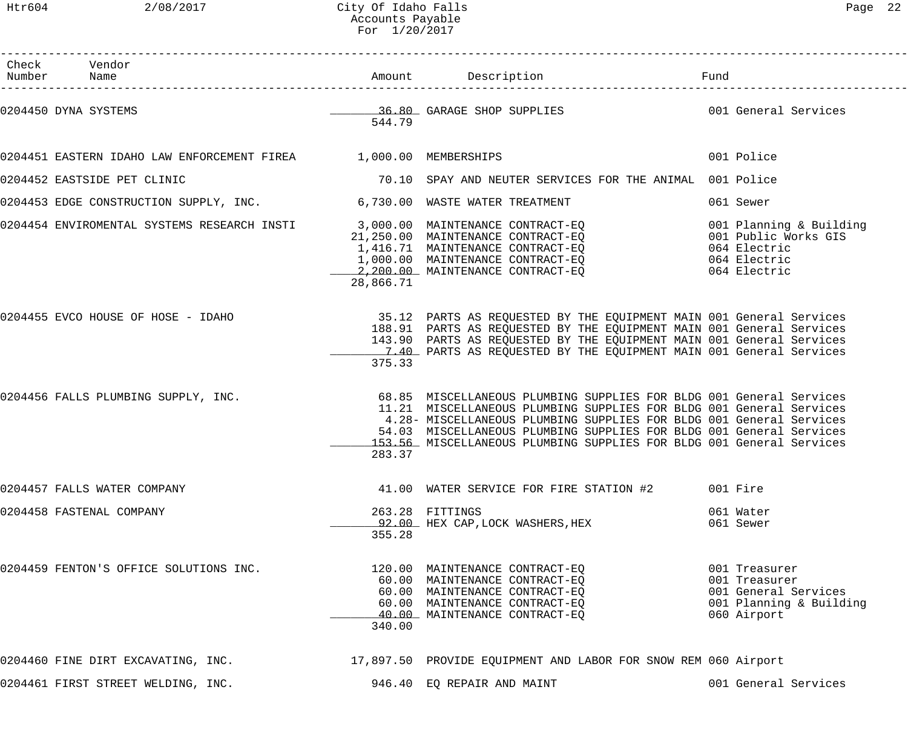Htr604 2/08/2017 City Of Idaho Falls Page 22 Accounts Payable For 1/20/2017

| Check Vendor<br>Number Name                                           |           |                                                                                                                                                                                                                                                                                                                                                                  |                                                                                                  |
|-----------------------------------------------------------------------|-----------|------------------------------------------------------------------------------------------------------------------------------------------------------------------------------------------------------------------------------------------------------------------------------------------------------------------------------------------------------------------|--------------------------------------------------------------------------------------------------|
| 0204450 DYNA SYSTEMS                                                  | 544.79    | 36.80 GARAGE SHOP SUPPLIES 001 General Services                                                                                                                                                                                                                                                                                                                  |                                                                                                  |
| 0204451 EASTERN IDAHO LAW ENFORCEMENT FIREA 1,000.00 MEMBERSHIPS      |           |                                                                                                                                                                                                                                                                                                                                                                  | 001 Police                                                                                       |
| 0204452 EASTSIDE PET CLINIC                                           |           | 70.10 SPAY AND NEUTER SERVICES FOR THE ANIMAL 001 Police                                                                                                                                                                                                                                                                                                         |                                                                                                  |
| 0204453 EDGE CONSTRUCTION SUPPLY, INC. 6,730.00 WASTE WATER TREATMENT |           |                                                                                                                                                                                                                                                                                                                                                                  | 061 Sewer                                                                                        |
|                                                                       | 28,866.71 | 0204454 ENVIROMENTAL SYSTEMS RESEARCH INSTI<br>21,250.00 MAINTENANCE CONTRACT-EQ<br>21,250.00 MAINTENANCE CONTRACT-EQ<br>1,416.71 MAINTENANCE CONTRACT-EQ<br>1,000.00 MAINTENANCE CONTRACT-EQ<br>2,200.00 MAINTENANCE CONTRACT-EQ                                                                                                                                | 001 Planning & Building<br>001 Public Works GIS<br>064 Electric<br>064 Electric<br>064 Electric  |
|                                                                       | 375.33    | 0204455 EVCO HOUSE OF HOSE - IDAHO 35.12 PARTS AS REQUESTED BY THE EQUIPMENT MAIN 001 General Services<br>188.91 PARTS AS REQUESTED BY THE EQUIPMENT MAIN 001 General Services<br>143.90 PARTS AS REQUESTED BY THE EQUIPMENT MAIN 001 General Services<br>1.40 PARTS AS REQUESTED BY THE EQUIPMENT MAIN 001 General Services                                     |                                                                                                  |
| 0204456 FALLS PLUMBING SUPPLY, INC.                                   | 283.37    | 68.85 MISCELLANEOUS PLUMBING SUPPLIES FOR BLDG 001 General Services<br>11.21 MISCELLANEOUS PLUMBING SUPPLIES FOR BLDG 001 General Services<br>4.28- MISCELLANEOUS PLUMBING SUPPLIES FOR BLDG 001 General Services<br>54.03 MISCELLANEOUS PLUMBING SUPPLIES FOR BLDG 001 General Services<br>153.56 MISCELLANEOUS PLUMBING SUPPLIES FOR BLDG 001 General Services |                                                                                                  |
| 0204457 FALLS WATER COMPANY                                           |           | 41.00 WATER SERVICE FOR FIRE STATION #2                                                                                                                                                                                                                                                                                                                          | 001 Fire                                                                                         |
| 0204458 FASTENAL COMPANY                                              | 355.28    | 263.28 FITTINGS<br>92.00 HEX CAP, LOCK WASHERS, HEX                                                                                                                                                                                                                                                                                                              | 061 Water<br>061 Sewer                                                                           |
| 0204459 FENTON'S OFFICE SOLUTIONS INC.                                | 340.00    | 120.00 MAINTENANCE CONTRACT-EQ<br>60.00 MAINTENANCE CONTRACT-EQ<br>60.00 MAINTENANCE CONTRACT-EQ<br>60.00 MAINTENANCE CONTRACT-EQ<br>40.00 MAINTENANCE CONTRACT-EQ                                                                                                                                                                                               | 001 Treasurer<br>001 Treasurer<br>001 General Services<br>001 Planning & Building<br>060 Airport |
| 0204460 FINE DIRT EXCAVATING, INC.                                    |           | 17,897.50 PROVIDE EQUIPMENT AND LABOR FOR SNOW REM 060 Airport                                                                                                                                                                                                                                                                                                   |                                                                                                  |
| 0204461 FIRST STREET WELDING, INC.                                    |           | 946.40 EQ REPAIR AND MAINT                                                                                                                                                                                                                                                                                                                                       | 001 General Services                                                                             |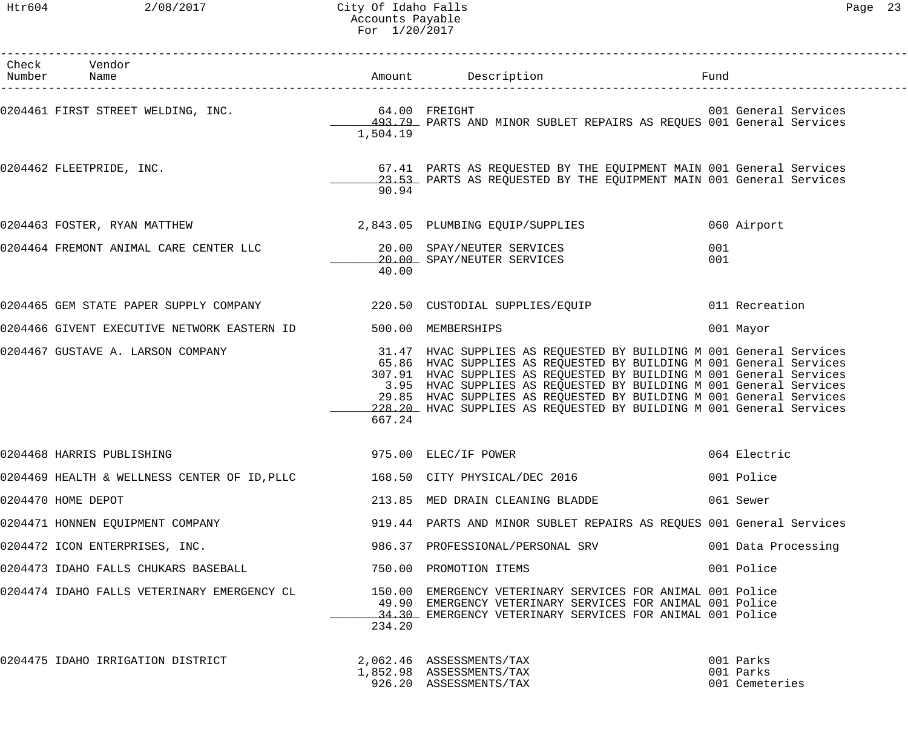Htr604 2/08/2017 City Of Idaho Falls Page 23 Accounts Payable For 1/20/2017

| Check Vendor<br>Number Name                                                  |          | Amount Description <b>Example 1</b> Fund                                                                                                                                                                                                                                                                                                                                                                                                |            |                                          |
|------------------------------------------------------------------------------|----------|-----------------------------------------------------------------------------------------------------------------------------------------------------------------------------------------------------------------------------------------------------------------------------------------------------------------------------------------------------------------------------------------------------------------------------------------|------------|------------------------------------------|
|                                                                              | 1,504.19 | 493.79 PARTS AND MINOR SUBLET REPAIRS AS REQUES 001 General Services                                                                                                                                                                                                                                                                                                                                                                    |            |                                          |
| 0204462 FLEETPRIDE, INC.                                                     | 90.94    | 67.41 PARTS AS REQUESTED BY THE EQUIPMENT MAIN 001 General Services<br>23.53 PARTS AS REQUESTED BY THE EQUIPMENT MAIN 001 General Services                                                                                                                                                                                                                                                                                              |            |                                          |
| 0204463 FOSTER, RYAN MATTHEW 2,843.05 PLUMBING EQUIP/SUPPLIES                |          |                                                                                                                                                                                                                                                                                                                                                                                                                                         |            | 060 Airport                              |
|                                                                              | 40.00    | 20.00 SPAY/NEUTER SERVICES                                                                                                                                                                                                                                                                                                                                                                                                              | 001<br>001 |                                          |
| 0204465 GEM STATE PAPER SUPPLY COMPANY 220.50 CUSTODIAL SUPPLIES/EQUIP       |          |                                                                                                                                                                                                                                                                                                                                                                                                                                         |            | 011 Recreation                           |
| 0204466 GIVENT EXECUTIVE NETWORK EASTERN ID                                  |          | 500.00 MEMBERSHIPS                                                                                                                                                                                                                                                                                                                                                                                                                      |            | 001 Mayor                                |
| 0204467 GUSTAVE A. LARSON COMPANY                                            | 667.24   | 31.47 HVAC SUPPLIES AS REQUESTED BY BUILDING M 001 General Services<br>65.86 HVAC SUPPLIES AS REQUESTED BY BUILDING M 001 General Services<br>307.91 HVAC SUPPLIES AS REQUESTED BY BUILDING M 001 General Services<br>3.95 HVAC SUPPLIES AS REQUESTED BY BUILDING M 001 General Services<br>29.85 HVAC SUPPLIES AS REQUESTED BY BUILDING M 001 General Services<br>228.20 HVAC SUPPLIES AS REQUESTED BY BUILDING M 001 General Services |            |                                          |
| 0204468 HARRIS PUBLISHING                                                    |          | 975.00 ELEC/IF POWER                                                                                                                                                                                                                                                                                                                                                                                                                    |            | 064 Electric                             |
| 0204469 HEALTH & WELLNESS CENTER OF ID, PLLC $168.50$ CITY PHYSICAL/DEC 2016 |          |                                                                                                                                                                                                                                                                                                                                                                                                                                         |            | 001 Police                               |
| 0204470 HOME DEPOT                                                           |          | 213.85 MED DRAIN CLEANING BLADDE                                                                                                                                                                                                                                                                                                                                                                                                        |            | 061 Sewer                                |
| 0204471 HONNEN EQUIPMENT COMPANY                                             |          | 919.44 PARTS AND MINOR SUBLET REPAIRS AS REQUES 001 General Services                                                                                                                                                                                                                                                                                                                                                                    |            |                                          |
| 0204472 ICON ENTERPRISES, INC.                                               |          | 986.37 PROFESSIONAL/PERSONAL SRV                                                                                                                                                                                                                                                                                                                                                                                                        |            | 001 Data Processing                      |
| 0204473 IDAHO FALLS CHUKARS BASEBALL                                         |          | 750.00 PROMOTION ITEMS                                                                                                                                                                                                                                                                                                                                                                                                                  |            | 001 Police                               |
| 0204474 IDAHO FALLS VETERINARY EMERGENCY CL                                  | 234.20   | 150.00 EMERGENCY VETERINARY SERVICES FOR ANIMAL 001 Police<br>49.90 EMERGENCY VETERINARY SERVICES FOR ANIMAL 001 Police<br>34.30 EMERGENCY VETERINARY SERVICES FOR ANIMAL 001 Police                                                                                                                                                                                                                                                    |            |                                          |
| 0204475 IDAHO IRRIGATION DISTRICT                                            |          | 2,062.46 ASSESSMENTS/TAX<br>1,852.98 ASSESSMENTS/TAX<br>926.20 ASSESSMENTS/TAX                                                                                                                                                                                                                                                                                                                                                          |            | 001 Parks<br>001 Parks<br>001 Cemeteries |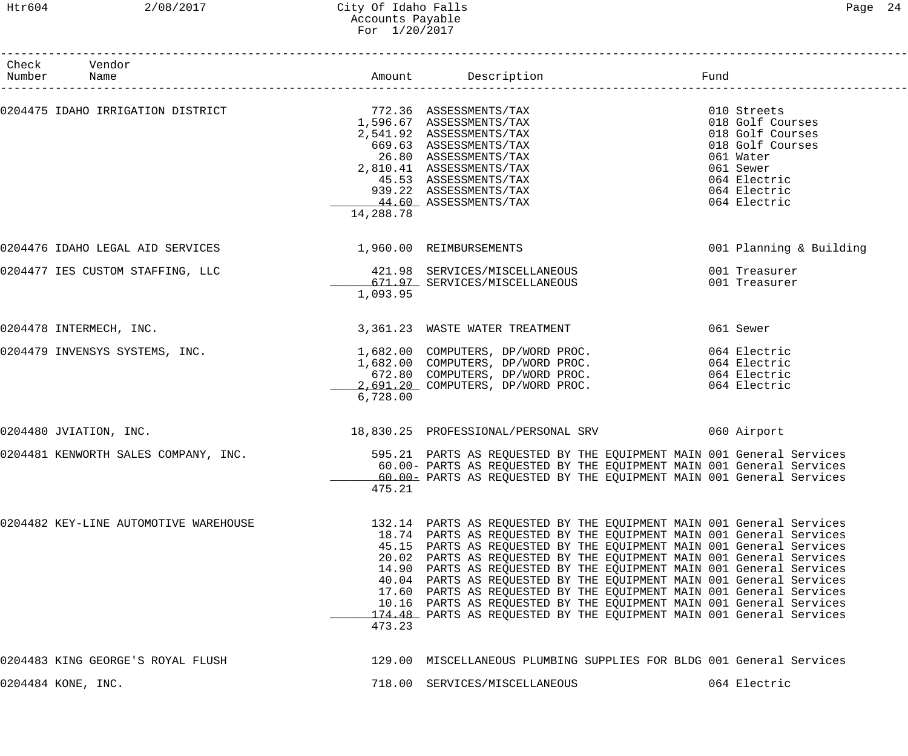| Check Vendor<br>Number Name                              |           | Amount Description Tund                                                                                                                                                                                                                                                                                                                                                                                                                                                                                                                                                                                                                                       |                                                                                                                                                   |
|----------------------------------------------------------|-----------|---------------------------------------------------------------------------------------------------------------------------------------------------------------------------------------------------------------------------------------------------------------------------------------------------------------------------------------------------------------------------------------------------------------------------------------------------------------------------------------------------------------------------------------------------------------------------------------------------------------------------------------------------------------|---------------------------------------------------------------------------------------------------------------------------------------------------|
| 0204475 IDAHO IRRIGATION DISTRICT 772.36 ASSESSMENTS/TAX | 14,288.78 | 1,596.67 ASSESSMENTS/TAX<br>2,541.92 ASSESSMENTS/TAX<br>669.63 ASSESSMENTS/TAX<br>26.80 ASSESSMENTS/TAX<br>2,810.41 ASSESSMENTS/TAX<br>45.53 ASSESSMENTS/TAX<br>939.22 ASSESSMENTS/TAX<br>44.60 ASSESSMENTS/TAX                                                                                                                                                                                                                                                                                                                                                                                                                                               | 010 Streets<br>018 Golf Courses<br>018 Golf Courses<br>018 Golf Courses<br>061 Water<br>061 Sewer<br>064 Electric<br>064 Electric<br>064 Electric |
| 0204476 IDAHO LEGAL AID SERVICES                         |           | 1,960.00 REIMBURSEMENTS                                                                                                                                                                                                                                                                                                                                                                                                                                                                                                                                                                                                                                       | 001 Planning & Building                                                                                                                           |
| 0204477 IES CUSTOM STAFFING, LLC                         | 1,093.95  | 421.98 SERVICES/MISCELLANEOUS<br>671.97 SERVICES/MISCELLANEOUS                                                                                                                                                                                                                                                                                                                                                                                                                                                                                                                                                                                                | 001 Treasurer<br>001 Treasurer                                                                                                                    |
| 0204478 INTERMECH, INC.                                  |           | 3,361.23 WASTE WATER TREATMENT                                                                                                                                                                                                                                                                                                                                                                                                                                                                                                                                                                                                                                | 061 Sewer                                                                                                                                         |
| 0204479 INVENSYS SYSTEMS, INC.                           | 6,728.00  | 1,682.00 COMPUTERS, DP/WORD PROC.<br>1,682.00 COMPUTERS, DP/WORD PROC.<br>672.80 COMPUTERS, DP/WORD PROC.<br>2,691.20 COMPUTERS, DP/WORD PROC.                                                                                                                                                                                                                                                                                                                                                                                                                                                                                                                | 064 Electric<br>064 Electric<br>064 Electric<br>064 Electric                                                                                      |
| 0204480 JVIATION, INC.                                   |           | 18,830.25 PROFESSIONAL/PERSONAL SRV 660 Airport                                                                                                                                                                                                                                                                                                                                                                                                                                                                                                                                                                                                               |                                                                                                                                                   |
| 0204481 KENWORTH SALES COMPANY, INC.                     | 475.21    | 595.21 PARTS AS REQUESTED BY THE EQUIPMENT MAIN 001 General Services<br>60.00- PARTS AS REQUESTED BY THE EQUIPMENT MAIN 001 General Services<br>60.00- PARTS AS REQUESTED BY THE EQUIPMENT MAIN 001 General Services                                                                                                                                                                                                                                                                                                                                                                                                                                          |                                                                                                                                                   |
| 0204482 KEY-LINE AUTOMOTIVE WAREHOUSE                    | 473.23    | 132.14 PARTS AS REQUESTED BY THE EQUIPMENT MAIN 001 General Services<br>18.74 PARTS AS REQUESTED BY THE EQUIPMENT MAIN 001 General Services<br>45.15 PARTS AS REQUESTED BY THE EQUIPMENT MAIN 001 General Services<br>20.02 PARTS AS REQUESTED BY THE EQUIPMENT MAIN 001 General Services<br>14.90 PARTS AS REQUESTED BY THE EQUIPMENT MAIN 001 General Services<br>40.04 PARTS AS REQUESTED BY THE EQUIPMENT MAIN 001 General Services<br>17.60 PARTS AS REQUESTED BY THE EQUIPMENT MAIN 001 General Services<br>10.16 PARTS AS REQUESTED BY THE EQUIPMENT MAIN 001 General Services<br>174.48 PARTS AS REQUESTED BY THE EQUIPMENT MAIN 001 General Services |                                                                                                                                                   |
| 0204483 KING GEORGE'S ROYAL FLUSH                        |           | 129.00 MISCELLANEOUS PLUMBING SUPPLIES FOR BLDG 001 General Services                                                                                                                                                                                                                                                                                                                                                                                                                                                                                                                                                                                          |                                                                                                                                                   |
| 0204484 KONE, INC.                                       |           | 718.00 SERVICES/MISCELLANEOUS                                                                                                                                                                                                                                                                                                                                                                                                                                                                                                                                                                                                                                 | 064 Electric                                                                                                                                      |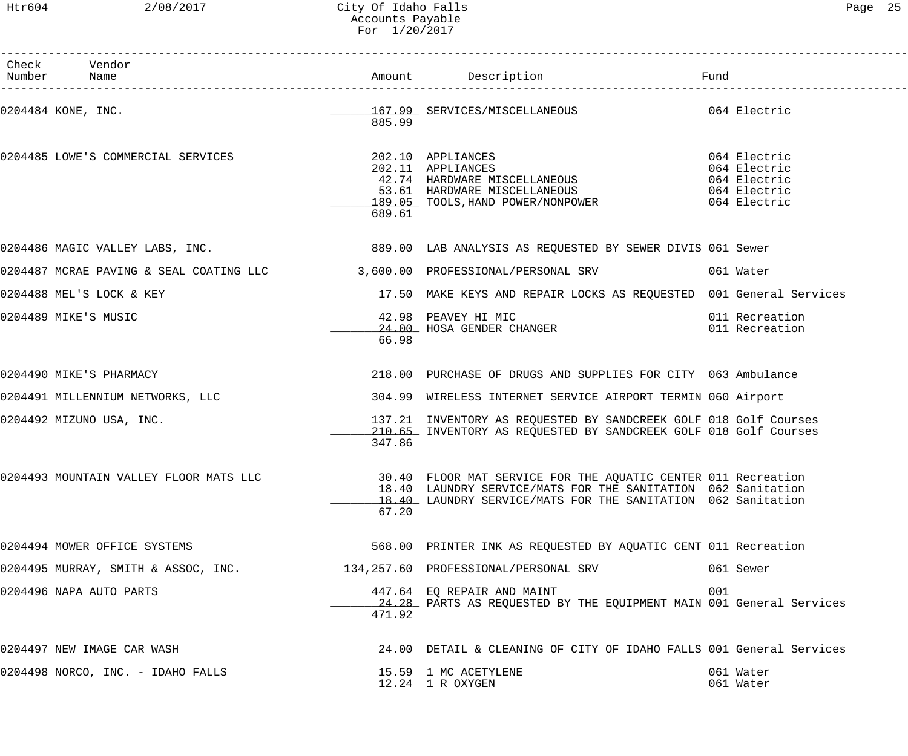### Htr604 2/08/2017 City Of Idaho Falls Page 25 Accounts Payable For 1/20/2017

| Check Vendor<br>Number Name         |        |                                                                                                                                                                                                                                      |                                                                              |
|-------------------------------------|--------|--------------------------------------------------------------------------------------------------------------------------------------------------------------------------------------------------------------------------------------|------------------------------------------------------------------------------|
| 0204484 KONE, INC.                  | 885.99 | 167.99 SERVICES/MISCELLANEOUS 064 Electric                                                                                                                                                                                           |                                                                              |
| 0204485 LOWE'S COMMERCIAL SERVICES  | 689.61 | 202.10 APPLIANCES<br>202.11 APPLIANCES<br>42.74 HARDWARE MISCELLANEOUS<br>53.61 HARDWARE MISCELLANEOUS<br>189.05 TOOLS, HAND POWER/NONPOWER                                                                                          | 064 Electric<br>064 Electric<br>064 Electric<br>064 Electric<br>064 Electric |
|                                     |        | 0204486 MAGIC VALLEY LABS, INC. THE REAR SERIES AS REQUESTED BY SEWER DIVIS 061 Sewer                                                                                                                                                |                                                                              |
|                                     |        | 0204487 MCRAE PAVING & SEAL COATING LLC 3,600.00 PROFESSIONAL/PERSONAL SRV                                                                                                                                                           | 061 Water                                                                    |
| 0204488 MEL'S LOCK & KEY            |        | 17.50 MAKE KEYS AND REPAIR LOCKS AS REQUESTED 001 General Services                                                                                                                                                                   |                                                                              |
| 0204489 MIKE'S MUSIC                | 66.98  | 42.98 PEAVEY HI MIC<br>24.00 HOSA GENDER CHANGER                                                                                                                                                                                     | 011 Recreation<br>011 Recreation                                             |
| 0204490 MIKE'S PHARMACY             |        | 218.00 PURCHASE OF DRUGS AND SUPPLIES FOR CITY 063 Ambulance                                                                                                                                                                         |                                                                              |
| 0204491 MILLENNIUM NETWORKS, LLC    |        | 304.99 WIRELESS INTERNET SERVICE AIRPORT TERMIN 060 Airport                                                                                                                                                                          |                                                                              |
| 0204492 MIZUNO USA, INC.            | 347.86 | 137.21 INVENTORY AS REQUESTED BY SANDCREEK GOLF 018 Golf Courses<br>210.65 INVENTORY AS REQUESTED BY SANDCREEK GOLF 018 Golf Courses                                                                                                 |                                                                              |
|                                     | 67.20  | 0204493 MOUNTAIN VALLEY FLOOR MATS LLC 30.40 FLOOR MAT SERVICE FOR THE AQUATIC CENTER 011 Recreation<br>18.40 LAUNDRY SERVICE/MATS FOR THE SANITATION 062 Sanitation<br>18.40 LAUNDRY SERVICE/MATS FOR THE SANITATION 062 Sanitation |                                                                              |
| 0204494 MOWER OFFICE SYSTEMS        |        | 568.00 PRINTER INK AS REQUESTED BY AQUATIC CENT 011 Recreation                                                                                                                                                                       |                                                                              |
| 0204495 MURRAY, SMITH & ASSOC, INC. |        | 134,257.60 PROFESSIONAL/PERSONAL SRV                                                                                                                                                                                                 | 061 Sewer                                                                    |
| 0204496 NAPA AUTO PARTS             | 471.92 | 447.64 EQ REPAIR AND MAINT<br>24.28 PARTS AS REQUESTED BY THE EQUIPMENT MAIN 001 General Services                                                                                                                                    | 001                                                                          |
| 0204497 NEW IMAGE CAR WASH          |        | 24.00 DETAIL & CLEANING OF CITY OF IDAHO FALLS 001 General Services                                                                                                                                                                  |                                                                              |
| 0204498 NORCO, INC. - IDAHO FALLS   |        | 15.59 1 MC ACETYLENE<br>12.24 1 R OXYGEN                                                                                                                                                                                             | 061 Water<br>061 Water                                                       |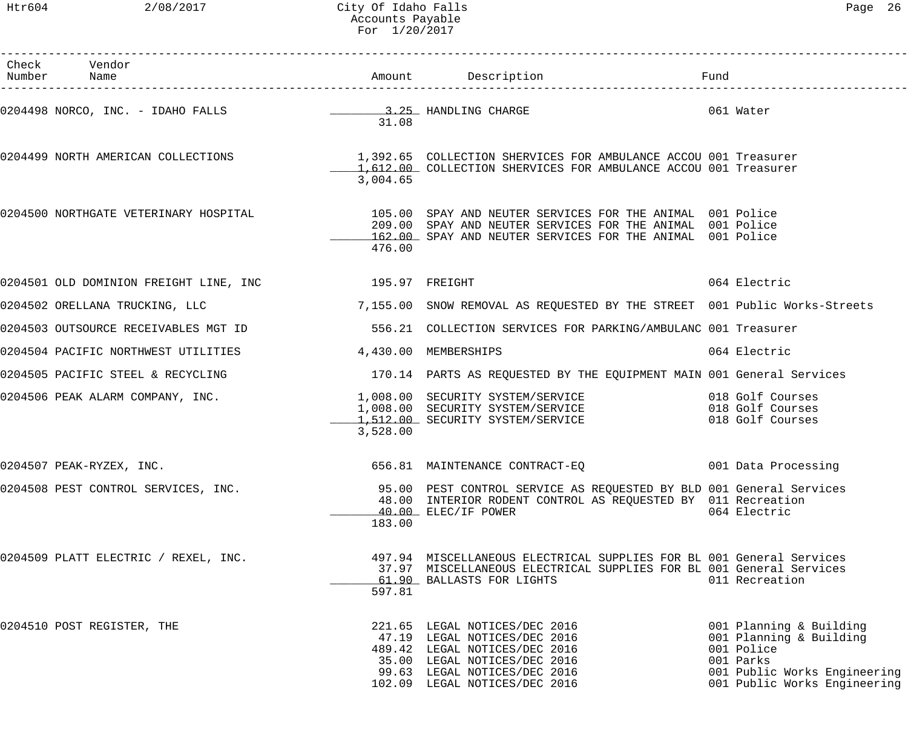Htr604 2/08/2017 City Of Idaho Falls Page 26 Accounts Payable For 1/20/2017

| Check Vendor<br>Number Name                                       |          |                                                                                                                                                                                                                                 |                                                                                                                                               |
|-------------------------------------------------------------------|----------|---------------------------------------------------------------------------------------------------------------------------------------------------------------------------------------------------------------------------------|-----------------------------------------------------------------------------------------------------------------------------------------------|
|                                                                   | 31.08    | 0204498 NORCO, INC. - IDAHO FALLS (2008) 25 HANDLING CHARGE 2008 201 Water                                                                                                                                                      |                                                                                                                                               |
|                                                                   | 3,004.65 | 0204499 NORTH AMERICAN COLLECTIONS 1,392.65 COLLECTION SHERVICES FOR AMBULANCE ACCOU 001 Treasurer<br>1,612.00 COLLECTION SHERVICES FOR AMBULANCE ACCOU 001 Treasurer                                                           |                                                                                                                                               |
|                                                                   | 476.00   | 0204500 NORTHGATE VETERINARY HOSPITAL THE SERIC OF SPAY AND NEUTER SERVICES FOR THE ANIMAL 001 Police<br>209.00 SPAY AND NEUTER SERVICES FOR THE ANIMAL 001 Police<br>162.00 SPAY AND NEUTER SERVICES FOR THE ANIMAL 001 Police |                                                                                                                                               |
| 0204501 OLD DOMINION FREIGHT LINE, INC <a>&gt; 195.97</a> FREIGHT |          |                                                                                                                                                                                                                                 | 064 Electric                                                                                                                                  |
|                                                                   |          | 0204502 ORELLANA TRUCKING, LLC 3 (2008) 7,155.00 SNOW REMOVAL AS REQUESTED BY THE STREET 001 Public Works-Streets                                                                                                               |                                                                                                                                               |
|                                                                   |          | 0204503 OUTSOURCE RECEIVABLES MGT ID 3556.21 COLLECTION SERVICES FOR PARKING/AMBULANC 001 Treasurer                                                                                                                             |                                                                                                                                               |
| 0204504 PACIFIC NORTHWEST UTILITIES 4,430.00 MEMBERSHIPS          |          |                                                                                                                                                                                                                                 | 064 Electric                                                                                                                                  |
|                                                                   |          | 0204505 PACIFIC STEEL & RECYCLING THE SECTION CONTROLL 170.14 PARTS AS REQUESTED BY THE EQUIPMENT MAIN 001 General Services                                                                                                     |                                                                                                                                               |
| 0204506 PEAK ALARM COMPANY, INC.                                  | 3,528.00 | 1,008.00 SECURITY SYSTEM/SERVICE 018 Golf Courses<br>1,008.00 SECURITY SYSTEM/SERVICE 018 Golf Courses<br>1,512.00 SECURITY SYSTEM/SERVICE 018 Golf Courses                                                                     |                                                                                                                                               |
| 0204507 PEAK-RYZEX, INC.                                          |          | 656.81 MAINTENANCE CONTRACT-EQ 001 Data Processing                                                                                                                                                                              |                                                                                                                                               |
| 0204508 PEST CONTROL SERVICES, INC.                               | 183.00   | 95.00 PEST CONTROL SERVICE AS REQUESTED BY BLD 001 General Services<br>48.00 INTERIOR RODENT CONTROL AS REQUESTED BY 011 Recreation<br>40.00 ELEC/IF POWER                                                                      | 064 Electric                                                                                                                                  |
| 0204509 PLATT ELECTRIC / REXEL, INC.                              | 597.81   | 497.94 MISCELLANEOUS ELECTRICAL SUPPLIES FOR BL 001 General Services<br>37.97 MISCELLANEOUS ELECTRICAL SUPPLIES FOR BL 001 General Services<br>61.90 BALLASTS FOR LIGHTS                                                        | 011 Recreation                                                                                                                                |
| 0204510 POST REGISTER, THE                                        |          | 221.65 LEGAL NOTICES/DEC 2016<br>47.19 LEGAL NOTICES/DEC 2016<br>489.42 LEGAL NOTICES/DEC 2016<br>35.00 LEGAL NOTICES/DEC 2016<br>99.63 LEGAL NOTICES/DEC 2016<br>102.09 LEGAL NOTICES/DEC 2016                                 | 001 Planning & Building<br>001 Planning & Building<br>001 Police<br>001 Parks<br>001 Public Works Engineering<br>001 Public Works Engineering |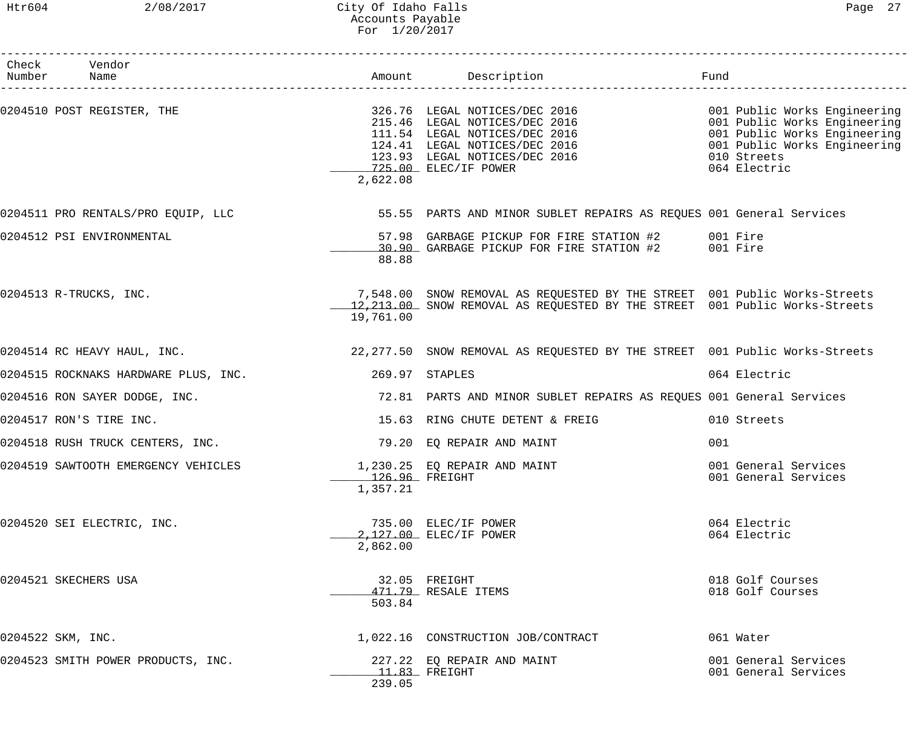### Htr604 2/08/2017 City Of Idaho Falls Page 27 Accounts Payable For 1/20/2017

| Check Vendor<br>Number Name          |                            | Amount Description                                                                                                                                                                                                                                                   | Fund                                         |
|--------------------------------------|----------------------------|----------------------------------------------------------------------------------------------------------------------------------------------------------------------------------------------------------------------------------------------------------------------|----------------------------------------------|
| 0204510 POST REGISTER, THE           | 2,622.08                   | 326.76 LEGAL NOTICES/DEC 2016<br>215.46 LEGAL NOTICES/DEC 2016<br>111.54 LEGAL NOTICES/DEC 2016<br>124.41 LEGAL NOTICES/DEC 2016<br>123.93 LEGAL NOTICES/DEC 2016<br>123.93 LEGAL NOTICES/DEC 2016<br>123.93 LEGAL NOTICES/DEC 2016<br>123.9<br>725.00 ELEC/IF POWER | 064 Electric                                 |
| 0204511 PRO RENTALS/PRO EQUIP, LLC   |                            | 55.55 PARTS AND MINOR SUBLET REPAIRS AS REQUES 001 General Services                                                                                                                                                                                                  |                                              |
| 0204512 PSI ENVIRONMENTAL            | 88.88                      | 57.98 GARBAGE PICKUP FOR FIRE STATION #2 001 Fire<br>30.90 GARBAGE PICKUP FOR FIRE STATION #2 001 Fire                                                                                                                                                               |                                              |
| 0204513 R-TRUCKS, INC.               | 19,761.00                  | 7,548.00 SNOW REMOVAL AS REQUESTED BY THE STREET 001 Public Works-Streets<br>12,213.00 SNOW REMOVAL AS REQUESTED BY THE STREET 001 Public Works-Streets                                                                                                              |                                              |
| 0204514 RC HEAVY HAUL, INC.          |                            | 22,277.50 SNOW REMOVAL AS REQUESTED BY THE STREET 001 Public Works-Streets                                                                                                                                                                                           |                                              |
| 0204515 ROCKNAKS HARDWARE PLUS, INC. |                            | 269.97 STAPLES                                                                                                                                                                                                                                                       | 064 Electric                                 |
| 0204516 RON SAYER DODGE, INC.        |                            | 72.81 PARTS AND MINOR SUBLET REPAIRS AS REQUES 001 General Services                                                                                                                                                                                                  |                                              |
| 0204517 RON'S TIRE INC.              |                            | 15.63 RING CHUTE DETENT & FREIG                                                                                                                                                                                                                                      | 010 Streets                                  |
| 0204518 RUSH TRUCK CENTERS, INC.     |                            | 79.20 EQ REPAIR AND MAINT                                                                                                                                                                                                                                            | 001                                          |
| 0204519 SAWTOOTH EMERGENCY VEHICLES  | 126.96 FREIGHT<br>1,357.21 | 1,230.25 EQ REPAIR AND MAINT                                                                                                                                                                                                                                         | 001 General Services<br>001 General Services |
| 0204520 SEI ELECTRIC, INC.           | 2,862.00                   | 735.00 ELEC/IF POWER<br>2,127.00 ELEC/IF POWER                                                                                                                                                                                                                       | 064 Electric<br>064 Electric                 |
| 0204521 SKECHERS USA                 | 503.84                     | 32.05 FREIGHT<br>471.79 RESALE ITEMS                                                                                                                                                                                                                                 | 018 Golf Courses<br>018 Golf Courses         |
| 0204522 SKM, INC.                    |                            | 1,022.16 CONSTRUCTION JOB/CONTRACT                                                                                                                                                                                                                                   | 061 Water                                    |
| 0204523 SMITH POWER PRODUCTS, INC.   | 239.05                     | 227.22 EQ REPAIR AND MAINT<br>$11.83$ FREIGHT                                                                                                                                                                                                                        | 001 General Services<br>001 General Services |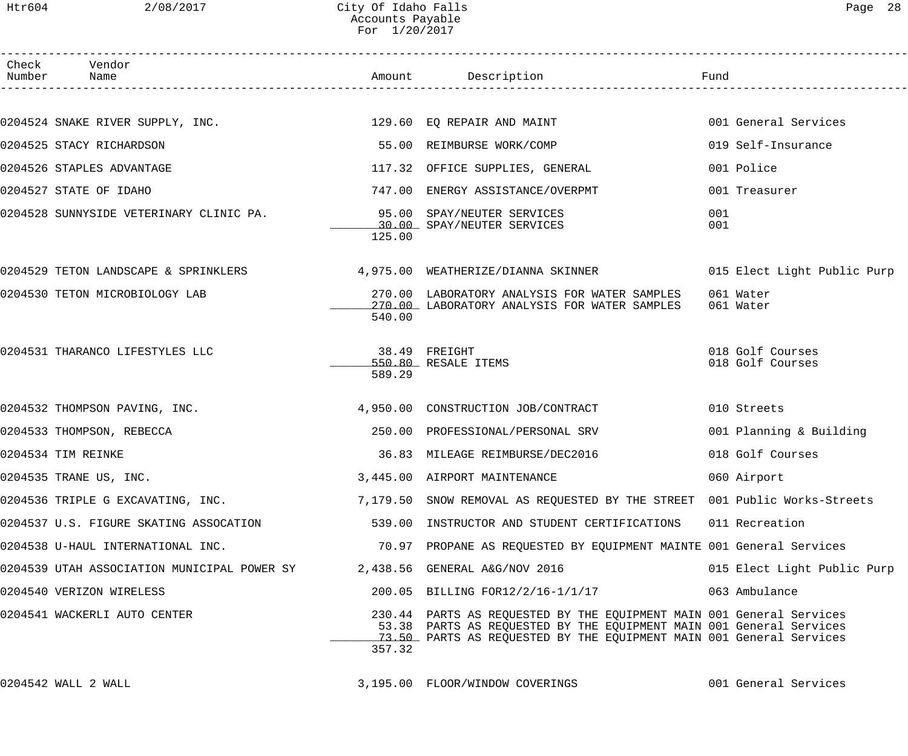| Page | 28 |
|------|----|
|------|----|

| Check Vendor<br>Number Name                                                                    |        | Amount Description                                                                                                                                                                                                 | Fund                                 |
|------------------------------------------------------------------------------------------------|--------|--------------------------------------------------------------------------------------------------------------------------------------------------------------------------------------------------------------------|--------------------------------------|
|                                                                                                |        |                                                                                                                                                                                                                    |                                      |
| 0204524 SNAKE RIVER SUPPLY, INC.                                   129.60  EQ REPAIR AND MAINT |        |                                                                                                                                                                                                                    | 001 General Services                 |
| 0204525 STACY RICHARDSON                                                                       |        | 55.00 REIMBURSE WORK/COMP                                                                                                                                                                                          | 019 Self-Insurance                   |
| 0204526 STAPLES ADVANTAGE                                                                      |        | 117.32 OFFICE SUPPLIES, GENERAL                                                                                                                                                                                    | 001 Police                           |
| 0204527 STATE OF IDAHO                                                                         |        | 747.00 ENERGY ASSISTANCE/OVERPMT                                                                                                                                                                                   | 001 Treasurer                        |
| 0204528 SUNNYSIDE VETERINARY CLINIC PA. 35.00 SPAY/NEUTER SERVICES                             | 125.00 | 30.00 SPAY/NEUTER SERVICES                                                                                                                                                                                         | 001<br>001                           |
| 0204529 TETON LANDSCAPE & SPRINKLERS 4,975.00 WEATHERIZE/DIANNA SKINNER                        |        |                                                                                                                                                                                                                    | 015 Elect Light Public Purp          |
| 0204530 TETON MICROBIOLOGY LAB                                                                 | 540.00 | 270.00 LABORATORY ANALYSIS FOR WATER SAMPLES<br>270.00 LABORATORY ANALYSIS FOR WATER SAMPLES                                                                                                                       | 061 Water<br>061 Water               |
| 0204531 THARANCO LIFESTYLES LLC                                                                | 589.29 | 38.49 FREIGHT<br>550.80 RESALE ITEMS                                                                                                                                                                               | 018 Golf Courses<br>018 Golf Courses |
| 0204532 THOMPSON PAVING, INC.                                                                  |        | 4,950.00 CONSTRUCTION JOB/CONTRACT                                                                                                                                                                                 | 010 Streets                          |
| 0204533 THOMPSON, REBECCA                                                                      |        | 250.00 PROFESSIONAL/PERSONAL SRV                                                                                                                                                                                   | 001 Planning & Building              |
| 0204534 TIM REINKE                                                                             |        | 36.83 MILEAGE REIMBURSE/DEC2016                                                                                                                                                                                    | 018 Golf Courses                     |
| 0204535 TRANE US, INC.                                                                         |        | 3,445.00 AIRPORT MAINTENANCE                                                                                                                                                                                       | 060 Airport                          |
| 0204536 TRIPLE G EXCAVATING, INC.                                                              |        | 7,179.50 SNOW REMOVAL AS REQUESTED BY THE STREET 001 Public Works-Streets                                                                                                                                          |                                      |
| 0204537 U.S. FIGURE SKATING ASSOCATION                                                         |        | 539.00 INSTRUCTOR AND STUDENT CERTIFICATIONS                                                                                                                                                                       | 011 Recreation                       |
| 0204538 U-HAUL INTERNATIONAL INC.                                                              |        | 70.97 PROPANE AS REQUESTED BY EQUIPMENT MAINTE 001 General Services                                                                                                                                                |                                      |
| 0204539 UTAH ASSOCIATION MUNICIPAL POWER SY 2,438.56 GENERAL A&G/NOV 2016                      |        |                                                                                                                                                                                                                    | 015 Elect Light Public Purp          |
| 0204540 VERIZON WIRELESS                                                                       |        | 200.05 BILLING FOR12/2/16-1/1/17                                                                                                                                                                                   | 063 Ambulance                        |
| 0204541 WACKERLI AUTO CENTER                                                                   | 357.32 | 230.44 PARTS AS REQUESTED BY THE EQUIPMENT MAIN 001 General Services<br>53.38 PARTS AS REQUESTED BY THE EQUIPMENT MAIN 001 General Services<br>73.50 PARTS AS REQUESTED BY THE EQUIPMENT MAIN 001 General Services |                                      |
|                                                                                                |        |                                                                                                                                                                                                                    |                                      |

0204542 WALL 2 WALL 3,195.00 FLOOR/WINDOW COVERINGS 001 General Services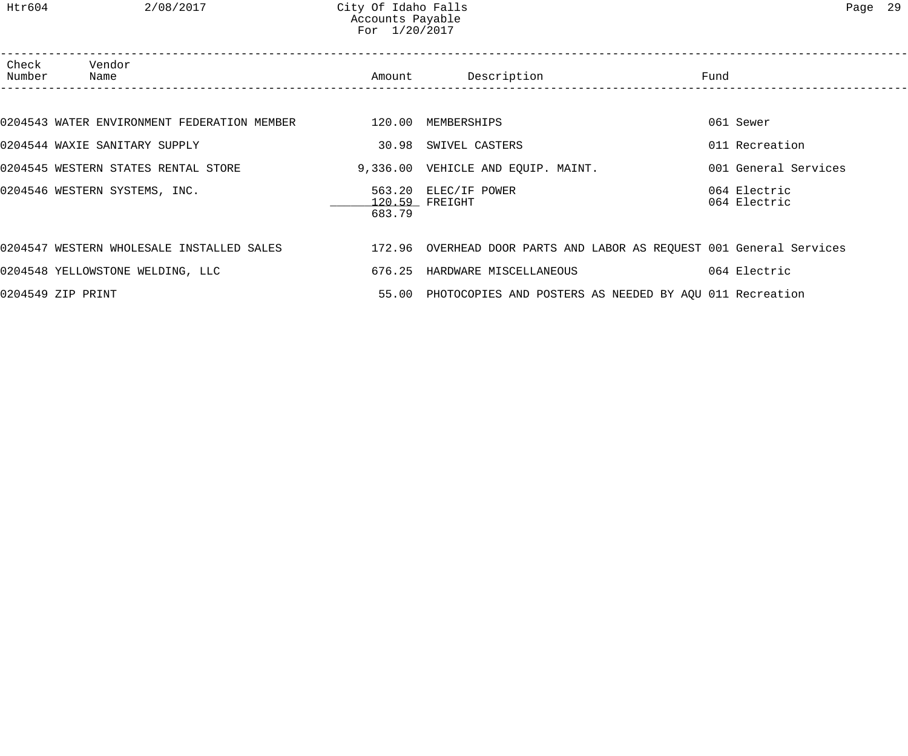Htr604 2/08/2017 City Of Idaho Falls Page 29 Accounts Payable For 1/20/2017

| Check<br>Number | Vendor<br>Name                                                 |        | Amount Description                                                                                             | Fund                         |
|-----------------|----------------------------------------------------------------|--------|----------------------------------------------------------------------------------------------------------------|------------------------------|
|                 |                                                                |        |                                                                                                                |                              |
|                 | 0204543 WATER ENVIRONMENT FEDERATION MEMBER 120.00 MEMBERSHIPS |        |                                                                                                                | 061 Sewer                    |
|                 | 0204544 WAXIE SANITARY SUPPLY                                  |        | 30.98 SWIVEL CASTERS                                                                                           | 011 Recreation               |
|                 | 0204545 WESTERN STATES RENTAL STORE                            |        | 9,336.00 VEHICLE AND EQUIP. MAINT.                                                                             | 001 General Services         |
|                 | 0204546 WESTERN SYSTEMS, INC.                                  | 683.79 | 563.20 ELEC/IF POWER<br>120.59 FREIGHT                                                                         | 064 Electric<br>064 Electric |
|                 |                                                                |        | 0204547 WESTERN WHOLESALE INSTALLED SALES 172.96 OVERHEAD DOOR PARTS AND LABOR AS REQUEST 001 General Services |                              |
|                 | 0204548 YELLOWSTONE WELDING, LLC                               |        | 676.25 HARDWARE MISCELLANEOUS                                                                                  | 064 Electric                 |
|                 | 0204549 ZIP PRINT                                              |        | 55.00 PHOTOCOPIES AND POSTERS AS NEEDED BY AQU 011 Recreation                                                  |                              |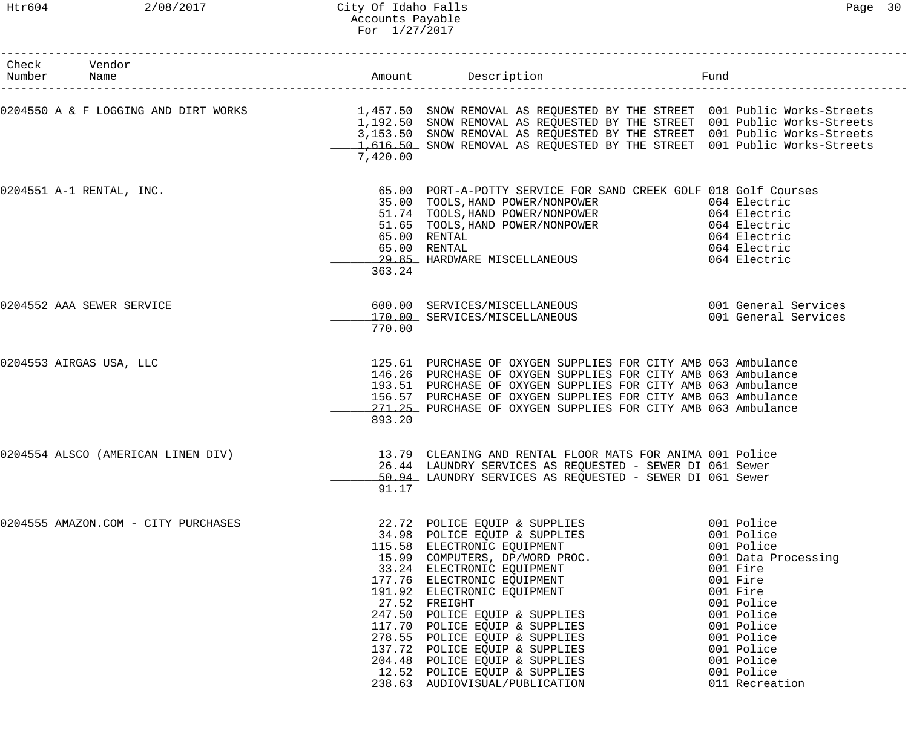| Check Vendor<br>Number Name         |          |                                                                                                                                                                                                                                                                                                                                                                                                                                                                                           | Fund                                                                                                                                                                                                                  |
|-------------------------------------|----------|-------------------------------------------------------------------------------------------------------------------------------------------------------------------------------------------------------------------------------------------------------------------------------------------------------------------------------------------------------------------------------------------------------------------------------------------------------------------------------------------|-----------------------------------------------------------------------------------------------------------------------------------------------------------------------------------------------------------------------|
|                                     | 7,420.00 | 0204550 A & F LOGGING AND DIRT WORKS 1,457.50 SNOW REMOVAL AS REQUESTED BY THE STREET 001 Public Works-Streets<br>1,192.50 SNOW REMOVAL AS REQUESTED BY THE STREET 001 Public Works-Streets<br>3,153.50 SNOW REMOVAL AS REQUESTED BY THE STREET 001 Public Works-Streets<br>1,616.50 SNOW REMOVAL AS REQUESTED BY THE STREET 001 Public Works-Streets                                                                                                                                     |                                                                                                                                                                                                                       |
| 0204551 A-1 RENTAL, INC.            | 363.24   | 65.00 PORT-A-POTTY SERVICE FOR SAND CREEK GOLF 018 Golf Courses<br>35.00 FORI-A-FOILL DENVION LONGER<br>35.00 TOOLS, HAND POWER/NONPOWER 064 Electric<br>51.65 TOOLS, HAND POWER/NONPOWER 064 Electric<br>65.00 RENTAL 064 Electric<br>65.00 RENTAL 064 Electric<br>65.00 PENTAL 064 Electric<br>65.00 PENTAL<br>29.85 HARDWARE MISCELLANEOUS                                                                                                                                             | 064 Electric<br>064 Electric                                                                                                                                                                                          |
| 0204552 AAA SEWER SERVICE           | 770.00   | 600.00 SERVICES/MISCELLANEOUS 001 General Services<br>170.00 SERVICES/MISCELLANEOUS                                                                                                                                                                                                                                                                                                                                                                                                       | 001 General Services                                                                                                                                                                                                  |
| 0204553 AIRGAS USA, LLC             | 893.20   | 125.61 PURCHASE OF OXYGEN SUPPLIES FOR CITY AMB 063 Ambulance<br>146.26 PURCHASE OF OXYGEN SUPPLIES FOR CITY AMB 063 Ambulance<br>193.51 PURCHASE OF OXYGEN SUPPLIES FOR CITY AMB 063 Ambulance<br>156.57 PURCHASE OF OXYGEN SUPPLIES FOR CITY AMB 063 Ambulance<br>271.25 PURCHASE OF OXYGEN SUPPLIES FOR CITY AMB 063 Ambulance                                                                                                                                                         |                                                                                                                                                                                                                       |
| 0204554 ALSCO (AMERICAN LINEN DIV)  | 91.17    | 13.79 CLEANING AND RENTAL FLOOR MATS FOR ANIMA 001 Police<br>26.44 LAUNDRY SERVICES AS REQUESTED - SEWER DI 061 Sewer<br>50.94 LAUNDRY SERVICES AS REQUESTED - SEWER DI 061 Sewer                                                                                                                                                                                                                                                                                                         |                                                                                                                                                                                                                       |
| 0204555 AMAZON.COM - CITY PURCHASES |          | 22.72 POLICE EQUIP & SUPPLIES<br>34.98 POLICE EQUIP & SUPPLIES<br>115.58 ELECTRONIC EQUIPMENT<br>15.99 COMPUTERS, DP/WORD PROC.<br>33.24 ELECTRONIC EQUIPMENT<br>177.76 ELECTRONIC EQUIPMENT<br>191.92 ELECTRONIC EQUIPMENT<br>27.52 FREIGHT<br>247.50 POLICE EQUIP & SUPPLIES<br>117.70 POLICE EQUIP & SUPPLIES<br>278.55 POLICE EQUIP & SUPPLIES<br>137.72 POLICE EQUIP & SUPPLIES<br>204.48 POLICE EQUIP & SUPPLIES<br>12.52 POLICE EQUIP & SUPPLIES<br>238.63 AUDIOVISUAL/PUBLICATION | 001 Police<br>001 Police<br>001 Police<br>001 Data Processing<br>001 Fire<br>001 Fire<br>001 Fire<br>001 Police<br>001 Police<br>001 Police<br>001 Police<br>001 Police<br>001 Police<br>001 Police<br>011 Recreation |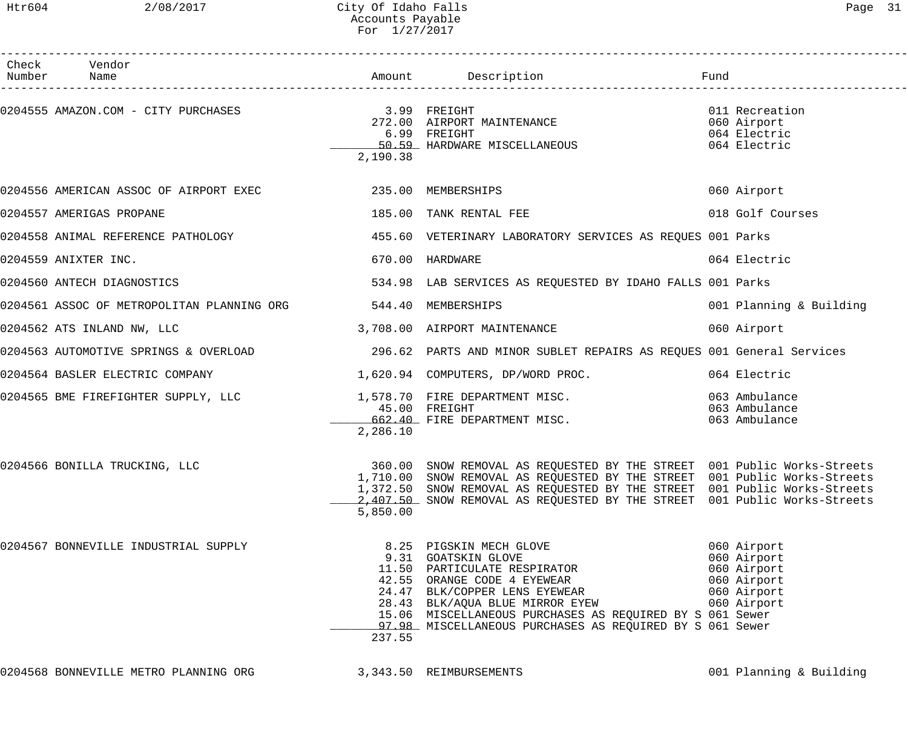# Htr604 2/08/2017 City Of Idaho Falls 2008/2017 City Of Idaho Falls Accounts Payable For 1/27/2017

| Check Vendor<br>Number Name                                   |          |                                                                                                                                                                                                                                                                                                                |                                                                                        |
|---------------------------------------------------------------|----------|----------------------------------------------------------------------------------------------------------------------------------------------------------------------------------------------------------------------------------------------------------------------------------------------------------------|----------------------------------------------------------------------------------------|
|                                                               | 2,190.38 | 272.00 AIRPORT MAINTENANCE<br>6.99   FREIGHT<br>_____50.59_  HARDWARE  MISCELLANEOUS                                                                                                                                                                                                                           | 011 Recreation<br>060 Airport<br>064 Electric<br>064 Electric                          |
|                                                               |          |                                                                                                                                                                                                                                                                                                                | 060 Airport                                                                            |
| 0204557 AMERIGAS PROPANE                                      |          | 185.00 TANK RENTAL FEE                                                                                                                                                                                                                                                                                         | 018 Golf Courses                                                                       |
| 0204558 ANIMAL REFERENCE PATHOLOGY                            |          | 455.60 VETERINARY LABORATORY SERVICES AS REQUES 001 Parks                                                                                                                                                                                                                                                      |                                                                                        |
| 0204559 ANIXTER INC.                                          |          | 670.00 HARDWARE                                                                                                                                                                                                                                                                                                | 064 Electric                                                                           |
| 0204560 ANTECH DIAGNOSTICS                                    |          | 534.98 LAB SERVICES AS REQUESTED BY IDAHO FALLS 001 Parks                                                                                                                                                                                                                                                      |                                                                                        |
| 0204561 ASSOC OF METROPOLITAN PLANNING ORG 544.40 MEMBERSHIPS |          |                                                                                                                                                                                                                                                                                                                | 001 Planning & Building                                                                |
| 0204562 ATS INLAND NW, LLC                                    |          | 3,708.00 AIRPORT MAINTENANCE                                                                                                                                                                                                                                                                                   | 060 Airport                                                                            |
|                                                               |          | 0204563 AUTOMOTIVE SPRINGS & OVERLOAD (296.62 PARTS AND MINOR SUBLET REPAIRS AS REQUES 001 General Services                                                                                                                                                                                                    |                                                                                        |
|                                                               |          | 0204564 BASLER ELECTRIC COMPANY 1,620.94 COMPUTERS, DP/WORD PROC. 064 Electric                                                                                                                                                                                                                                 |                                                                                        |
|                                                               | 2,286.10 | 0204565 BME FIREFIGHTER SUPPLY, LLC 1,578.70 FIRE DEPARTMENT MISC.<br>45.00 FREIGHT<br>662.40 FIRE DEPARTMENT MISC.                                                                                                                                                                                            | 063 Ambulance<br>063 Ambulance<br>063 Ambulance                                        |
| 0204566 BONILLA TRUCKING, LLC                                 | 5,850.00 | 360.00 SNOW REMOVAL AS REQUESTED BY THE STREET 001 Public Works-Streets<br>1,710.00 SNOW REMOVAL AS REQUESTED BY THE STREET 001 Public Works-Streets<br>1,372.50 SNOW REMOVAL AS REQUESTED BY THE STREET 001 Public Works-Streets<br>2,407.50 SNOW REMOVAL AS REQUESTED BY THE STREET 001 Public Works-Streets |                                                                                        |
| 0204567 BONNEVILLE INDUSTRIAL SUPPLY                          | 237.55   | 8.25 PIGSKIN MECH GLOVE<br>9.31 GOATSKIN GLOVE<br>11.50 PARTICULATE RESPIRATOR<br>42.55 ORANGE CODE 4 EYEWEAR<br>24.47 BLK/COPPER LENS EYEWEAR<br>28.43 BLK/AQUA BLUE MIRROR EYEW<br>15.06 MISCELLANEOUS PURCHASES AS REQUIRED BY S 061 Sewer<br>97.98 MISCELLANEOUS PURCHASES AS REQUIRED BY S 061 Sewer      | 060 Airport<br>060 Airport<br>060 Airport<br>060 Airport<br>060 Airport<br>060 Airport |

0204568 BONNEVILLE METRO PLANNING ORG 3,343.50 REIMBURSEMENTS 3000 Planning & Building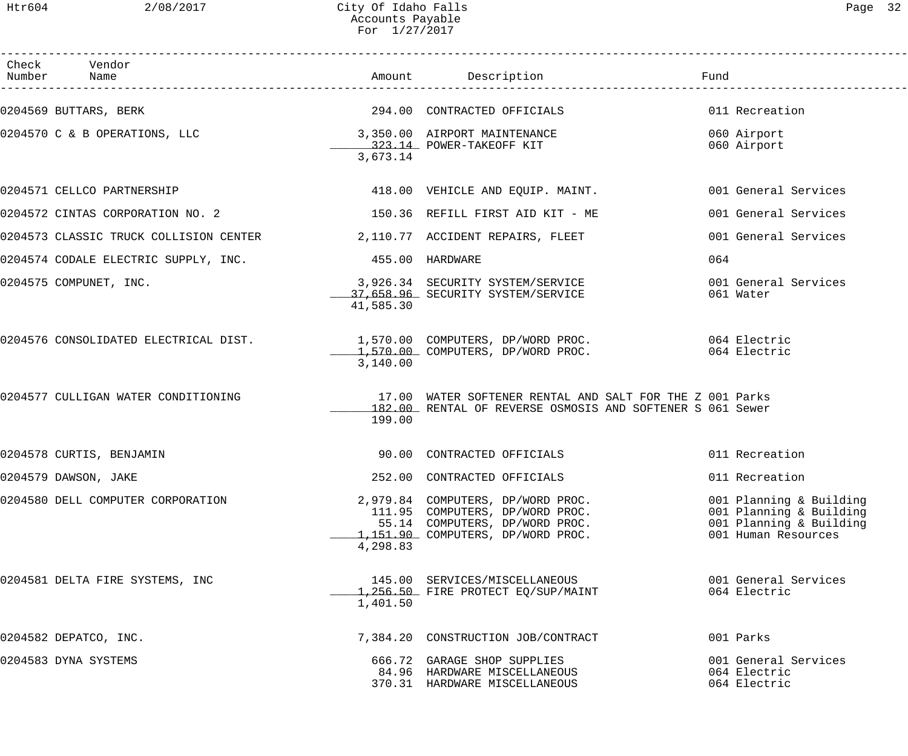| Check Vendor<br>Number Name                                                                                                                                     |                 |                                                                                                                                             |                                                                                                      |
|-----------------------------------------------------------------------------------------------------------------------------------------------------------------|-----------------|---------------------------------------------------------------------------------------------------------------------------------------------|------------------------------------------------------------------------------------------------------|
| 0204569 BUTTARS, BERK                                                                                                                                           |                 | 294.00 CONTRACTED OFFICIALS                                                                                                                 | 011 Recreation                                                                                       |
| 0204570 C & B OPERATIONS, LLC 3,350.00 AIRPORT MAINTENANCE<br>323.14 POWER-TAKEOFF KIT                                                                          | 3,673.14        |                                                                                                                                             | 060 Airport<br>060 Airport                                                                           |
| 0204571 CELLCO PARTNERSHIP                                                                                                                                      |                 | 418.00 VEHICLE AND EQUIP. MAINT.                                                                                                            | 001 General Services                                                                                 |
| 0204572 CINTAS CORPORATION NO. 2                                                                                                                                |                 | 150.36 REFILL FIRST AID KIT - ME                                                                                                            | 001 General Services                                                                                 |
| 0204573 CLASSIC TRUCK COLLISION CENTER 2,110.77 ACCIDENT REPAIRS, FLEET                                                                                         |                 |                                                                                                                                             | 001 General Services                                                                                 |
| 0204574 CODALE ELECTRIC SUPPLY, INC.                                                                                                                            | 455.00 HARDWARE |                                                                                                                                             | 064                                                                                                  |
| 0204575 COMPUNET, INC.                                                                                                                                          | 41,585.30       | 3,926.34 SECURITY SYSTEM/SERVICE<br>37,658.96 SECURITY SYSTEM/SERVICE                                                                       | 001 General Services<br>061 Water                                                                    |
| 0204576 CONSOLIDATED ELECTRICAL DIST.        1,570.00 COMPUTERS, DP/WORD PROC.          064 Electric<br>1,570.00 COMPUTERS, DP/WORD PROC.          064 Electric | 3,140.00        |                                                                                                                                             |                                                                                                      |
| 0204577 CULLIGAN WATER CONDITIONING                                                                                                                             | 199.00          | 17.00 WATER SOFTENER RENTAL AND SALT FOR THE Z 001 Parks<br>182.00 RENTAL OF REVERSE OSMOSIS AND SOFTENER S 061 Sewer                       |                                                                                                      |
| 0204578 CURTIS, BENJAMIN                                                                                                                                        |                 | 90.00 CONTRACTED OFFICIALS                                                                                                                  | 011 Recreation                                                                                       |
| 0204579 DAWSON, JAKE                                                                                                                                            |                 | 252.00 CONTRACTED OFFICIALS                                                                                                                 | 011 Recreation                                                                                       |
| 0204580 DELL COMPUTER CORPORATION                                                                                                                               | 4,298.83        | 2,979.84 COMPUTERS, DP/WORD PROC.<br>111.95 COMPUTERS, DP/WORD PROC.<br>55.14 COMPUTERS, DP/WORD PROC.<br>1,151.90 COMPUTERS, DP/WORD PROC. | 001 Planning & Building<br>001 Planning & Building<br>001 Planning & Building<br>001 Human Resources |
| 0204581 DELTA FIRE SYSTEMS, INC                                                                                                                                 | 1,401.50        | 145.00 SERVICES/MISCELLANEOUS<br>1,256.50 FIRE PROTECT EQ/SUP/MAINT                                                                         | 001 General Services<br>064 Electric                                                                 |
| 0204582 DEPATCO, INC.                                                                                                                                           |                 | 7,384.20 CONSTRUCTION JOB/CONTRACT                                                                                                          | 001 Parks                                                                                            |
| 0204583 DYNA SYSTEMS                                                                                                                                            |                 | 666.72 GARAGE SHOP SUPPLIES<br>84.96 HARDWARE MISCELLANEOUS<br>370.31 HARDWARE MISCELLANEOUS                                                | 001 General Services<br>064 Electric<br>064 Electric                                                 |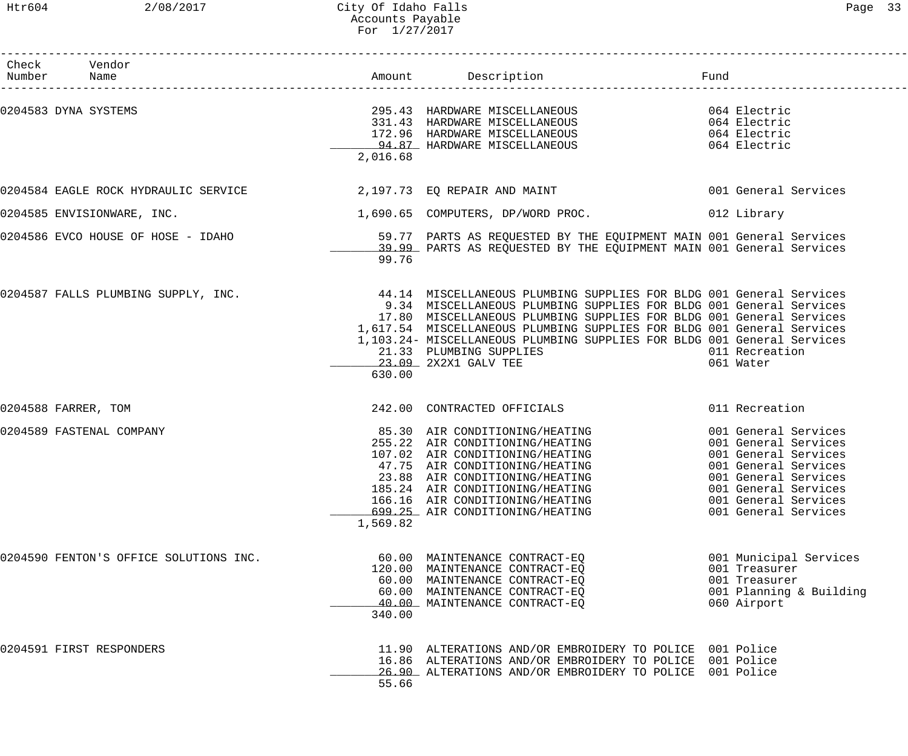### Htr604 2/08/2017 City Of Idaho Falls Page 33 Accounts Payable For 1/27/2017

| Check Vendor<br>Number Name            |          |                                                                                                                                                                                                                                                                                                                                                                                                                          | Fund                                                                                                                                                                                         |
|----------------------------------------|----------|--------------------------------------------------------------------------------------------------------------------------------------------------------------------------------------------------------------------------------------------------------------------------------------------------------------------------------------------------------------------------------------------------------------------------|----------------------------------------------------------------------------------------------------------------------------------------------------------------------------------------------|
|                                        |          |                                                                                                                                                                                                                                                                                                                                                                                                                          |                                                                                                                                                                                              |
| 0204583 DYNA SYSTEMS                   | 2,016.68 | 295.43 HARDWARE MISCELLANEOUS 664 Electric<br>233.13 IMMOWARE MISCELLANEOUS<br>331.43 HARDWARE MISCELLANEOUS<br>172.96 HARDWARE MISCELLANEOUS<br>94.87 HARDWARE MISCELLANEOUS                                                                                                                                                                                                                                            | 064 Electric<br>064 Electric<br>064 Electric                                                                                                                                                 |
| 0204584 EAGLE ROCK HYDRAULIC SERVICE   |          | 2,197.73 EQ REPAIR AND MAINT                                                                                                                                                                                                                                                                                                                                                                                             | 001 General Services                                                                                                                                                                         |
| 0204585 ENVISIONWARE, INC.             |          | 1,690.65 COMPUTERS, DP/WORD PROC.                                                                                                                                                                                                                                                                                                                                                                                        | 012 Library                                                                                                                                                                                  |
| 0204586 EVCO HOUSE OF HOSE - IDAHO     | 99.76    | 59.77 PARTS AS REQUESTED BY THE EQUIPMENT MAIN 001 General Services<br>39.99 PARTS AS REQUESTED BY THE EQUIPMENT MAIN 001 General Services                                                                                                                                                                                                                                                                               |                                                                                                                                                                                              |
| 0204587 FALLS PLUMBING SUPPLY, INC.    | 630.00   | 44.14 MISCELLANEOUS PLUMBING SUPPLIES FOR BLDG 001 General Services<br>9.34 MISCELLANEOUS PLUMBING SUPPLIES FOR BLDG 001 General Services<br>17.80 MISCELLANEOUS PLUMBING SUPPLIES FOR BLDG 001 General Services<br>1,617.54 MISCELLANEOUS PLUMBING SUPPLIES FOR BLDG 001 General Services<br>1,103.24- MISCELLANEOUS PLUMBING SUPPLIES FOR BLDG 001 General Services<br>21.33 PLUMBING SUPPLIES<br>23.09 2X2X1 GALV TEE | 011 Recreation<br>061 Water                                                                                                                                                                  |
| 0204588 FARRER, TOM                    |          | 242.00 CONTRACTED OFFICIALS                                                                                                                                                                                                                                                                                                                                                                                              | 011 Recreation                                                                                                                                                                               |
| 0204589 FASTENAL COMPANY               | 1,569.82 | 85.30 AIR CONDITIONING/HEATING<br>255.22 AIR CONDITIONING/HEATING<br>107.02 AIR CONDITIONING/HEATING<br>47.75 AIR CONDITIONING/HEATING<br>23.88 AIR CONDITIONING/HEATING<br>185.24 AIR CONDITIONING/HEATING<br>166.16 AIR CONDITIONING/HEATING<br>699.25 AIR CONDITIONING/HEATING                                                                                                                                        | 001 General Services<br>001 General Services<br>001 General Services<br>001 General Services<br>001 General Services<br>001 General Services<br>001 General Services<br>001 General Services |
| 0204590 FENTON'S OFFICE SOLUTIONS INC. | 340.00   | 60.00 MAINTENANCE CONTRACT-EQ<br>120.00 MAINTENANCE CONTRACT-EO<br>60.00 MAINTENANCE CONTRACT-EQ<br>60.00 MAINTENANCE CONTRACT-EQ<br>40.00 MAINTENANCE CONTRACT-EQ                                                                                                                                                                                                                                                       | 001 Municipal Services<br>001 Treasurer<br>001 Treasurer<br>001 Planning & Building<br>060 Airport                                                                                           |
| 0204591 FIRST RESPONDERS               | 55.66    | 11.90 ALTERATIONS AND/OR EMBROIDERY TO POLICE 001 Police<br>16.86 ALTERATIONS AND/OR EMBROIDERY TO POLICE 001 Police<br>26.90 ALTERATIONS AND/OR EMBROIDERY TO POLICE 001 Police                                                                                                                                                                                                                                         |                                                                                                                                                                                              |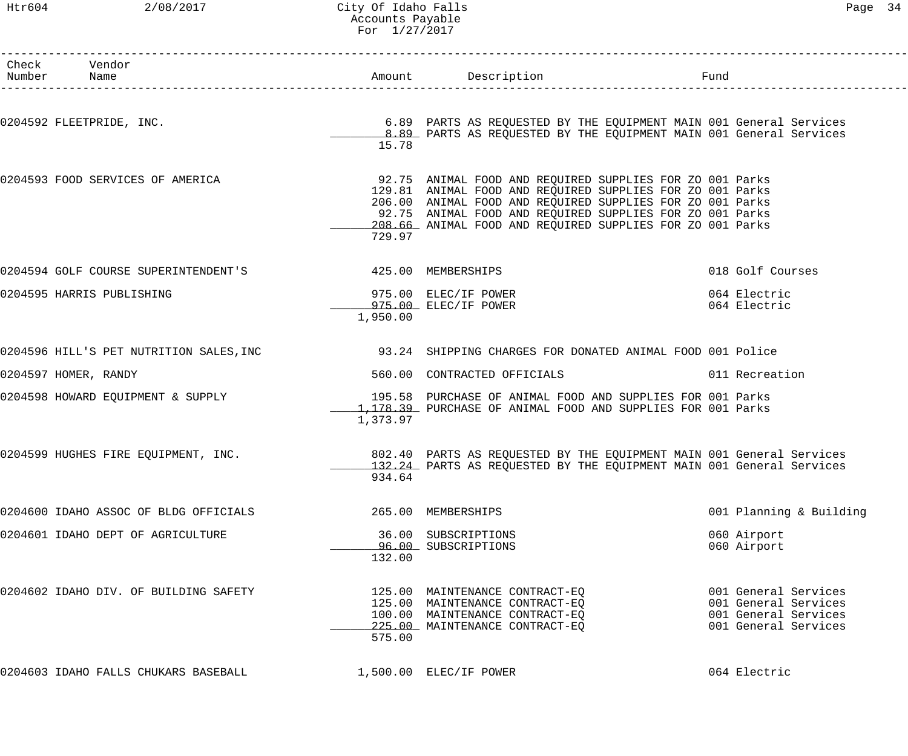# Htr604 2/08/2017 City Of Idaho Falls 2008/2017 City Of Idaho Falls Accounts Payable For 1/27/2017

| Check Vendor                                                    |                          |                                                                                                                        |                            |
|-----------------------------------------------------------------|--------------------------|------------------------------------------------------------------------------------------------------------------------|----------------------------|
| Number Name                                                     |                          | Amount Description<br>---------------------                                                                            | Fund                       |
| 0204592 FLEETPRIDE, INC.                                        |                          | 6.89 PARTS AS REQUESTED BY THE EQUIPMENT MAIN 001 General Services                                                     |                            |
|                                                                 | 15.78                    | 8.89 PARTS AS REQUESTED BY THE EQUIPMENT MAIN 001 General Services                                                     |                            |
| 0204593 FOOD SERVICES OF AMERICA                                |                          | 92.75 ANIMAL FOOD AND REQUIRED SUPPLIES FOR ZO 001 Parks                                                               |                            |
|                                                                 |                          | 129.81 ANIMAL FOOD AND REQUIRED SUPPLIES FOR ZO 001 Parks<br>206.00 ANIMAL FOOD AND REQUIRED SUPPLIES FOR ZO 001 Parks |                            |
|                                                                 |                          | 92.75 ANIMAL FOOD AND REQUIRED SUPPLIES FOR ZO 001 Parks                                                               |                            |
|                                                                 |                          | 208.66 ANIMAL FOOD AND REQUIRED SUPPLIES FOR ZO 001 Parks                                                              |                            |
|                                                                 | 729.97                   |                                                                                                                        |                            |
| 0204594 GOLF COURSE SUPERINTENDENT'S <a> 425.00 MEMBERSHIPS</a> |                          |                                                                                                                        | 018 Golf Courses           |
| 0204595 HARRIS PUBLISHING                                       |                          | 975.00 ELEC/IF POWER                                                                                                   | 064 Electric               |
|                                                                 |                          | 975.00 ELEC/IF POWER                                                                                                   | 064 Electric               |
|                                                                 | 1,950.00                 |                                                                                                                        |                            |
|                                                                 |                          |                                                                                                                        |                            |
| 0204597 HOMER, RANDY                                            |                          | 560.00 CONTRACTED OFFICIALS                                                                                            | 011 Recreation             |
| 0204598 HOWARD EQUIPMENT & SUPPLY                               |                          | 195.58 PURCHASE OF ANIMAL FOOD AND SUPPLIES FOR 001 Parks                                                              |                            |
|                                                                 |                          | 1,178.39 PURCHASE OF ANIMAL FOOD AND SUPPLIES FOR 001 Parks                                                            |                            |
|                                                                 | 1,373.97                 |                                                                                                                        |                            |
| 0204599 HUGHES FIRE EQUIPMENT, INC.                             |                          | 802.40 PARTS AS REQUESTED BY THE EQUIPMENT MAIN 001 General Services                                                   |                            |
|                                                                 | 934.64                   | 132.24 PARTS AS REQUESTED BY THE EQUIPMENT MAIN 001 General Services                                                   |                            |
| 0204600 IDAHO ASSOC OF BLDG OFFICIALS                           |                          | 265.00 MEMBERSHIPS                                                                                                     | 001 Planning & Building    |
|                                                                 |                          |                                                                                                                        |                            |
| 0204601 IDAHO DEPT OF AGRICULTURE                               |                          | 36.00 SUBSCRIPTIONS<br>96.00 SUBSCRIPTIONS                                                                             | 060 Airport<br>060 Airport |
|                                                                 | 132.00                   |                                                                                                                        |                            |
| 0204602 IDAHO DIV. OF BUILDING SAFETY                           |                          | 125.00 MAINTENANCE CONTRACT-EO                                                                                         | 001 General Services       |
|                                                                 |                          | 125.00 MAINTENANCE CONTRACT-EQ                                                                                         | 001 General Services       |
|                                                                 |                          | 100.00 MAINTENANCE CONTRACT-EQ                                                                                         | 001 General Services       |
|                                                                 | 575.00                   | 225.00 MAINTENANCE CONTRACT-EQ                                                                                         | 001 General Services       |
| 0204603 IDAHO FALLS CHUKARS BASEBALL                            | $1,500.00$ ELEC/IF POWER |                                                                                                                        | 064 Electric               |
|                                                                 |                          |                                                                                                                        |                            |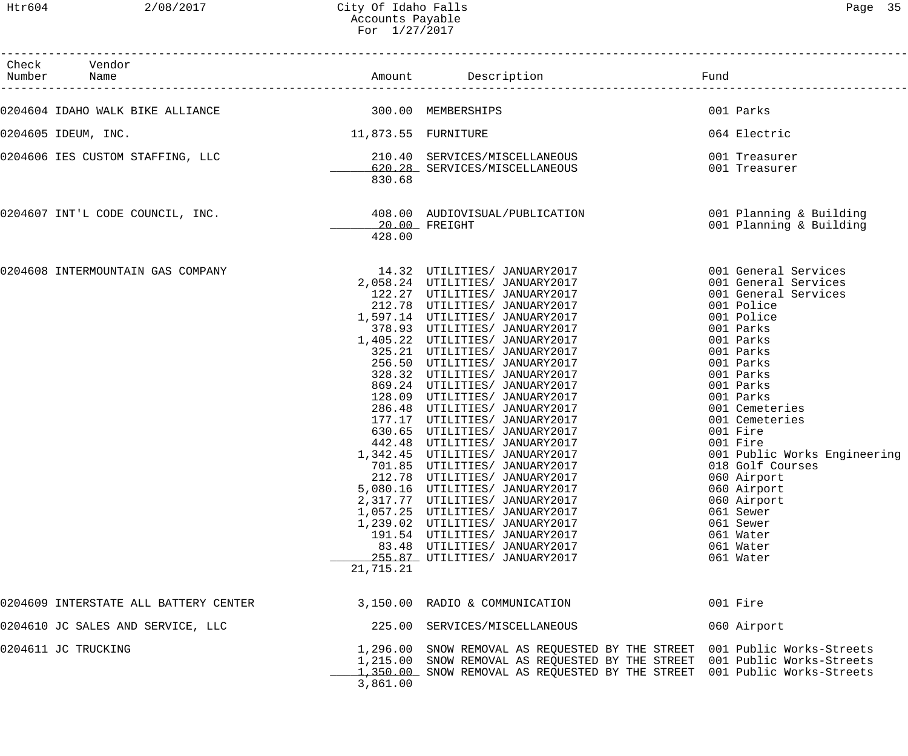| Check Vendor<br>Number Name           |                               |                                                                                                                                                                                                                                                                                                                                                                                                                                                                                                                                                                                                                                                                                                                                                                                                                                                     | Fund                                                                                                                                                                                                                                                                                                                                                                                                                      |
|---------------------------------------|-------------------------------|-----------------------------------------------------------------------------------------------------------------------------------------------------------------------------------------------------------------------------------------------------------------------------------------------------------------------------------------------------------------------------------------------------------------------------------------------------------------------------------------------------------------------------------------------------------------------------------------------------------------------------------------------------------------------------------------------------------------------------------------------------------------------------------------------------------------------------------------------------|---------------------------------------------------------------------------------------------------------------------------------------------------------------------------------------------------------------------------------------------------------------------------------------------------------------------------------------------------------------------------------------------------------------------------|
| 0204604 IDAHO WALK BIKE ALLIANCE      | 300.00 MEMBERSHIPS            |                                                                                                                                                                                                                                                                                                                                                                                                                                                                                                                                                                                                                                                                                                                                                                                                                                                     | 001 Parks                                                                                                                                                                                                                                                                                                                                                                                                                 |
| 0204605 IDEUM, INC.                   | 11,873.55 FURNITURE           |                                                                                                                                                                                                                                                                                                                                                                                                                                                                                                                                                                                                                                                                                                                                                                                                                                                     | 064 Electric                                                                                                                                                                                                                                                                                                                                                                                                              |
| 0204606 IES CUSTOM STAFFING, LLC      | 830.68                        | 210.40 SERVICES/MISCELLANEOUS<br>620.28 SERVICES/MISCELLANEOUS                                                                                                                                                                                                                                                                                                                                                                                                                                                                                                                                                                                                                                                                                                                                                                                      | 001 Treasurer<br>001 Treasurer                                                                                                                                                                                                                                                                                                                                                                                            |
| 0204607 INT'L CODE COUNCIL, INC.      | 428.00                        | 408.00 AUDIOVISUAL/PUBLICATION<br>$20.00$ FREIGHT                                                                                                                                                                                                                                                                                                                                                                                                                                                                                                                                                                                                                                                                                                                                                                                                   | 001 Planning & Building<br>001 Planning & Building                                                                                                                                                                                                                                                                                                                                                                        |
| 0204608 INTERMOUNTAIN GAS COMPANY     | 869.24<br>128.09<br>21,715.21 | 14.32 UTILITIES/ JANUARY2017<br>122.27 UTILITIES/ JANUARY2017<br>212.78 UTILITIES/ JANUARY2017<br>1,597.14 UTILITIES/ JANUARY2017<br>378.93 UTILITIES/ JANUARY2017<br>1,405.22 UTILITIES/ JANUARY2017<br>325.21 UTILITIES/ JANUARY2017<br>256.50 UTILITIES/ JANUARY2017<br>328.32 UTILITIES/ JANUARY2017<br>UTILITIES/ JANUARY2017<br>UTILITIES/ JANUARY2017<br>286.48 UTILITIES/ JANUARY2017<br>177.17 UTILITIES/ JANUARY2017<br>630.65 UTILITIES/ JANUARY2017<br>442.48 UTILITIES/ JANUARY2017<br>1,342.45 UTILITIES/ JANUARY2017<br>701.85 UTILITIES/ JANUARY2017<br>212.78 UTILITIES/ JANUARY2017<br>5,080.16 UTILITIES/ JANUARY2017<br>2,317.77 UTILITIES/ JANUARY2017<br>1,057.25 UTILITIES/ JANUARY2017<br>1,239.02 UTILITIES/ JANUARY2017<br>191.54 UTILITIES/ JANUARY2017<br>83.48 UTILITIES/ JANUARY2017<br>255.87 UTILITIES/ JANUARY2017 | 001 General Services<br>001 General Services<br>001 General Services<br>001 Police<br>001 Police<br>001 Parks<br>001 Parks<br>001 Parks<br>001 Parks<br>001 Parks<br>001 Parks<br>001 Parks<br>001 Cemeteries<br>001 Cemeteries<br>001 Fire<br>001 Fire<br>001 Public Works Engineering<br>018 Golf Courses<br>060 Airport<br>060 Airport<br>060 Airport<br>061 Sewer<br>061 Sewer<br>061 Water<br>061 Water<br>061 Water |
| 0204609 INTERSTATE ALL BATTERY CENTER | 3,150.00                      | RADIO & COMMUNICATION                                                                                                                                                                                                                                                                                                                                                                                                                                                                                                                                                                                                                                                                                                                                                                                                                               | 001 Fire                                                                                                                                                                                                                                                                                                                                                                                                                  |
| 0204610 JC SALES AND SERVICE, LLC     | 225.00                        | SERVICES/MISCELLANEOUS                                                                                                                                                                                                                                                                                                                                                                                                                                                                                                                                                                                                                                                                                                                                                                                                                              | 060 Airport                                                                                                                                                                                                                                                                                                                                                                                                               |
| 0204611 JC TRUCKING                   | 3,861.00                      | 1,296.00 SNOW REMOVAL AS REQUESTED BY THE STREET 001 Public Works-Streets<br>1,215.00 SNOW REMOVAL AS REQUESTED BY THE STREET 001 Public Works-Streets<br>1,350.00 SNOW REMOVAL AS REQUESTED BY THE STREET 001 Public Works-Streets                                                                                                                                                                                                                                                                                                                                                                                                                                                                                                                                                                                                                 |                                                                                                                                                                                                                                                                                                                                                                                                                           |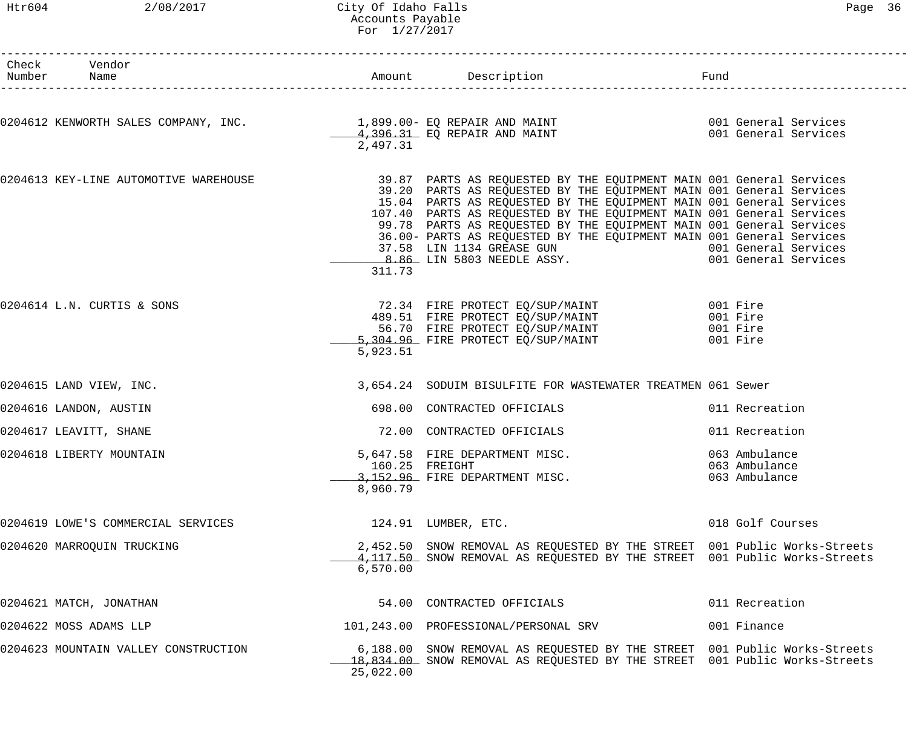### Htr604 2/08/2017 City Of Idaho Falls Page 36 Accounts Payable For 1/27/2017

| ∽aae |
|------|
|------|

| Check Vendor<br>Number Name                                                                                                                                                |           |                                                                                                                                                                                                                                                                                                                                                                                                                                          |                                                 |
|----------------------------------------------------------------------------------------------------------------------------------------------------------------------------|-----------|------------------------------------------------------------------------------------------------------------------------------------------------------------------------------------------------------------------------------------------------------------------------------------------------------------------------------------------------------------------------------------------------------------------------------------------|-------------------------------------------------|
| 0204612 KENWORTH SALES COMPANY, INC.                   1,899.00- EQ REPAIR AND MAINT<br>20204612 KENWORTH SALES COMPANY, INC.                 4,396.31 EQ REPAIR AND MAINT | 2,497.31  |                                                                                                                                                                                                                                                                                                                                                                                                                                          |                                                 |
| 0204613 KEY-LINE AUTOMOTIVE WAREHOUSE                                                                                                                                      | 311.73    | 39.87 PARTS AS REQUESTED BY THE EQUIPMENT MAIN 001 General Services<br>39.20 PARTS AS REQUESTED BY THE EQUIPMENT MAIN 001 General Services<br>15.04 PARTS AS REQUESTED BY THE EQUIPMENT MAIN 001 General Services<br>107.40 PARTS AS REQUESTED BY THE EQUIPMENT MAIN 001 General Services<br>99.78 PARTS AS REQUESTED BY THE EQUIPMENT MAIN 001 General Services<br>36.00- PARTS AS REQUESTED BY THE EQUIPMENT MAIN 001 General Services |                                                 |
| 0204614 L.N. CURTIS & SONS                                                                                                                                                 | 5,923.51  | 72.34 FIRE PROTECT EQ/SUP/MAINT 001 Fire<br>489.51 FIRE PROTECT EQ/SUP/MAINT 001 Fire<br>56.70 FIRE PROTECT EQ/SUP/MAINT 001 Fire<br>5,304.96 FIRE PROTECT EQ/SUP/MAINT 001 Fire                                                                                                                                                                                                                                                         |                                                 |
| 0204615 LAND VIEW, INC.                                                                                                                                                    |           | 3,654.24 SODUIM BISULFITE FOR WASTEWATER TREATMEN 061 Sewer                                                                                                                                                                                                                                                                                                                                                                              |                                                 |
| 0204616 LANDON, AUSTIN                                                                                                                                                     |           | 698.00 CONTRACTED OFFICIALS                                                                                                                                                                                                                                                                                                                                                                                                              | 011 Recreation                                  |
| 0204617 LEAVITT, SHANE                                                                                                                                                     |           | 72.00 CONTRACTED OFFICIALS                                                                                                                                                                                                                                                                                                                                                                                                               | 011 Recreation                                  |
| 0204618 LIBERTY MOUNTAIN                                                                                                                                                   | 8,960.79  | 5,647.58 FIRE DEPARTMENT MISC.<br>160.25 FREIGHT<br>3,152.96 FIRE DEPARTMENT MISC.                                                                                                                                                                                                                                                                                                                                                       | 063 Ambulance<br>063 Ambulance<br>063 Ambulance |
| 0204619 LOWE'S COMMERCIAL SERVICES                                                                                                                                         |           | 124.91 LUMBER, ETC.                                                                                                                                                                                                                                                                                                                                                                                                                      | 018 Golf Courses                                |
| 0204620 MARROQUIN TRUCKING                                                                                                                                                 | 6,570.00  | 2,452.50 SNOW REMOVAL AS REQUESTED BY THE STREET 001 Public Works-Streets<br>4,117.50 SNOW REMOVAL AS REQUESTED BY THE STREET 001 Public Works-Streets                                                                                                                                                                                                                                                                                   |                                                 |
| 0204621 MATCH, JONATHAN                                                                                                                                                    |           | 54.00 CONTRACTED OFFICIALS                                                                                                                                                                                                                                                                                                                                                                                                               | 011 Recreation                                  |
| 0204622 MOSS ADAMS LLP                                                                                                                                                     |           | 101,243.00 PROFESSIONAL/PERSONAL SRV                                                                                                                                                                                                                                                                                                                                                                                                     | 001 Finance                                     |
| 0204623 MOUNTAIN VALLEY CONSTRUCTION                                                                                                                                       | 25,022.00 | 6,188.00 SNOW REMOVAL AS REQUESTED BY THE STREET 001 Public Works-Streets<br>18,834.00 SNOW REMOVAL AS REQUESTED BY THE STREET 001 Public Works-Streets                                                                                                                                                                                                                                                                                  |                                                 |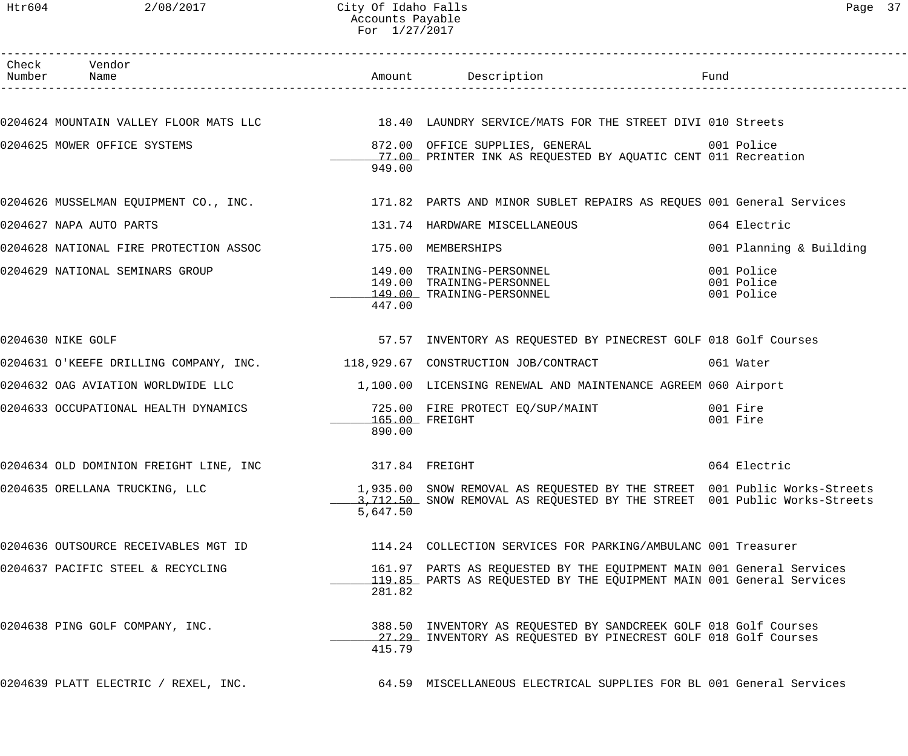| Htr604 | 2/08/2017                              | City Of Idaho Falls<br>Accounts Payable<br>For $1/27/2017$ |                                                                                                                                                        |      | Page 37                                |  |
|--------|----------------------------------------|------------------------------------------------------------|--------------------------------------------------------------------------------------------------------------------------------------------------------|------|----------------------------------------|--|
| Number | Check Vendor<br>Name                   |                                                            | Amount Description                                                                                                                                     | Fund |                                        |  |
|        |                                        |                                                            | 0204624 MOUNTAIN VALLEY FLOOR MATS LLC 18.40 LAUNDRY SERVICE/MATS FOR THE STREET DIVI 010 Streets                                                      |      |                                        |  |
|        | 0204625 MOWER OFFICE SYSTEMS           | 949.00                                                     | 872.00 OFFICE SUPPLIES, GENERAL<br>17.00 PRINTER INK AS REQUESTED BY AQUATIC CENT 011 Recreation                                                       |      | 001 Police                             |  |
|        | 0204626 MUSSELMAN EQUIPMENT CO., INC.  |                                                            | 171.82 PARTS AND MINOR SUBLET REPAIRS AS REQUES 001 General Services                                                                                   |      |                                        |  |
|        | 0204627 NAPA AUTO PARTS                |                                                            | 131.74 HARDWARE MISCELLANEOUS                                                                                                                          |      | 064 Electric                           |  |
|        | 0204628 NATIONAL FIRE PROTECTION ASSOC |                                                            | 175.00 MEMBERSHIPS                                                                                                                                     |      | 001 Planning & Building                |  |
|        | 0204629 NATIONAL SEMINARS GROUP        | 447.00                                                     | 149.00 TRAINING-PERSONNEL<br>149.00 TRAINING-PERSONNEL<br>149.00 TRAINING-PERSONNEL                                                                    |      | 001 Police<br>001 Police<br>001 Police |  |
|        | 0204630 NIKE GOLF                      |                                                            | 57.57 INVENTORY AS REQUESTED BY PINECREST GOLF 018 Golf Courses                                                                                        |      |                                        |  |
|        |                                        |                                                            | 0204631 O'KEEFE DRILLING COMPANY, INC. 4118,929.67 CONSTRUCTION JOB/CONTRACT                                                                           |      | 061 Water                              |  |
|        |                                        |                                                            | 0204632 OAG AVIATION WORLDWIDE LLC 1,100.00 LICENSING RENEWAL AND MAINTENANCE AGREEM 060 Airport                                                       |      |                                        |  |
|        | 0204633 OCCUPATIONAL HEALTH DYNAMICS   | 890.00                                                     | 725.00 FIRE PROTECT EQ/SUP/MAINT<br>165.00 FREIGHT                                                                                                     |      | 001 Fire<br>001 Fire                   |  |
|        | 0204634 OLD DOMINION FREIGHT LINE, INC |                                                            | 317.84 FREIGHT                                                                                                                                         |      | 064 Electric                           |  |
|        | 0204635 ORELLANA TRUCKING, LLC         | 5,647.50                                                   | 1,935.00 SNOW REMOVAL AS REQUESTED BY THE STREET 001 Public Works-Streets<br>3,712.50 SNOW REMOVAL AS REQUESTED BY THE STREET 001 Public Works-Streets |      |                                        |  |
|        | 0204636 OUTSOURCE RECEIVABLES MGT ID   |                                                            | 114.24 COLLECTION SERVICES FOR PARKING/AMBULANC 001 Treasurer                                                                                          |      |                                        |  |
|        | 0204637 PACIFIC STEEL & RECYCLING      |                                                            | 161.97 PARTS AS REQUESTED BY THE EQUIPMENT MAIN 001 General Services                                                                                   |      |                                        |  |

281.82

415.79

0204638 PING GOLF COMPANY, INC. 388.50 INVENTORY AS REQUESTED BY SANDCREEK GOLF 018 Golf Courses

0204639 PLATT ELECTRIC / REXEL, INC. 64.59 MISCELLANEOUS ELECTRICAL SUPPLIES FOR BL 001 General Services

\_\_\_\_\_\_\_\_\_\_\_\_\_ 119.85 PARTS AS REQUESTED BY THE EQUIPMENT MAIN 001 General Services

17.29 INVENTORY AS REQUESTED BY PINECREST GOLF 018 Golf Courses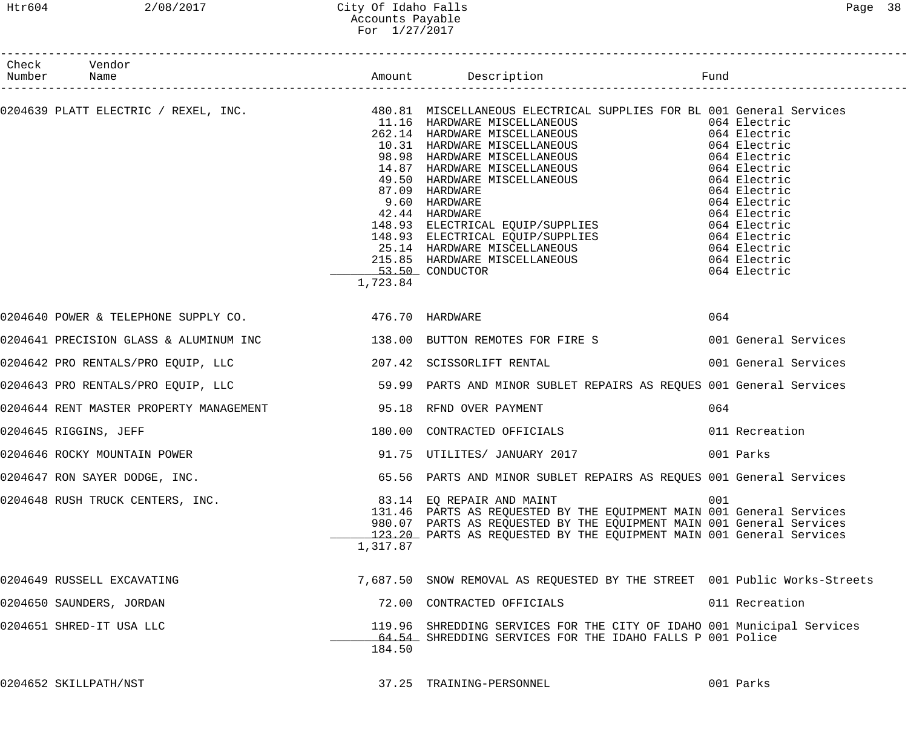### Htr604 2/08/2017 City Of Idaho Falls Page 38 Accounts Payable For 1/27/2017

| Check Vendor<br>Number Name                                          |          |                                                                                                                                                                                                                                                                                                                                                                                                                                                |                      |
|----------------------------------------------------------------------|----------|------------------------------------------------------------------------------------------------------------------------------------------------------------------------------------------------------------------------------------------------------------------------------------------------------------------------------------------------------------------------------------------------------------------------------------------------|----------------------|
|                                                                      | 1,723.84 | $\texttt{0204639 \textit{ PLATT} \textit{ ELECTRIC} \textit{ / REXEL, INC}.\textit{INC.} \texttt{480.81 \textit{ MISCELLANEOUS} \textit{ ELECTRICAL SUPPLIES FOR BL 001 General Services} \texttt{262.14 HARDWARE MISCELLANEOUS} \texttt{064 Electric} \texttt{10.31 HARDWARE MISCELLANEOUS} \texttt{064 Electric} \texttt{164 Set Rectric} \texttt{17.0339 HARDWARS MISCELLANEOUS} \texttt{064 Electric} \texttt{064 Electric} \texttt{07.09$ |                      |
| 0204640 POWER & TELEPHONE SUPPLY CO. 476.70 HARDWARE                 |          |                                                                                                                                                                                                                                                                                                                                                                                                                                                | 064                  |
|                                                                      |          | 0204641 PRECISION GLASS & ALUMINUM INC 138.00 BUTTON REMOTES FOR FIRE S 001 General Services                                                                                                                                                                                                                                                                                                                                                   |                      |
| 0204642 PRO RENTALS/PRO EQUIP, LLC 207.42 SCISSORLIFT RENTAL         |          |                                                                                                                                                                                                                                                                                                                                                                                                                                                | 001 General Services |
|                                                                      |          | 0204643 PRO RENTALS/PRO EQUIP, LLC                    59.99 PARTS AND MINOR SUBLET REPAIRS AS REQUES 001 General Services                                                                                                                                                                                                                                                                                                                      |                      |
| 0204644 RENT MASTER PROPERTY MANAGEMENT TELL THE SERIES OVER PAYMENT |          |                                                                                                                                                                                                                                                                                                                                                                                                                                                | 064                  |
| 0204645 RIGGINS, JEFF                                                |          | 180.00 CONTRACTED OFFICIALS                                                                                                                                                                                                                                                                                                                                                                                                                    | 011 Recreation       |
| 0204646 ROCKY MOUNTAIN POWER                                         |          | 91.75 UTILITES/ JANUARY 2017                                                                                                                                                                                                                                                                                                                                                                                                                   | 001 Parks            |
| 0204647 RON SAYER DODGE, INC.                                        |          | 65.56 PARTS AND MINOR SUBLET REPAIRS AS REQUES 001 General Services                                                                                                                                                                                                                                                                                                                                                                            |                      |
| 0204648 RUSH TRUCK CENTERS, INC.                                     | 1,317.87 | 83.14 EO REPAIR AND MAINT<br>131.46 PARTS AS REQUESTED BY THE EQUIPMENT MAIN 001 General Services<br>980.07 PARTS AS REQUESTED BY THE EQUIPMENT MAIN 001 General Services<br>123.20 PARTS AS REQUESTED BY THE EQUIPMENT MAIN 001 General Services                                                                                                                                                                                              | 001                  |
| 0204649 RUSSELL EXCAVATING                                           |          | 7,687.50 SNOW REMOVAL AS REQUESTED BY THE STREET 001 Public Works-Streets                                                                                                                                                                                                                                                                                                                                                                      |                      |
| 0204650 SAUNDERS, JORDAN                                             |          | 72.00 CONTRACTED OFFICIALS                                                                                                                                                                                                                                                                                                                                                                                                                     | 011 Recreation       |
| 0204651 SHRED-IT USA LLC                                             | 184.50   | 119.96 SHREDDING SERVICES FOR THE CITY OF IDAHO 001 Municipal Services<br>64.54 SHREDDING SERVICES FOR THE IDAHO FALLS P 001 Police                                                                                                                                                                                                                                                                                                            |                      |
| 0204652 SKILLPATH/NST                                                |          | 37.25 TRAINING-PERSONNEL                                                                                                                                                                                                                                                                                                                                                                                                                       | 001 Parks            |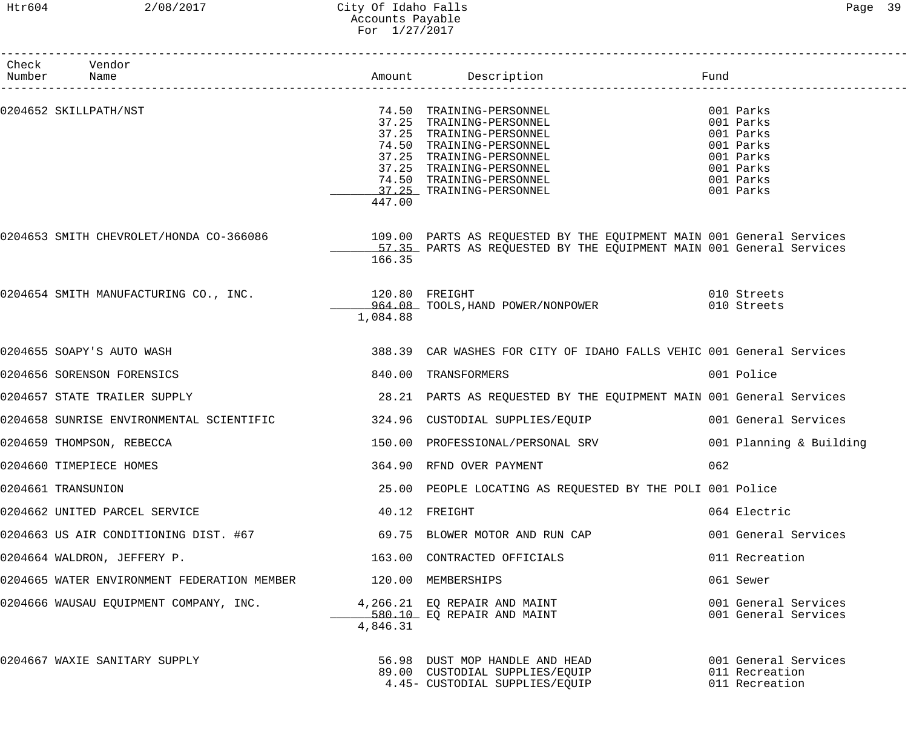### Htr604 2/08/2017 City Of Idaho Falls Page 39 Accounts Payable For 1/27/2017

| Check Vendor<br>Number Name                 |                            | Amount Description                                                                                                                                                                                                           | Fund                                                                                                 |
|---------------------------------------------|----------------------------|------------------------------------------------------------------------------------------------------------------------------------------------------------------------------------------------------------------------------|------------------------------------------------------------------------------------------------------|
| 0204652 SKILLPATH/NST                       | 447.00                     | 74.50 TRAINING-PERSONNEL<br>37.25 TRAINING-PERSONNEL<br>37.25 TRAINING-PERSONNEL<br>74.50 TRAINING-PERSONNEL<br>37.25 TRAINING-PERSONNEL<br>37.25 TRAINING-PERSONNEL<br>74.50 TRAINING-PERSONNEL<br>37.25 TRAINING-PERSONNEL | 001 Parks<br>001 Parks<br>001 Parks<br>001 Parks<br>001 Parks<br>001 Parks<br>001 Parks<br>001 Parks |
|                                             | 166.35                     | 0204653 SMITH CHEVROLET/HONDA CO-366086              109.00 PARTS AS REQUESTED BY THE EQUIPMENT MAIN 001 General Services<br>57.35 PARTS AS REQUESTED BY THE EQUIPMENT MAIN 001 General Services                             |                                                                                                      |
| 0204654 SMITH MANUFACTURING CO., INC.       | 120.80 FREIGHT<br>1,084.88 | 964.08 TOOLS, HAND POWER/NONPOWER                                                                                                                                                                                            | 010 Streets<br>010 Streets                                                                           |
| 0204655 SOAPY'S AUTO WASH                   |                            | 388.39 CAR WASHES FOR CITY OF IDAHO FALLS VEHIC 001 General Services                                                                                                                                                         |                                                                                                      |
| 0204656 SORENSON FORENSICS                  |                            | 840.00 TRANSFORMERS                                                                                                                                                                                                          | 001 Police                                                                                           |
| 0204657 STATE TRAILER SUPPLY                |                            | 28.21 PARTS AS REQUESTED BY THE EQUIPMENT MAIN 001 General Services                                                                                                                                                          |                                                                                                      |
| 0204658 SUNRISE ENVIRONMENTAL SCIENTIFIC    |                            | 324.96 CUSTODIAL SUPPLIES/EQUIP                                                                                                                                                                                              | 001 General Services                                                                                 |
| 0204659 THOMPSON, REBECCA                   |                            | 150.00 PROFESSIONAL/PERSONAL SRV                                                                                                                                                                                             | 001 Planning & Building                                                                              |
| 0204660 TIMEPIECE HOMES                     |                            | 364.90 RFND OVER PAYMENT                                                                                                                                                                                                     | 062                                                                                                  |
| 0204661 TRANSUNION                          |                            | 25.00 PEOPLE LOCATING AS REQUESTED BY THE POLI 001 Police                                                                                                                                                                    |                                                                                                      |
| 0204662 UNITED PARCEL SERVICE               |                            | 40.12 FREIGHT                                                                                                                                                                                                                | 064 Electric                                                                                         |
| 0204663 US AIR CONDITIONING DIST. #67       |                            | 69.75 BLOWER MOTOR AND RUN CAP                                                                                                                                                                                               | 001 General Services                                                                                 |
| 0204664 WALDRON, JEFFERY P.                 |                            | 163.00 CONTRACTED OFFICIALS                                                                                                                                                                                                  | 011 Recreation                                                                                       |
| 0204665 WATER ENVIRONMENT FEDERATION MEMBER | 120.00 MEMBERSHIPS         |                                                                                                                                                                                                                              | 061 Sewer                                                                                            |
| 0204666 WAUSAU EQUIPMENT COMPANY, INC.      | 4,846.31                   | 4,266.21 EQ REPAIR AND MAINT<br>580.10 EO REPAIR AND MAINT<br>580.10 EQ REPAIR AND MAINT                                                                                                                                     | 001 General Services<br>001 General Services                                                         |
| 0204667 WAXIE SANITARY SUPPLY               |                            | 56.98 DUST MOP HANDLE AND HEAD<br>89.00 CUSTODIAL SUPPLIES/EQUIP<br>4.45- CUSTODIAL SUPPLIES/EQUIP                                                                                                                           | 001 General Services<br>011 Recreation<br>011 Recreation                                             |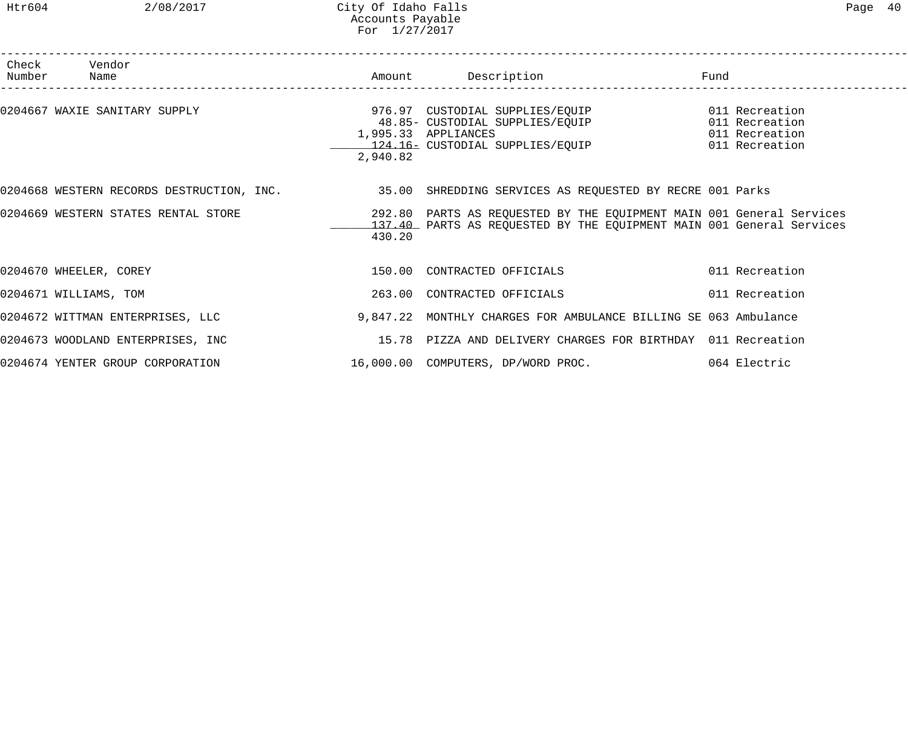### Htr604 2/08/2017 City Of Idaho Falls Page 40 Accounts Payable For 1/27/2017

| Number | Check Vendor<br><b>Name</b>                                                                        |          | Amount Description                                                                                                                           | Fund           |                |
|--------|----------------------------------------------------------------------------------------------------|----------|----------------------------------------------------------------------------------------------------------------------------------------------|----------------|----------------|
|        | 0204667 WAXIE SANITARY SUPPLY                                                                      | 2,940.82 | 1,995.33 APPLIANCES                                                                                                                          | 011 Recreation |                |
|        | 0204668 WESTERN RECORDS DESTRUCTION, INC. 35.00 SHREDDING SERVICES AS REQUESTED BY RECRE 001 Parks |          |                                                                                                                                              |                |                |
|        | 0204669 WESTERN STATES RENTAL STORE                                                                | 430.20   | 292.80 PARTS AS REQUESTED BY THE EQUIPMENT MAIN 001 General Services<br>137.40 PARTS AS REQUESTED BY THE EQUIPMENT MAIN 001 General Services |                |                |
|        | 0204670 WHEELER, COREY                                                                             |          | 150.00 CONTRACTED OFFICIALS                                                                                                                  |                | 011 Recreation |
|        | 0204671 WILLIAMS, TOM                                                                              |          | 263.00 CONTRACTED OFFICIALS                                                                                                                  |                | 011 Recreation |
|        | 0204672 WITTMAN ENTERPRISES, LLC                                                                   |          | 9,847.22 MONTHLY CHARGES FOR AMBULANCE BILLING SE 063 Ambulance                                                                              |                |                |
|        | 0204673 WOODLAND ENTERPRISES, INC                                                                  |          | 15.78 PIZZA AND DELIVERY CHARGES FOR BIRTHDAY 011 Recreation                                                                                 |                |                |
|        | 0204674 YENTER GROUP CORPORATION                                                                   |          | 16,000.00 COMPUTERS, DP/WORD PROC.                                                                                                           | 064 Electric   |                |